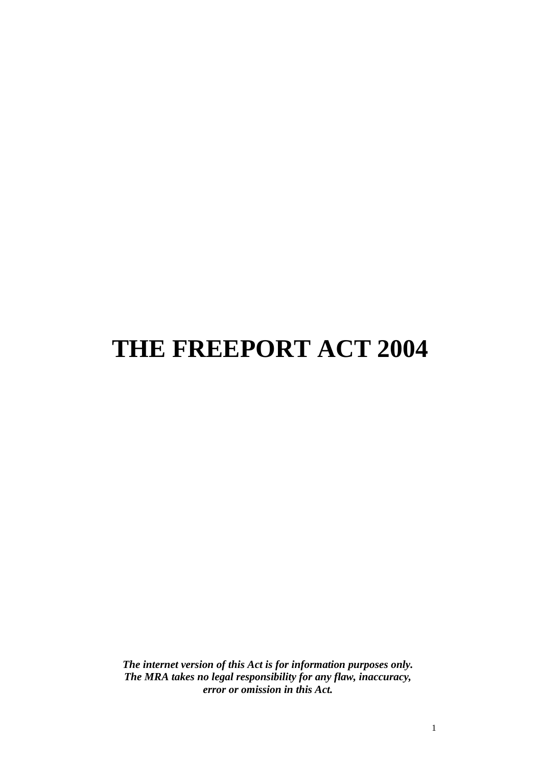# **THE FREEPORT ACT 2004**

*The internet version of this Act is for information purposes only. The MRA takes no legal responsibility for any flaw, inaccuracy, error or omission in this Act.*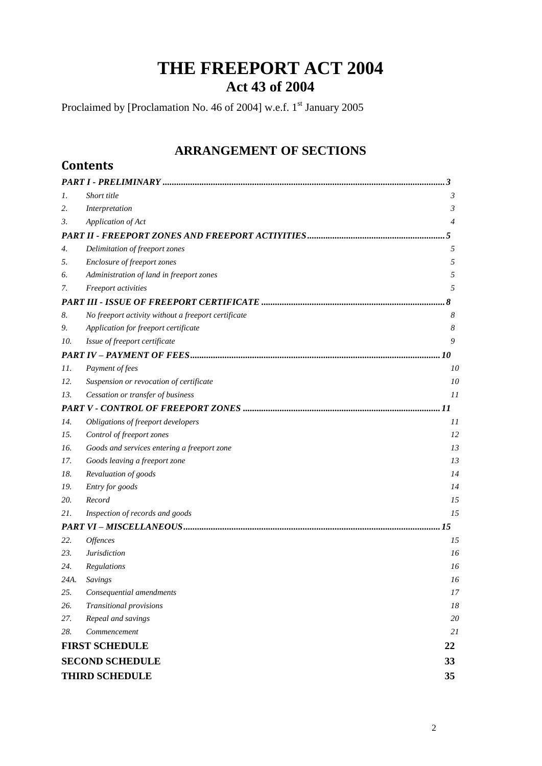# **THE FREEPORT ACT 2004 Act 43 of 2004**

Proclaimed by [Proclamation No. 46 of 2004] w.e.f. 1<sup>st</sup> January 2005

**Contents**

# **ARRANGEMENT OF SECTIONS**

| 1.   | Short title                                         | 3               |
|------|-----------------------------------------------------|-----------------|
| 2.   | Interpretation                                      | 3               |
| 3.   | Application of Act                                  | 4               |
|      |                                                     | 5               |
| 4.   | Delimitation of freeport zones                      | 5               |
| 5.   | Enclosure of freeport zones                         | 5               |
| 6.   | Administration of land in freeport zones            | 5               |
| 7.   | Freeport activities                                 | 5               |
|      |                                                     | 8               |
| 8.   | No freeport activity without a freeport certificate | 8               |
| 9.   | Application for freeport certificate                | 8               |
| 10.  | Issue of freeport certificate                       | 9               |
|      |                                                     | . 10            |
| 11.  | Payment of fees                                     | 10              |
| 12.  | Suspension or revocation of certificate             | 10              |
| 13.  | Cessation or transfer of business                   | II              |
|      |                                                     | . 11            |
| 14.  | Obligations of freeport developers                  | II              |
| 15.  | Control of freeport zones                           | 12              |
| 16.  | Goods and services entering a freeport zone         | 13              |
| 17.  | Goods leaving a freeport zone                       | 13              |
| 18.  | Revaluation of goods                                | 14              |
| 19.  | Entry for goods                                     | 14              |
| 20.  | Record                                              | 15              |
| 21.  | Inspection of records and goods                     | 15              |
|      |                                                     | . 15            |
| 22.  | Offences                                            | 15              |
| 23.  | <b>Jurisdiction</b>                                 | 16              |
| 24.  | Regulations                                         | 16              |
| 24A. | Savings                                             | 16              |
| 25.  | Consequential amendments                            | 17              |
| 26.  | Transitional provisions                             | 18              |
| 27.  | Repeal and savings                                  | 20              |
| 28.  | Commencement                                        | 21              |
|      | <b>FIRST SCHEDULE</b>                               | 22              |
|      | <b>SECOND SCHEDULE</b>                              | 33              |
|      | <b>THIRD SCHEDULE</b>                               | 35 <sup>5</sup> |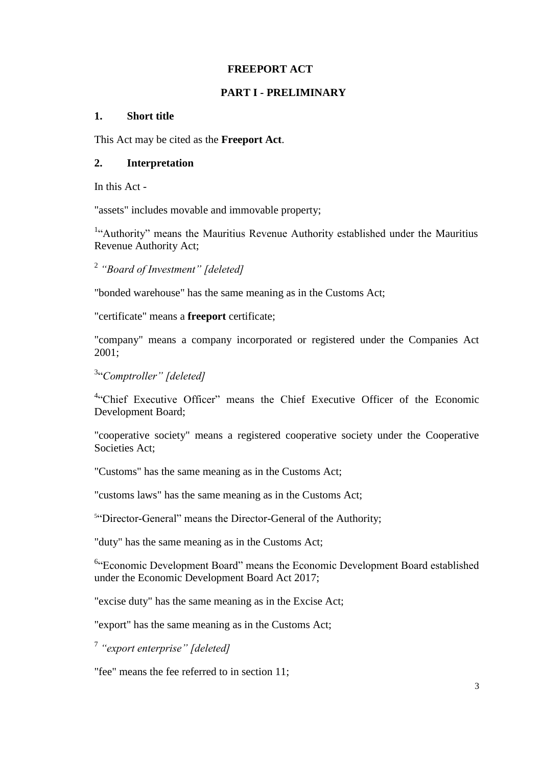### **FREEPORT ACT**

# **PART I - PRELIMINARY**

### <span id="page-2-1"></span><span id="page-2-0"></span>**1. Short title**

This Act may be cited as the **Freeport Act**.

# <span id="page-2-2"></span>**2. Interpretation**

In this Act -

"assets" includes movable and immovable property;

<sup>1</sup>"Authority" means the Mauritius Revenue Authority established under the Mauritius Revenue Authority Act;

2 *"Board of Investment" [deleted]*

"bonded warehouse" has the same meaning as in the Customs Act;

"certificate" means a **freeport** certificate;

"company" means a company incorporated or registered under the Companies Act 2001;

3 ―*Comptroller" [deleted]*

<sup>4</sup>"Chief Executive Officer" means the Chief Executive Officer of the Economic Development Board;

"cooperative society" means a registered cooperative society under the Cooperative Societies Act;

"Customs" has the same meaning as in the Customs Act;

"customs laws" has the same meaning as in the Customs Act;

<sup>5"</sup>Director-General" means the Director-General of the Authority;

"duty" has the same meaning as in the Customs Act;

<sup>6</sup>"Economic Development Board" means the Economic Development Board established under the Economic Development Board Act 2017;

"excise duty" has the same meaning as in the Excise Act;

"export" has the same meaning as in the Customs Act;

7 *"export enterprise" [deleted]*

"fee" means the fee referred to in section 11;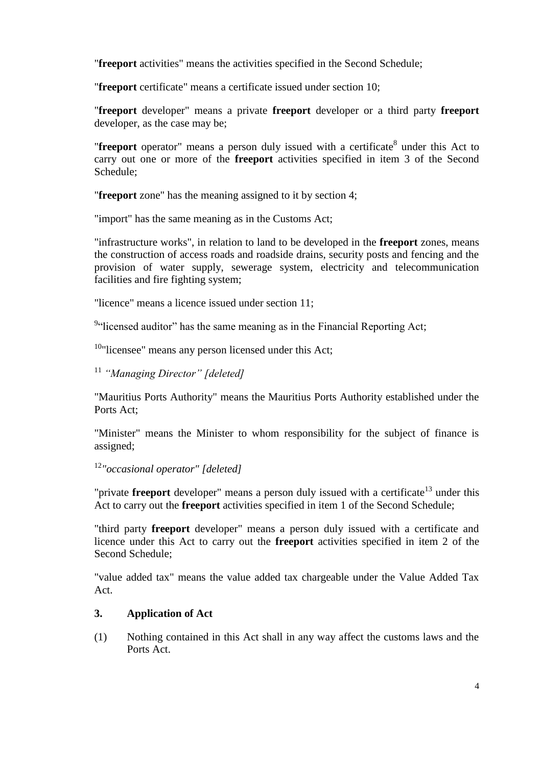"**freeport** activities" means the activities specified in the Second Schedule;

"**freeport** certificate" means a certificate issued under section 10;

"**freeport** developer" means a private **freeport** developer or a third party **freeport** developer, as the case may be;

"**freeport** operator" means a person duly issued with a certificate<sup>8</sup> under this Act to carry out one or more of the **freeport** activities specified in item 3 of the Second Schedule;

"**freeport** zone" has the meaning assigned to it by section 4;

"import" has the same meaning as in the Customs Act;

"infrastructure works", in relation to land to be developed in the **freeport** zones, means the construction of access roads and roadside drains, security posts and fencing and the provision of water supply, sewerage system, electricity and telecommunication facilities and fire fighting system;

"licence" means a licence issued under section 11;

<sup>9</sup>"licensed auditor" has the same meaning as in the Financial Reporting Act;

 $10$ "licensee" means any person licensed under this Act;

<sup>11</sup> *"Managing Director" [deleted]*

"Mauritius Ports Authority" means the Mauritius Ports Authority established under the Ports Act;

"Minister" means the Minister to whom responsibility for the subject of finance is assigned;

<sup>12</sup>*"occasional operator" [deleted]*

"private **freeport** developer" means a person duly issued with a certificate<sup>13</sup> under this Act to carry out the **freeport** activities specified in item 1 of the Second Schedule;

"third party **freeport** developer" means a person duly issued with a certificate and licence under this Act to carry out the **freeport** activities specified in item 2 of the Second Schedule;

"value added tax" means the value added tax chargeable under the Value Added Tax Act.

# <span id="page-3-0"></span>**3. Application of Act**

(1) Nothing contained in this Act shall in any way affect the customs laws and the Ports Act.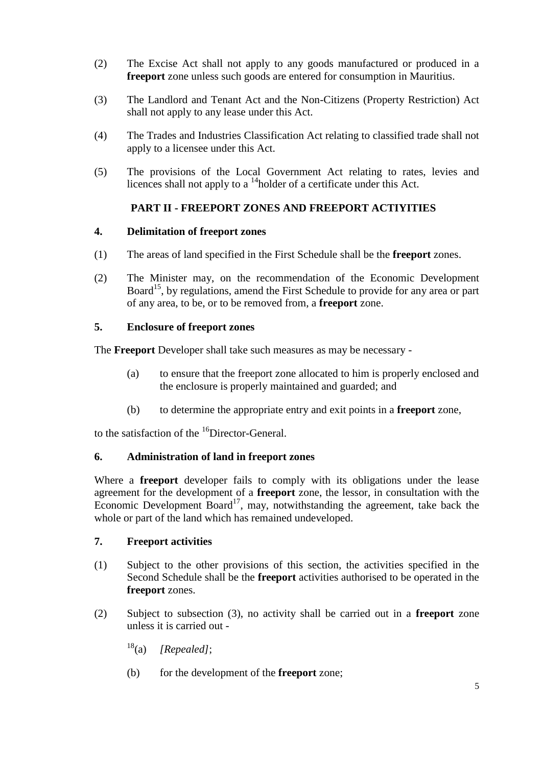- (2) The Excise Act shall not apply to any goods manufactured or produced in a **freeport** zone unless such goods are entered for consumption in Mauritius.
- (3) The Landlord and Tenant Act and the Non-Citizens (Property Restriction) Act shall not apply to any lease under this Act.
- (4) The Trades and Industries Classification Act relating to classified trade shall not apply to a licensee under this Act.
- (5) The provisions of the Local Government Act relating to rates, levies and licences shall not apply to a  $\frac{14}{10}$ holder of a certificate under this Act.

# **PART II - FREEPORT ZONES AND FREEPORT ACTIYITIES**

# <span id="page-4-1"></span><span id="page-4-0"></span>**4. Delimitation of freeport zones**

- (1) The areas of land specified in the First Schedule shall be the **freeport** zones.
- (2) The Minister may, on the recommendation of the Economic Development Board<sup>15</sup>, by regulations, amend the First Schedule to provide for any area or part of any area, to be, or to be removed from, a **freeport** zone.

# <span id="page-4-2"></span>**5. Enclosure of freeport zones**

The **Freeport** Developer shall take such measures as may be necessary -

- (a) to ensure that the freeport zone allocated to him is properly enclosed and the enclosure is properly maintained and guarded; and
- (b) to determine the appropriate entry and exit points in a **freeport** zone,

to the satisfaction of the <sup>16</sup>Director-General.

# <span id="page-4-3"></span>**6. Administration of land in freeport zones**

Where a **freeport** developer fails to comply with its obligations under the lease agreement for the development of a **freeport** zone, the lessor, in consultation with the Economic Development Board<sup>17</sup>, may, notwithstanding the agreement, take back the whole or part of the land which has remained undeveloped.

# <span id="page-4-4"></span>**7. Freeport activities**

- (1) Subject to the other provisions of this section, the activities specified in the Second Schedule shall be the **freeport** activities authorised to be operated in the **freeport** zones.
- (2) Subject to subsection (3), no activity shall be carried out in a **freeport** zone unless it is carried out -
	- <sup>18</sup>(a) *[Repealed]*;
	- (b) for the development of the **freeport** zone;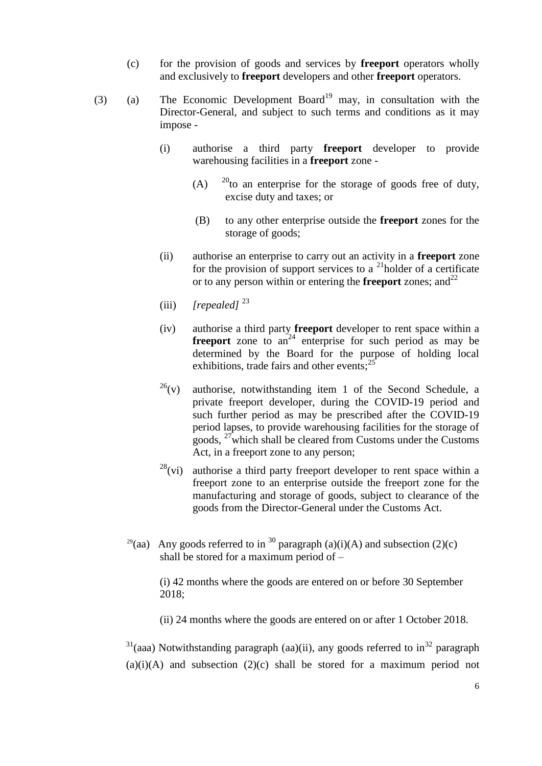- (c) for the provision of goods and services by **freeport** operators wholly and exclusively to **freeport** developers and other **freeport** operators.
- (3) (a) The Economic Development Board<sup>19</sup> may, in consultation with the Director-General, and subject to such terms and conditions as it may impose -
	- (i) authorise a third party **freeport** developer to provide warehousing facilities in a **freeport** zone -
		- (A)  $^{20}$  to an enterprise for the storage of goods free of duty, excise duty and taxes; or
		- (B) to any other enterprise outside the **freeport** zones for the storage of goods;
	- (ii) authorise an enterprise to carry out an activity in a **freeport** zone for the provision of support services to a  $^{21}$ holder of a certificate or to any person within or entering the **freeport** zones; and  $2^2$
	- (iii) *[repealed]* 23
	- (iv) authorise a third party **freeport** developer to rent space within a **freeport** zone to  $an^{24}$  enterprise for such period as may be determined by the Board for the purpose of holding local exhibitions, trade fairs and other events;<sup>25</sup>
	- $26(v)$  authorise, notwithstanding item 1 of the Second Schedule, a private freeport developer, during the COVID-19 period and such further period as may be prescribed after the COVID-19 period lapses, to provide warehousing facilities for the storage of goods,  $27$  which shall be cleared from Customs under the Customs Act, in a freeport zone to any person;
	- $^{28}$ (vi) authorise a third party freeport developer to rent space within a freeport zone to an enterprise outside the freeport zone for the manufacturing and storage of goods, subject to clearance of the goods from the Director-General under the Customs Act.
	- <sup>29</sup>(aa) Any goods referred to in <sup>30</sup> paragraph (a)(i)(A) and subsection (2)(c) shall be stored for a maximum period of –

(i) 42 months where the goods are entered on or before 30 September 2018;

(ii) 24 months where the goods are entered on or after 1 October 2018.

 $31$ (aaa) Notwithstanding paragraph (aa)(ii), any goods referred to in<sup>32</sup> paragraph  $(a)(i)(A)$  and subsection  $(2)(c)$  shall be stored for a maximum period not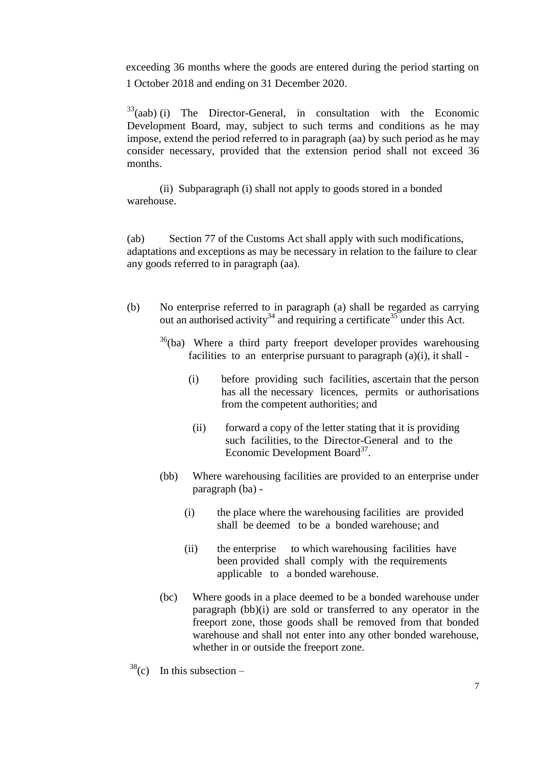exceeding 36 months where the goods are entered during the period starting on 1 October 2018 and ending on 31 December 2020.

 $33$ (aab) (i) The Director-General, in consultation with the Economic Development Board, may, subject to such terms and conditions as he may impose, extend the period referred to in paragraph (aa) by such period as he may consider necessary, provided that the extension period shall not exceed 36 months.

(ii) Subparagraph (i) shall not apply to goods stored in a bonded warehouse.

(ab) Section 77 of the Customs Act shall apply with such modifications, adaptations and exceptions as may be necessary in relation to the failure to clear any goods referred to in paragraph (aa).

- (b) No enterprise referred to in paragraph (a) shall be regarded as carrying out an authorised activity<sup>34</sup> and requiring a certificate<sup>35</sup> under this Act.
	- $36(ba)$  Where a third party freeport developer provides warehousing facilities to an enterprise pursuant to paragraph  $(a)(i)$ , it shall -
		- (i) before providing such facilities, ascertain that the person has all the necessary licences, permits or authorisations from the competent authorities; and
		- (ii) forward a copy of the letter stating that it is providing such facilities, to the Director-General and to the Economic Development Board $3^7$ .
	- (bb) Where warehousing facilities are provided to an enterprise under paragraph (ba) -
		- (i) the place where the warehousing facilities are provided shall be deemed to be a bonded warehouse; and
		- (ii) the enterprise to which warehousing facilities have been provided shall comply with the requirements applicable to a bonded warehouse.
	- (bc) Where goods in a place deemed to be a bonded warehouse under paragraph (bb)(i) are sold or transferred to any operator in the freeport zone, those goods shall be removed from that bonded warehouse and shall not enter into any other bonded warehouse, whether in or outside the freeport zone.
- $38$ (c) In this subsection –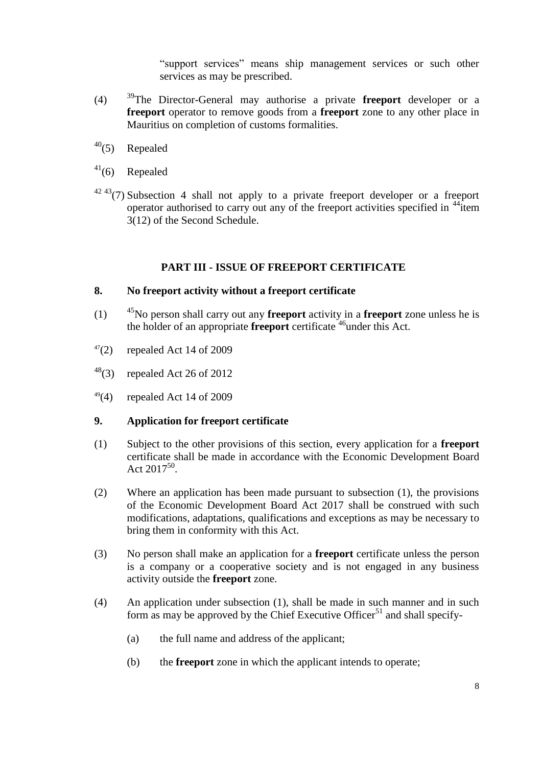"support services" means ship management services or such other services as may be prescribed.

- (4) <sup>39</sup>The Director-General may authorise a private **freeport** developer or a **freeport** operator to remove goods from a **freeport** zone to any other place in Mauritius on completion of customs formalities.
- $40(5)$  Repealed
- $41(6)$  Repealed
- $4243(7)$  Subsection 4 shall not apply to a private freeport developer or a freeport operator authorised to carry out any of the freeport activities specified in <sup>44</sup>item 3(12) of the Second Schedule.

# **PART III - ISSUE OF FREEPORT CERTIFICATE**

# <span id="page-7-1"></span><span id="page-7-0"></span>**8. No freeport activity without a freeport certificate**

- (1) <sup>45</sup>No person shall carry out any **freeport** activity in a **freeport** zone unless he is the holder of an appropriate **freeport** certificate <sup>46</sup>under this Act.
- $47(2)$  repealed Act 14 of 2009
- $^{48}$ (3) repealed Act 26 of 2012
- $49(4)$  repealed Act 14 of 2009

# <span id="page-7-2"></span>**9. Application for freeport certificate**

- (1) Subject to the other provisions of this section, every application for a **freeport** certificate shall be made in accordance with the Economic Development Board Act  $2017^{50}$ .
- (2) Where an application has been made pursuant to subsection (1), the provisions of the Economic Development Board Act 2017 shall be construed with such modifications, adaptations, qualifications and exceptions as may be necessary to bring them in conformity with this Act.
- (3) No person shall make an application for a **freeport** certificate unless the person is a company or a cooperative society and is not engaged in any business activity outside the **freeport** zone.
- (4) An application under subsection (1), shall be made in such manner and in such form as may be approved by the Chief Executive Officer<sup>51</sup> and shall specify-
	- (a) the full name and address of the applicant;
	- (b) the **freeport** zone in which the applicant intends to operate;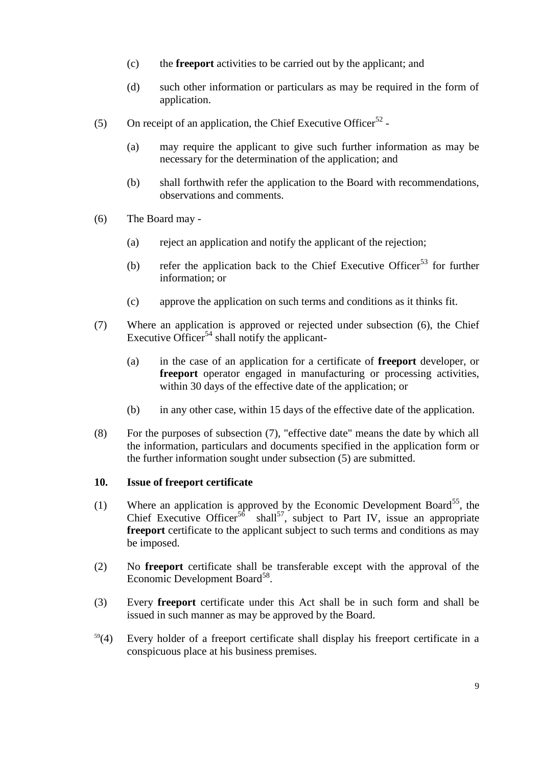- (c) the **freeport** activities to be carried out by the applicant; and
- (d) such other information or particulars as may be required in the form of application.
- (5) On receipt of an application, the Chief Executive Officer<sup>52</sup> -
	- (a) may require the applicant to give such further information as may be necessary for the determination of the application; and
	- (b) shall forthwith refer the application to the Board with recommendations, observations and comments.
- (6) The Board may
	- (a) reject an application and notify the applicant of the rejection;
	- (b) refer the application back to the Chief Executive Officer<sup>53</sup> for further information; or
	- (c) approve the application on such terms and conditions as it thinks fit.
- (7) Where an application is approved or rejected under subsection (6), the Chief Executive Officer<sup>54</sup> shall notify the applicant-
	- (a) in the case of an application for a certificate of **freeport** developer, or **freeport** operator engaged in manufacturing or processing activities, within 30 days of the effective date of the application; or
	- (b) in any other case, within 15 days of the effective date of the application.
- (8) For the purposes of subsection (7), "effective date" means the date by which all the information, particulars and documents specified in the application form or the further information sought under subsection (5) are submitted.

# <span id="page-8-0"></span>**10. Issue of freeport certificate**

- (1) Where an application is approved by the Economic Development Board<sup>55</sup>, the Chief Executive Officer<sup>56</sup> shall<sup>57</sup>, subject to Part IV, issue an appropriate **freeport** certificate to the applicant subject to such terms and conditions as may be imposed.
- (2) No **freeport** certificate shall be transferable except with the approval of the Economic Development Board<sup>58</sup>.
- (3) Every **freeport** certificate under this Act shall be in such form and shall be issued in such manner as may be approved by the Board.
- $59(4)$  Every holder of a freeport certificate shall display his freeport certificate in a conspicuous place at his business premises.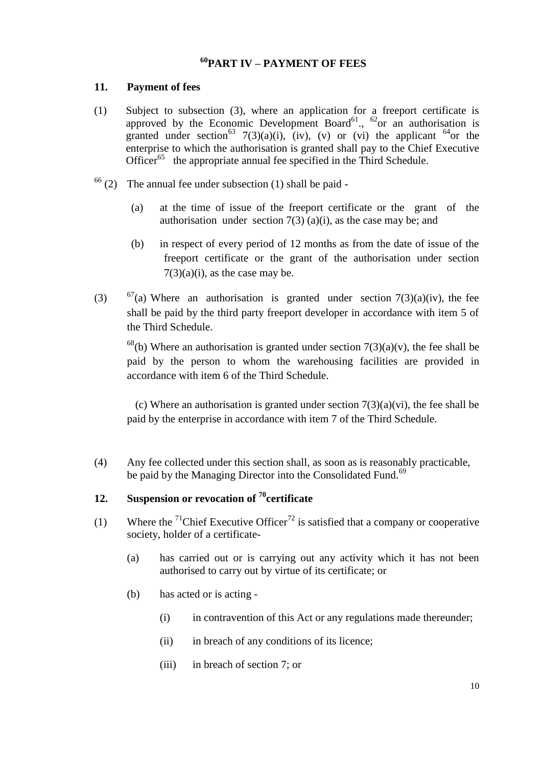# **<sup>60</sup>PART IV – PAYMENT OF FEES**

# <span id="page-9-1"></span><span id="page-9-0"></span>**11. Payment of fees**

- (1) Subject to subsection (3), where an application for a freeport certificate is approved by the Economic Development Board<sup>61</sup>., <sup>62</sup>or an authorisation is granted under section<sup>63</sup> 7(3)(a)(i), (iv), (v) or (vi) the applicant <sup>64</sup>or the enterprise to which the authorisation is granted shall pay to the Chief Executive Officer<sup>65</sup> the appropriate annual fee specified in the Third Schedule.
- $66$  (2) The annual fee under subsection (1) shall be paid -
	- (a) at the time of issue of the freeport certificate or the grant of the authorisation under section  $7(3)$  (a)(i), as the case may be; and
	- (b) in respect of every period of 12 months as from the date of issue of the freeport certificate or the grant of the authorisation under section  $7(3)(a)(i)$ , as the case may be.
- (3)  $67(a)$  Where an authorisation is granted under section  $7(3)(a)(iv)$ , the fee shall be paid by the third party freeport developer in accordance with item 5 of the Third Schedule.

<sup>68</sup>(b) Where an authorisation is granted under section  $7(3)(a)(v)$ , the fee shall be paid by the person to whom the warehousing facilities are provided in accordance with item 6 of the Third Schedule.

(c) Where an authorisation is granted under section  $7(3)(a)(vi)$ , the fee shall be paid by the enterprise in accordance with item 7 of the Third Schedule.

(4) Any fee collected under this section shall, as soon as is reasonably practicable, be paid by the Managing Director into the Consolidated Fund.<sup>69</sup>

# <span id="page-9-2"></span>**12. Suspension or revocation of <sup>70</sup>certificate**

- (1) Where the <sup>71</sup>Chief Executive Officer<sup>72</sup> is satisfied that a company or cooperative society, holder of a certificate-
	- (a) has carried out or is carrying out any activity which it has not been authorised to carry out by virtue of its certificate; or
	- (b) has acted or is acting
		- (i) in contravention of this Act or any regulations made thereunder;
		- (ii) in breach of any conditions of its licence;
		- (iii) in breach of section 7; or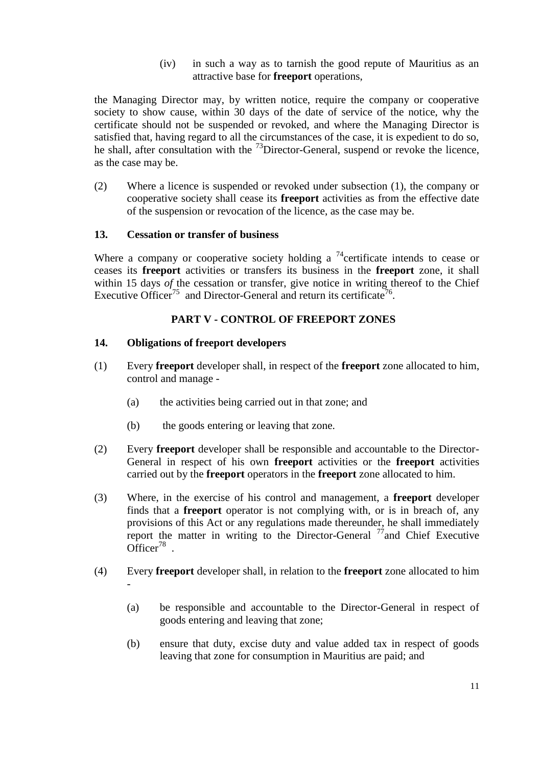(iv) in such a way as to tarnish the good repute of Mauritius as an attractive base for **freeport** operations,

the Managing Director may, by written notice, require the company or cooperative society to show cause, within 30 days of the date of service of the notice, why the certificate should not be suspended or revoked, and where the Managing Director is satisfied that, having regard to all the circumstances of the case, it is expedient to do so, he shall, after consultation with the  $^{73}$ Director-General, suspend or revoke the licence, as the case may be.

(2) Where a licence is suspended or revoked under subsection (1), the company or cooperative society shall cease its **freeport** activities as from the effective date of the suspension or revocation of the licence, as the case may be.

# <span id="page-10-0"></span>**13. Cessation or transfer of business**

Where a company or cooperative society holding a <sup>74</sup>certificate intends to cease or ceases its **freeport** activities or transfers its business in the **freeport** zone, it shall within 15 days *of* the cessation or transfer, give notice in writing thereof to the Chief Executive Officer<sup>75</sup> and Director-General and return its certificate<sup>76</sup>.

# **PART V - CONTROL OF FREEPORT ZONES**

# <span id="page-10-2"></span><span id="page-10-1"></span>**14. Obligations of freeport developers**

- (1) Every **freeport** developer shall, in respect of the **freeport** zone allocated to him, control and manage -
	- (a) the activities being carried out in that zone; and
	- (b) the goods entering or leaving that zone.
- (2) Every **freeport** developer shall be responsible and accountable to the Director-General in respect of his own **freeport** activities or the **freeport** activities carried out by the **freeport** operators in the **freeport** zone allocated to him.
- (3) Where, in the exercise of his control and management, a **freeport** developer finds that a **freeport** operator is not complying with, or is in breach of, any provisions of this Act or any regulations made thereunder, he shall immediately report the matter in writing to the Director-General  $\frac{7}{3}$  and Chief Executive Officer<sup>78</sup>.
- (4) Every **freeport** developer shall, in relation to the **freeport** zone allocated to him -
	- (a) be responsible and accountable to the Director-General in respect of goods entering and leaving that zone;
	- (b) ensure that duty, excise duty and value added tax in respect of goods leaving that zone for consumption in Mauritius are paid; and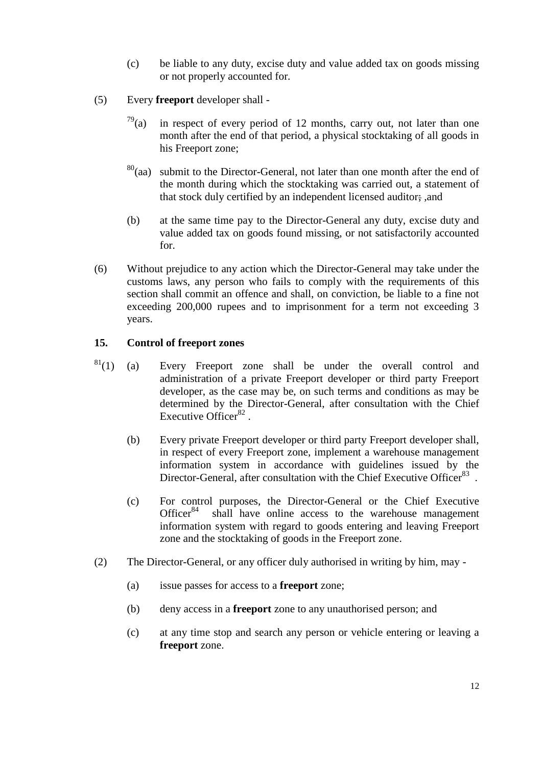- (c) be liable to any duty, excise duty and value added tax on goods missing or not properly accounted for.
- (5) Every **freeport** developer shall
	- $79$ (a) in respect of every period of 12 months, carry out, not later than one month after the end of that period, a physical stocktaking of all goods in his Freeport zone;
	- $80$ (aa) submit to the Director-General, not later than one month after the end of the month during which the stocktaking was carried out, a statement of that stock duly certified by an independent licensed auditor; , and
	- (b) at the same time pay to the Director-General any duty, excise duty and value added tax on goods found missing, or not satisfactorily accounted for.
- (6) Without prejudice to any action which the Director-General may take under the customs laws, any person who fails to comply with the requirements of this section shall commit an offence and shall, on conviction, be liable to a fine not exceeding 200,000 rupees and to imprisonment for a term not exceeding 3 years.

# <span id="page-11-0"></span>**15. Control of freeport zones**

- $81(1)$  (a) Every Freeport zone shall be under the overall control and administration of a private Freeport developer or third party Freeport developer, as the case may be, on such terms and conditions as may be determined by the Director-General, after consultation with the Chief Executive Officer $82$ .
	- (b) Every private Freeport developer or third party Freeport developer shall, in respect of every Freeport zone, implement a warehouse management information system in accordance with guidelines issued by the Director-General, after consultation with the Chief Executive Officer<sup>83</sup>.
	- (c) For control purposes, the Director-General or the Chief Executive Office $r^{84}$  shall have online access to the warehouse management information system with regard to goods entering and leaving Freeport zone and the stocktaking of goods in the Freeport zone.
- (2) The Director-General, or any officer duly authorised in writing by him, may
	- (a) issue passes for access to a **freeport** zone;
	- (b) deny access in a **freeport** zone to any unauthorised person; and
	- (c) at any time stop and search any person or vehicle entering or leaving a **freeport** zone.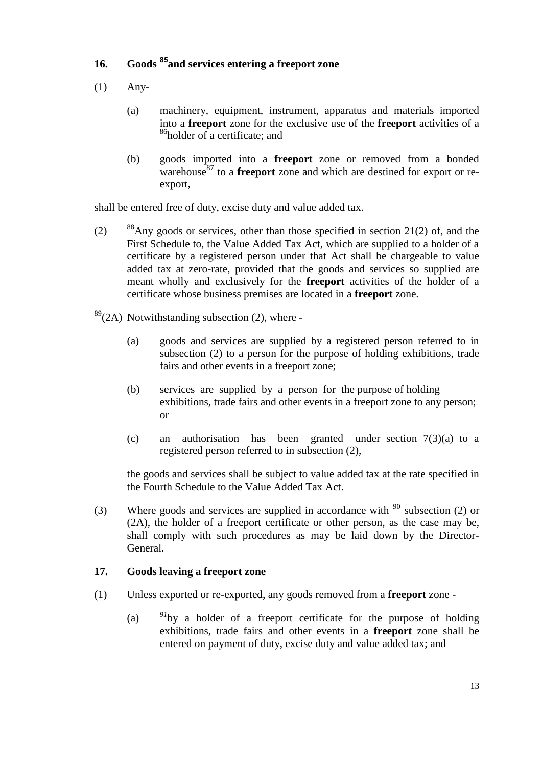# <span id="page-12-0"></span>**16. Goods <sup>85</sup>and services entering a freeport zone**

- (1) Any-
	- (a) machinery, equipment, instrument, apparatus and materials imported into a **freeport** zone for the exclusive use of the **freeport** activities of a  $86$ holder of a certificate; and
	- (b) goods imported into a **freeport** zone or removed from a bonded warehouse<sup>87</sup> to a **freeport** zone and which are destined for export or reexport,

shall be entered free of duty, excise duty and value added tax.

- (2)  $88$ Any goods or services, other than those specified in section 21(2) of, and the First Schedule to, the Value Added Tax Act, which are supplied to a holder of a certificate by a registered person under that Act shall be chargeable to value added tax at zero-rate, provided that the goods and services so supplied are meant wholly and exclusively for the **freeport** activities of the holder of a certificate whose business premises are located in a **freeport** zone.
- $89(2)$  Notwithstanding subsection (2), where -
	- (a) goods and services are supplied by a registered person referred to in subsection (2) to a person for the purpose of holding exhibitions, trade fairs and other events in a freeport zone;
	- (b) services are supplied by a person for the purpose of holding exhibitions, trade fairs and other events in a freeport zone to any person; or
	- (c) an authorisation has been granted under section 7(3)(a) to a registered person referred to in subsection (2),

the goods and services shall be subject to value added tax at the rate specified in the Fourth Schedule to the Value Added Tax Act.

(3) Where goods and services are supplied in accordance with  $90$  subsection (2) or (2A), the holder of a freeport certificate or other person, as the case may be, shall comply with such procedures as may be laid down by the Director-General.

# <span id="page-12-1"></span>**17. Goods leaving a freeport zone**

- (1) Unless exported or re-exported, any goods removed from a **freeport** zone
	- (a) *<sup>91</sup>*by a holder of a freeport certificate for the purpose of holding exhibitions, trade fairs and other events in a **freeport** zone shall be entered on payment of duty, excise duty and value added tax; and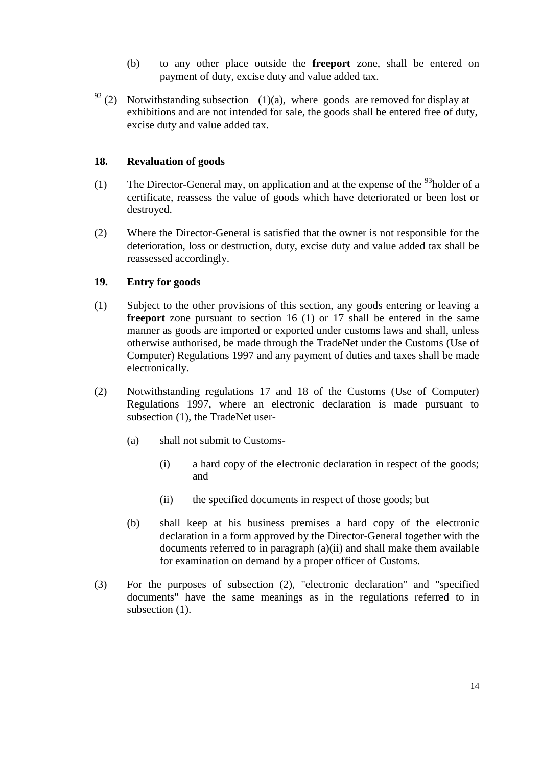- (b) to any other place outside the **freeport** zone, shall be entered on payment of duty, excise duty and value added tax.
- $92$  (2) Notwithstanding subsection (1)(a), where goods are removed for display at exhibitions and are not intended for sale, the goods shall be entered free of duty, excise duty and value added tax.

# <span id="page-13-0"></span>**18. Revaluation of goods**

- (1) The Director-General may, on application and at the expense of the  $93$ holder of a certificate, reassess the value of goods which have deteriorated or been lost or destroyed.
- (2) Where the Director-General is satisfied that the owner is not responsible for the deterioration, loss or destruction, duty, excise duty and value added tax shall be reassessed accordingly.

# <span id="page-13-1"></span>**19. Entry for goods**

- (1) Subject to the other provisions of this section, any goods entering or leaving a **freeport** zone pursuant to section 16 (1) or 17 shall be entered in the same manner as goods are imported or exported under customs laws and shall, unless otherwise authorised, be made through the TradeNet under the Customs (Use of Computer) Regulations 1997 and any payment of duties and taxes shall be made electronically.
- (2) Notwithstanding regulations 17 and 18 of the Customs (Use of Computer) Regulations 1997, where an electronic declaration is made pursuant to subsection (1), the TradeNet user-
	- (a) shall not submit to Customs-
		- (i) a hard copy of the electronic declaration in respect of the goods; and
		- (ii) the specified documents in respect of those goods; but
	- (b) shall keep at his business premises a hard copy of the electronic declaration in a form approved by the Director-General together with the documents referred to in paragraph (a)(ii) and shall make them available for examination on demand by a proper officer of Customs.
- (3) For the purposes of subsection (2), "electronic declaration" and "specified documents" have the same meanings as in the regulations referred to in subsection  $(1)$ .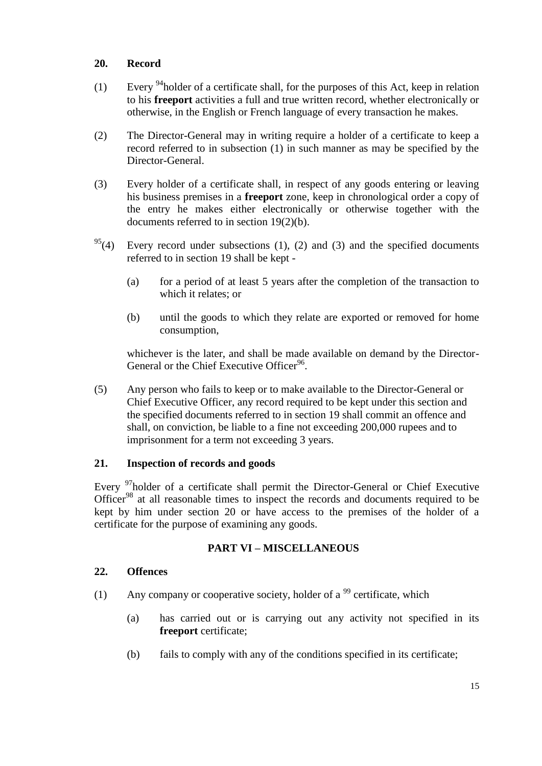# <span id="page-14-0"></span>**20. Record**

- (1) Every <sup>94</sup>holder of a certificate shall, for the purposes of this Act, keep in relation to his **freeport** activities a full and true written record, whether electronically or otherwise, in the English or French language of every transaction he makes.
- (2) The Director-General may in writing require a holder of a certificate to keep a record referred to in subsection (1) in such manner as may be specified by the Director-General.
- (3) Every holder of a certificate shall, in respect of any goods entering or leaving his business premises in a **freeport** zone, keep in chronological order a copy of the entry he makes either electronically or otherwise together with the documents referred to in section 19(2)(b).
- $95(4)$  Every record under subsections (1), (2) and (3) and the specified documents referred to in section 19 shall be kept -
	- (a) for a period of at least 5 years after the completion of the transaction to which it relates; or
	- (b) until the goods to which they relate are exported or removed for home consumption,

whichever is the later, and shall be made available on demand by the Director-General or the Chief Executive Officer<sup>96</sup>.

(5) Any person who fails to keep or to make available to the Director-General or Chief Executive Officer, any record required to be kept under this section and the specified documents referred to in section 19 shall commit an offence and shall, on conviction, be liable to a fine not exceeding 200,000 rupees and to imprisonment for a term not exceeding 3 years.

# <span id="page-14-1"></span>**21. Inspection of records and goods**

Every <sup>97</sup>holder of a certificate shall permit the Director-General or Chief Executive Officer<sup>98</sup> at all reasonable times to inspect the records and documents required to be kept by him under section 20 or have access to the premises of the holder of a certificate for the purpose of examining any goods.

# **PART VI – MISCELLANEOUS**

# <span id="page-14-3"></span><span id="page-14-2"></span>**22. Offences**

- (1) Any company or cooperative society, holder of a  $^{99}$  certificate, which
	- (a) has carried out or is carrying out any activity not specified in its **freeport** certificate;
	- (b) fails to comply with any of the conditions specified in its certificate;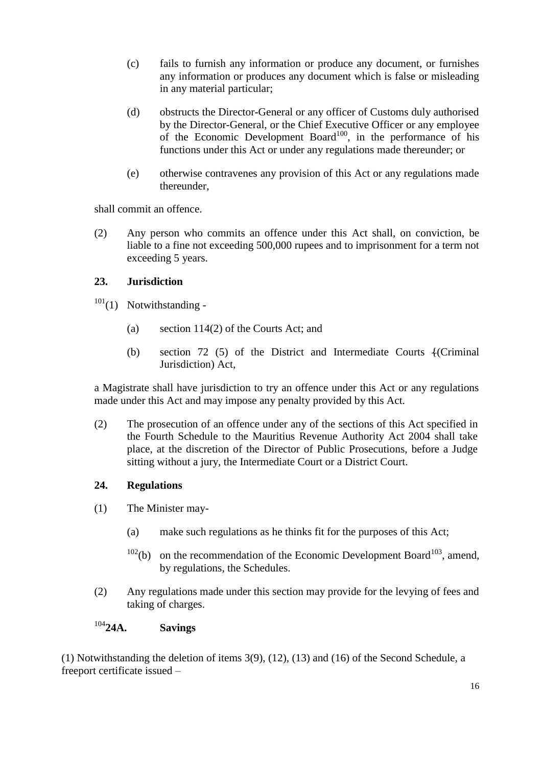- (c) fails to furnish any information or produce any document, or furnishes any information or produces any document which is false or misleading in any material particular;
- (d) obstructs the Director-General or any officer of Customs duly authorised by the Director-General, or the Chief Executive Officer or any employee of the Economic Development Board<sup>100</sup>, in the performance of his functions under this Act or under any regulations made thereunder; or
- (e) otherwise contravenes any provision of this Act or any regulations made thereunder,

shall commit an offence.

(2) Any person who commits an offence under this Act shall, on conviction, be liable to a fine not exceeding 500,000 rupees and to imprisonment for a term not exceeding 5 years.

# <span id="page-15-0"></span>**23. Jurisdiction**

- $101(1)$  Notwithstanding -
	- (a) section 114(2) of the Courts Act; and
	- (b) section 72 (5) of the District and Intermediate Courts {(Criminal Jurisdiction) Act,

a Magistrate shall have jurisdiction to try an offence under this Act or any regulations made under this Act and may impose any penalty provided by this Act.

(2) The prosecution of an offence under any of the sections of this Act specified in the Fourth Schedule to the Mauritius Revenue Authority Act 2004 shall take place, at the discretion of the Director of Public Prosecutions, before a Judge sitting without a jury, the Intermediate Court or a District Court.

# <span id="page-15-1"></span>**24. Regulations**

- (1) The Minister may-
	- (a) make such regulations as he thinks fit for the purposes of this Act;
	- $102<sub>(b)</sub>$  on the recommendation of the Economic Development Board<sup>103</sup>, amend, by regulations, the Schedules.
- (2) Any regulations made under this section may provide for the levying of fees and taking of charges.

# <span id="page-15-2"></span><sup>104</sup>**24A. Savings**

(1) Notwithstanding the deletion of items 3(9), (12), (13) and (16) of the Second Schedule, a freeport certificate issued –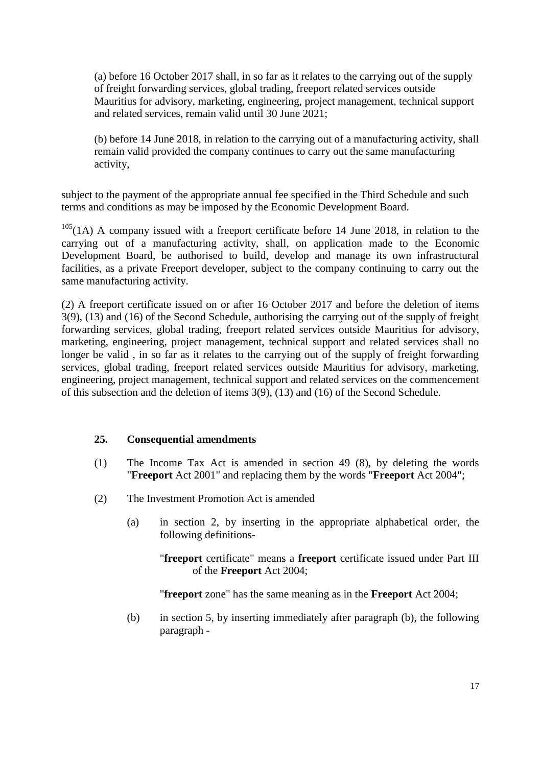(a) before 16 October 2017 shall, in so far as it relates to the carrying out of the supply of freight forwarding services, global trading, freeport related services outside Mauritius for advisory, marketing, engineering, project management, technical support and related services, remain valid until 30 June 2021;

(b) before 14 June 2018, in relation to the carrying out of a manufacturing activity, shall remain valid provided the company continues to carry out the same manufacturing activity,

subject to the payment of the appropriate annual fee specified in the Third Schedule and such terms and conditions as may be imposed by the Economic Development Board.

 $105(1)$  A company issued with a freeport certificate before 14 June 2018, in relation to the carrying out of a manufacturing activity, shall, on application made to the Economic Development Board, be authorised to build, develop and manage its own infrastructural facilities, as a private Freeport developer, subject to the company continuing to carry out the same manufacturing activity.

(2) A freeport certificate issued on or after 16 October 2017 and before the deletion of items 3(9), (13) and (16) of the Second Schedule, authorising the carrying out of the supply of freight forwarding services, global trading, freeport related services outside Mauritius for advisory, marketing, engineering, project management, technical support and related services shall no longer be valid, in so far as it relates to the carrying out of the supply of freight forwarding services, global trading, freeport related services outside Mauritius for advisory, marketing, engineering, project management, technical support and related services on the commencement of this subsection and the deletion of items 3(9), (13) and (16) of the Second Schedule.

# <span id="page-16-0"></span>**25. Consequential amendments**

- (1) The Income Tax Act is amended in section 49 (8), by deleting the words "**Freeport** Act 2001" and replacing them by the words "**Freeport** Act 2004";
- (2) The Investment Promotion Act is amended
	- (a) in section 2, by inserting in the appropriate alphabetical order, the following definitions-

"**freeport** certificate" means a **freeport** certificate issued under Part III of the **Freeport** Act 2004;

"**freeport** zone" has the same meaning as in the **Freeport** Act 2004;

(b) in section 5, by inserting immediately after paragraph (b), the following paragraph -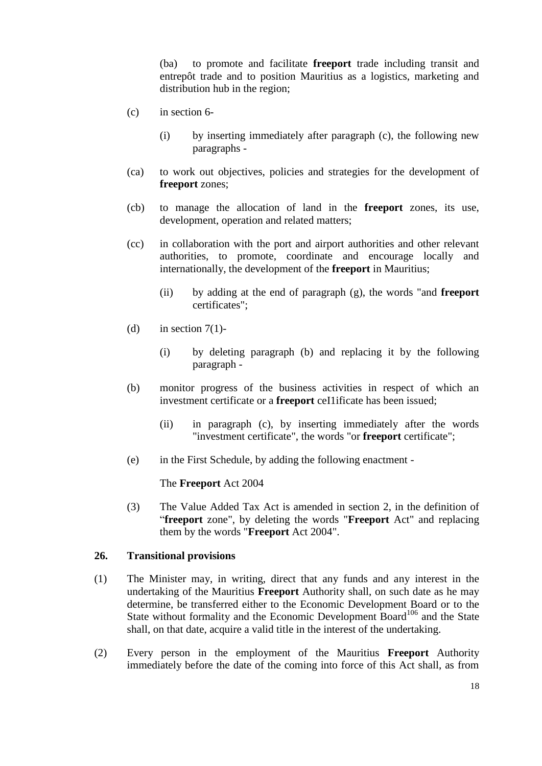(ba) to promote and facilitate **freeport** trade including transit and entrepôt trade and to position Mauritius as a logistics, marketing and distribution hub in the region;

- (c) in section 6-
	- (i) by inserting immediately after paragraph (c), the following new paragraphs -
- (ca) to work out objectives, policies and strategies for the development of **freeport** zones;
- (cb) to manage the allocation of land in the **freeport** zones, its use, development, operation and related matters;
- (cc) in collaboration with the port and airport authorities and other relevant authorities, to promote, coordinate and encourage locally and internationally, the development of the **freeport** in Mauritius;
	- (ii) by adding at the end of paragraph (g), the words "and **freeport** certificates";
- (d) in section  $7(1)$ -
	- (i) by deleting paragraph (b) and replacing it by the following paragraph -
- (b) monitor progress of the business activities in respect of which an investment certificate or a **freeport** ceI1ificate has been issued;
	- (ii) in paragraph (c), by inserting immediately after the words "investment certificate", the words "or **freeport** certificate";
- (e) in the First Schedule, by adding the following enactment -

The **Freeport** Act 2004

(3) The Value Added Tax Act is amended in section 2, in the definition of ―**freeport** zone", by deleting the words "**Freeport** Act" and replacing them by the words "**Freeport** Act 2004".

# <span id="page-17-0"></span>**26. Transitional provisions**

- (1) The Minister may, in writing, direct that any funds and any interest in the undertaking of the Mauritius **Freeport** Authority shall, on such date as he may determine, be transferred either to the Economic Development Board or to the State without formality and the Economic Development  $\overline{Board}^{106}$  and the State shall, on that date, acquire a valid title in the interest of the undertaking.
- (2) Every person in the employment of the Mauritius **Freeport** Authority immediately before the date of the coming into force of this Act shall, as from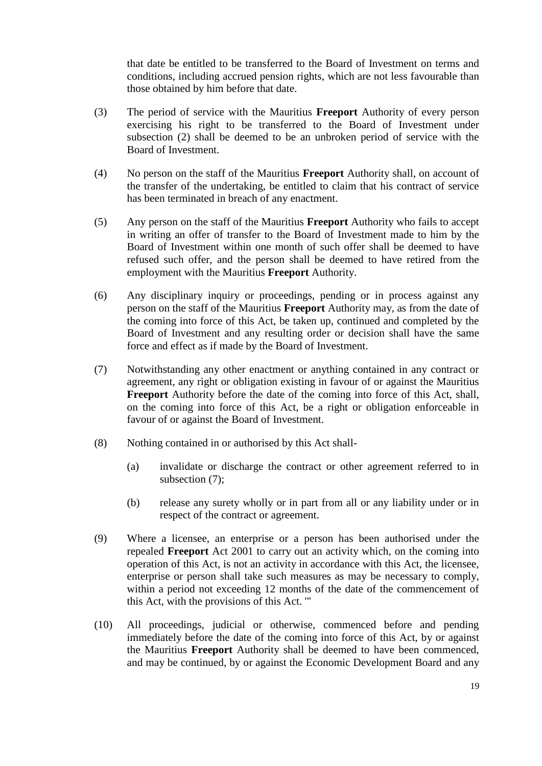that date be entitled to be transferred to the Board of Investment on terms and conditions, including accrued pension rights, which are not less favourable than those obtained by him before that date.

- (3) The period of service with the Mauritius **Freeport** Authority of every person exercising his right to be transferred to the Board of Investment under subsection (2) shall be deemed to be an unbroken period of service with the Board of Investment.
- (4) No person on the staff of the Mauritius **Freeport** Authority shall, on account of the transfer of the undertaking, be entitled to claim that his contract of service has been terminated in breach of any enactment.
- (5) Any person on the staff of the Mauritius **Freeport** Authority who fails to accept in writing an offer of transfer to the Board of Investment made to him by the Board of Investment within one month of such offer shall be deemed to have refused such offer, and the person shall be deemed to have retired from the employment with the Mauritius **Freeport** Authority.
- (6) Any disciplinary inquiry or proceedings, pending or in process against any person on the staff of the Mauritius **Freeport** Authority may, as from the date of the coming into force of this Act, be taken up, continued and completed by the Board of Investment and any resulting order or decision shall have the same force and effect as if made by the Board of Investment.
- (7) Notwithstanding any other enactment or anything contained in any contract or agreement, any right or obligation existing in favour of or against the Mauritius **Freeport** Authority before the date of the coming into force of this Act, shall, on the coming into force of this Act, be a right or obligation enforceable in favour of or against the Board of Investment.
- (8) Nothing contained in or authorised by this Act shall-
	- (a) invalidate or discharge the contract or other agreement referred to in subsection  $(7)$ ;
	- (b) release any surety wholly or in part from all or any liability under or in respect of the contract or agreement.
- (9) Where a licensee, an enterprise or a person has been authorised under the repealed **Freeport** Act 2001 to carry out an activity which, on the coming into operation of this Act, is not an activity in accordance with this Act, the licensee, enterprise or person shall take such measures as may be necessary to comply, within a period not exceeding 12 months of the date of the commencement of this Act, with the provisions of this Act. '"
- (10) All proceedings, judicial or otherwise, commenced before and pending immediately before the date of the coming into force of this Act, by or against the Mauritius **Freeport** Authority shall be deemed to have been commenced, and may be continued, by or against the Economic Development Board and any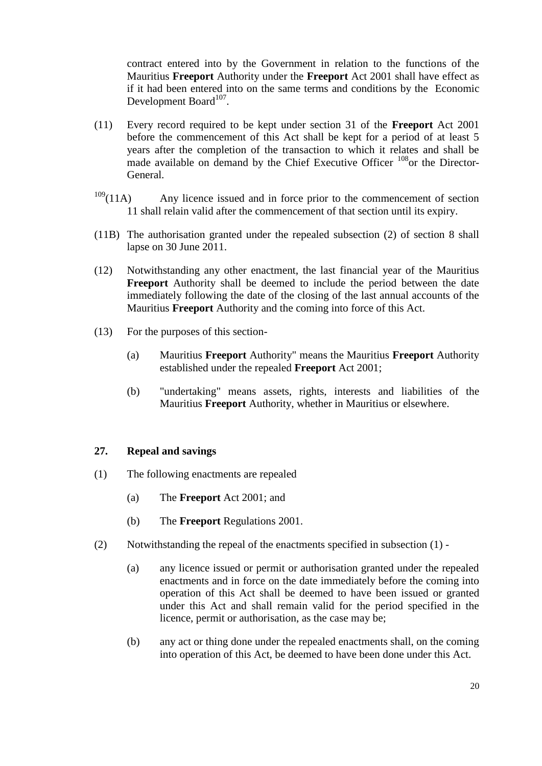contract entered into by the Government in relation to the functions of the Mauritius **Freeport** Authority under the **Freeport** Act 2001 shall have effect as if it had been entered into on the same terms and conditions by the Economic Development Board<sup>107</sup>.

- (11) Every record required to be kept under section 31 of the **Freeport** Act 2001 before the commencement of this Act shall be kept for a period of at least 5 years after the completion of the transaction to which it relates and shall be made available on demand by the Chief Executive Officer <sup>108</sup>or the Director-General.
- $109(11)$  Any licence issued and in force prior to the commencement of section 11 shall relain valid after the commencement of that section until its expiry.
- (11B) The authorisation granted under the repealed subsection (2) of section 8 shall lapse on 30 June 2011.
- (12) Notwithstanding any other enactment, the last financial year of the Mauritius **Freeport** Authority shall be deemed to include the period between the date immediately following the date of the closing of the last annual accounts of the Mauritius **Freeport** Authority and the coming into force of this Act.
- (13) For the purposes of this section-
	- (a) Mauritius **Freeport** Authority" means the Mauritius **Freeport** Authority established under the repealed **Freeport** Act 2001;
	- (b) "undertaking" means assets, rights, interests and liabilities of the Mauritius **Freeport** Authority, whether in Mauritius or elsewhere.

### <span id="page-19-0"></span>**27. Repeal and savings**

- (1) The following enactments are repealed
	- (a) The **Freeport** Act 2001; and
	- (b) The **Freeport** Regulations 2001.
- (2) Notwithstanding the repeal of the enactments specified in subsection (1)
	- (a) any licence issued or permit or authorisation granted under the repealed enactments and in force on the date immediately before the coming into operation of this Act shall be deemed to have been issued or granted under this Act and shall remain valid for the period specified in the licence, permit or authorisation, as the case may be;
	- (b) any act or thing done under the repealed enactments shall, on the coming into operation of this Act, be deemed to have been done under this Act.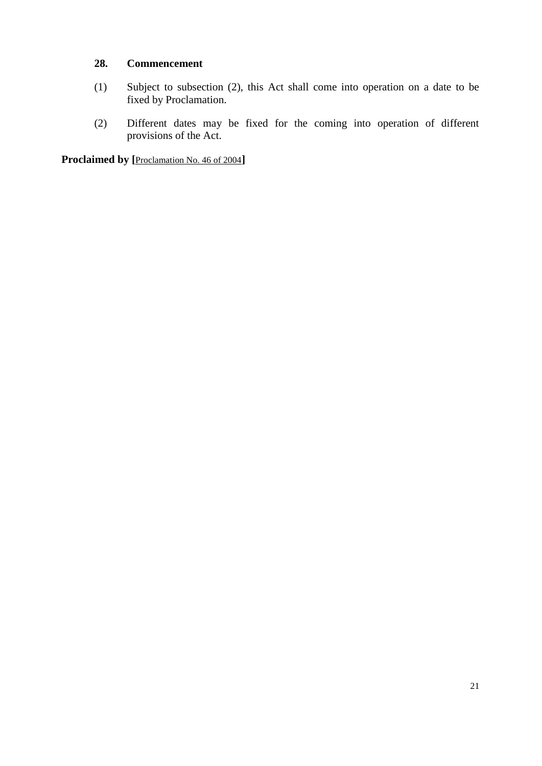# <span id="page-20-0"></span>**28. Commencement**

- (1) Subject to subsection (2), this Act shall come into operation on a date to be fixed by Proclamation.
- (2) Different dates may be fixed for the coming into operation of different provisions of the Act.

**Proclaimed by [**[Proclamation No. 46 of 2004](http://supremecourt.intnet.mu/Main/GetDoc.asp?Doc_Title=Proclamation+No.+46+of+2004&Mode=Html&Search=No)**]**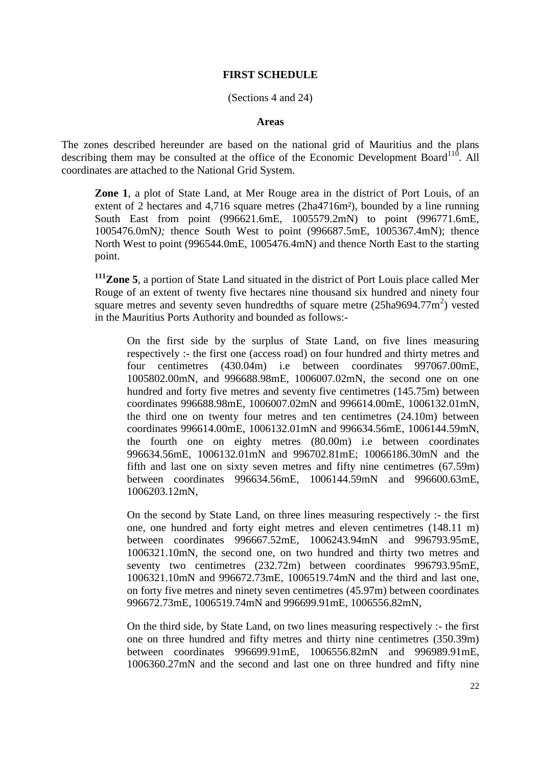# **FIRST SCHEDULE**

### (Sections 4 and 24)

### **Areas**

<span id="page-21-0"></span>The zones described hereunder are based on the national grid of Mauritius and the plans describing them may be consulted at the office of the Economic Development Board<sup>110</sup>. All coordinates are attached to the National Grid System.

**Zone 1**, a plot of State Land, at Mer Rouge area in the district of Port Louis, of an extent of 2 hectares and 4,716 square metres (2ha4716m<sup>2</sup>), bounded by a line running South East from point (996621.6mE, 1005579.2mN) to point (996771.6mE, 1005476.0mN*);* thence South West to point (996687.5mE, 1005367.4mN); thence North West to point (996544.0mE, 1005476.4mN) and thence North East to the starting point.

**<sup>111</sup>Zone 5**, a portion of State Land situated in the district of Port Louis place called Mer Rouge of an extent of twenty five hectares nine thousand six hundred and ninety four square metres and seventy seven hundredths of square metre  $(25ha9694.77m^2)$  vested in the Mauritius Ports Authority and bounded as follows:-

On the first side by the surplus of State Land, on five lines measuring respectively :- the first one (access road) on four hundred and thirty metres and four centimetres (430.04m) i.e between coordinates 997067.00mE, 1005802.00mN, and 996688.98mE, 1006007.02mN, the second one on one hundred and forty five metres and seventy five centimetres (145.75m) between coordinates 996688.98mE, 1006007.02mN and 996614.00mE, 1006132.01mN, the third one on twenty four metres and ten centimetres (24.10m) between coordinates 996614.00mE, 1006132.01mN and 996634.56mE, 1006144.59mN, the fourth one on eighty metres (80.00m) i.e between coordinates 996634.56mE, 1006132.01mN and 996702.81mE; 10066186.30mN and the fifth and last one on sixty seven metres and fifty nine centimetres (67.59m) between coordinates 996634.56mE, 1006144.59mN and 996600.63mE, 1006203.12mN,

On the second by State Land, on three lines measuring respectively :- the first one, one hundred and forty eight metres and eleven centimetres (148.11 m) between coordinates 996667.52mE, 1006243.94mN and 996793.95mE, 1006321.10mN, the second one, on two hundred and thirty two metres and seventy two centimetres (232.72m) between coordinates 996793.95mE, 1006321.10mN and 996672.73mE, 1006519.74mN and the third and last one, on forty five metres and ninety seven centimetres (45.97m) between coordinates 996672.73mE, 1006519.74mN and 996699.91mE, 1006556.82mN,

On the third side, by State Land, on two lines measuring respectively :- the first one on three hundred and fifty metres and thirty nine centimetres (350.39m) between coordinates 996699.91mE, 1006556.82mN and 996989.91mE, 1006360.27mN and the second and last one on three hundred and fifty nine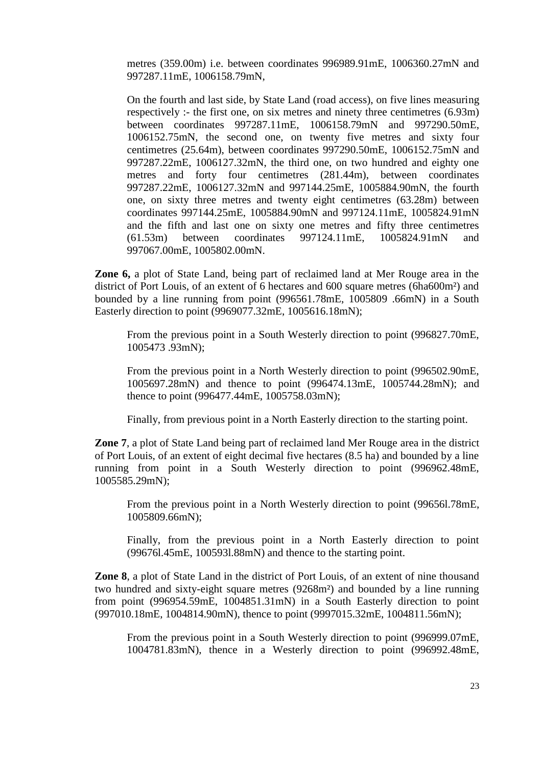metres (359.00m) i.e. between coordinates 996989.91mE, 1006360.27mN and 997287.11mE, 1006158.79mN,

On the fourth and last side, by State Land (road access), on five lines measuring respectively :- the first one, on six metres and ninety three centimetres (6.93m) between coordinates 997287.11mE, 1006158.79mN and 997290.50mE, 1006152.75mN, the second one, on twenty five metres and sixty four centimetres (25.64m), between coordinates 997290.50mE, 1006152.75mN and 997287.22mE, 1006127.32mN, the third one, on two hundred and eighty one metres and forty four centimetres (281.44m), between coordinates 997287.22mE, 1006127.32mN and 997144.25mE, 1005884.90mN, the fourth one, on sixty three metres and twenty eight centimetres (63.28m) between coordinates 997144.25mE, 1005884.90mN and 997124.11mE, 1005824.91mN and the fifth and last one on sixty one metres and fifty three centimetres (61.53m) between coordinates 997124.11mE, 1005824.91mN and 997067.00mE, 1005802.00mN.

**Zone 6,** a plot of State Land, being part of reclaimed land at Mer Rouge area in the district of Port Louis, of an extent of 6 hectares and 600 square metres (6ha600m²) and bounded by a line running from point (996561.78mE, 1005809 .66mN) in a South Easterly direction to point (9969077.32mE, 1005616.18mN);

From the previous point in a South Westerly direction to point (996827.70mE, 1005473 .93mN);

From the previous point in a North Westerly direction to point (996502.90mE, 1005697.28mN) and thence to point (996474.13mE, 1005744.28mN); and thence to point (996477.44mE, 1005758.03mN);

Finally, from previous point in a North Easterly direction to the starting point.

**Zone 7**, a plot of State Land being part of reclaimed land Mer Rouge area in the district of Port Louis, of an extent of eight decimal five hectares (8.5 ha) and bounded by a line running from point in a South Westerly direction to point (996962.48mE, 1005585.29mN);

From the previous point in a North Westerly direction to point (99656l.78mE, 1005809.66mN);

Finally, from the previous point in a North Easterly direction to point (99676l.45mE, 100593l.88mN) and thence to the starting point.

**Zone 8**, a plot of State Land in the district of Port Louis, of an extent of nine thousand two hundred and sixty-eight square metres (9268m²) and bounded by a line running from point (996954.59mE, 1004851.31mN) in a South Easterly direction to point (997010.18mE, 1004814.90mN), thence to point (9997015.32mE, 1004811.56mN);

From the previous point in a South Westerly direction to point (996999.07mE, 1004781.83mN), thence in a Westerly direction to point (996992.48mE,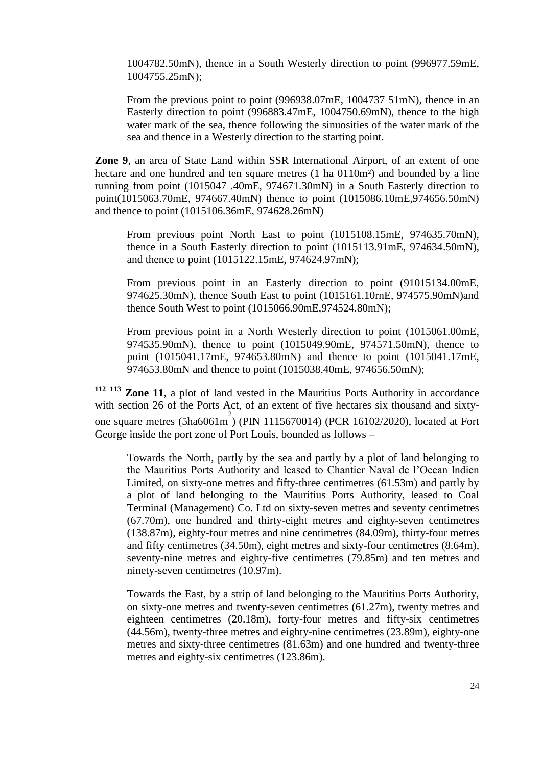1004782.50mN), thence in a South Westerly direction to point (996977.59mE, 1004755.25mN);

From the previous point to point (996938.07mE, 1004737 51mN), thence in an Easterly direction to point (996883.47mE, 1004750.69mN), thence to the high water mark of the sea, thence following the sinuosities of the water mark of the sea and thence in a Westerly direction to the starting point.

**Zone 9**, an area of State Land within SSR International Airport, of an extent of one hectare and one hundred and ten square metres (1 ha 0110m<sup>2</sup>) and bounded by a line running from point (1015047 .40mE, 974671.30mN) in a South Easterly direction to point(1015063.70mE, 974667.40mN) thence to point (1015086.10mE,974656.50mN) and thence to point (1015106.36mE, 974628.26mN)

From previous point North East to point (1015108.15mE, 974635.70mN), thence in a South Easterly direction to point (1015113.91mE, 974634.50mN), and thence to point (1015122.15mE, 974624.97mN);

From previous point in an Easterly direction to point (91015134.00mE, 974625.30mN), thence South East to point (1015161.10rnE, 974575.90mN)and thence South West to point (1015066.90mE,974524.80mN);

From previous point in a North Westerly direction to point (1015061.00mE, 974535.90mN), thence to point (1015049.90mE, 974571.50mN), thence to point (1015041.17mE, 974653.80mN) and thence to point (1015041.17mE, 974653.80mN and thence to point (1015038.40mE, 974656.50mN);

**<sup>112</sup> <sup>113</sup> Zone 11**, a plot of land vested in the Mauritius Ports Authority in accordance with section 26 of the Ports Act, of an extent of five hectares six thousand and sixtyone square metres (5ha6061m 2 ) (PIN 1115670014) (PCR 16102/2020), located at Fort George inside the port zone of Port Louis, bounded as follows –

Towards the North, partly by the sea and partly by a plot of land belonging to the Mauritius Ports Authority and leased to Chantier Naval de l'Ocean lndien Limited, on sixty-one metres and fifty-three centimetres (61.53m) and partly by a plot of land belonging to the Mauritius Ports Authority, leased to Coal Terminal (Management) Co. Ltd on sixty-seven metres and seventy centimetres (67.70m), one hundred and thirty-eight metres and eighty-seven centimetres (138.87m), eighty-four metres and nine centimetres (84.09m), thirty-four metres and fifty centimetres (34.50m), eight metres and sixty-four centimetres (8.64m), seventy-nine metres and eighty-five centimetres (79.85m) and ten metres and ninety-seven centimetres (10.97m).

Towards the East, by a strip of land belonging to the Mauritius Ports Authority, on sixty-one metres and twenty-seven centimetres (61.27m), twenty metres and eighteen centimetres (20.18m), forty-four metres and fifty-six centimetres (44.56m), twenty-three metres and eighty-nine centimetres (23.89m), eighty-one metres and sixty-three centimetres (81.63m) and one hundred and twenty-three metres and eighty-six centimetres (123.86m).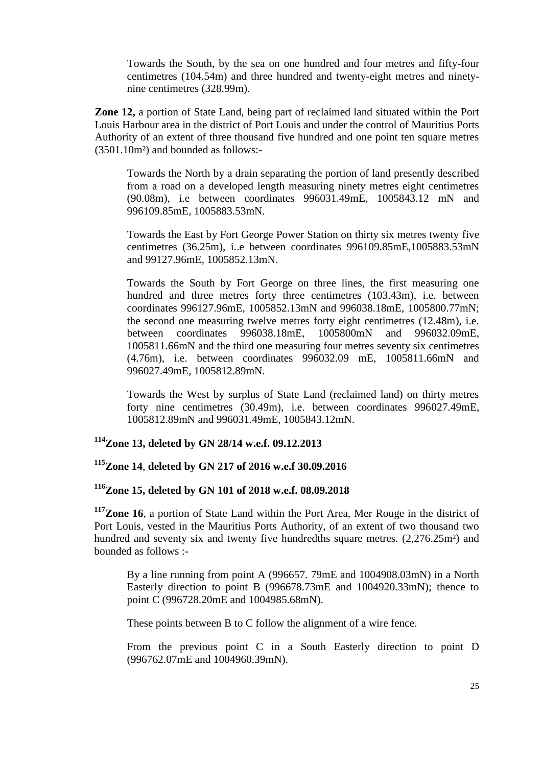Towards the South, by the sea on one hundred and four metres and fifty-four centimetres (104.54m) and three hundred and twenty-eight metres and ninetynine centimetres (328.99m).

**Zone 12,** a portion of State Land, being part of reclaimed land situated within the Port Louis Harbour area in the district of Port Louis and under the control of Mauritius Ports Authority of an extent of three thousand five hundred and one point ten square metres (3501.10m²) and bounded as follows:-

Towards the North by a drain separating the portion of land presently described from a road on a developed length measuring ninety metres eight centimetres (90.08m), i.e between coordinates 996031.49mE, 1005843.12 mN and 996109.85mE, 1005883.53mN.

Towards the East by Fort George Power Station on thirty six metres twenty five centimetres (36.25m), i..e between coordinates 996109.85mE,1005883.53mN and 99127.96mE, 1005852.13mN.

Towards the South by Fort George on three lines, the first measuring one hundred and three metres forty three centimetres (103.43m), i.e. between coordinates 996127.96mE, 1005852.13mN and 996038.18mE, 1005800.77mN; the second one measuring twelve metres forty eight centimetres (12.48m), i.e. between coordinates 996038.18mE, 1005800mN and 996032.09mE, 1005811.66mN and the third one measuring four metres seventy six centimetres (4.76m), i.e. between coordinates 996032.09 mE, 1005811.66mN and 996027.49mE, 1005812.89mN.

Towards the West by surplus of State Land (reclaimed land) on thirty metres forty nine centimetres (30.49m), i.e. between coordinates 996027.49mE, 1005812.89mN and 996031.49mE, 1005843.12mN.

# **<sup>114</sup>Zone 13, deleted by GN 28/14 w.e.f. 09.12.2013**

# **<sup>115</sup>Zone 14**, **deleted by GN 217 of 2016 w.e.f 30.09.2016**

# **<sup>116</sup>Zone 15, deleted by GN 101 of 2018 w.e.f. 08.09.2018**

**<sup>117</sup>Zone 16**, a portion of State Land within the Port Area, Mer Rouge in the district of Port Louis, vested in the Mauritius Ports Authority, of an extent of two thousand two hundred and seventy six and twenty five hundredths square metres.  $(2,276.25m^2)$  and bounded as follows :-

By a line running from point A (996657. 79mE and 1004908.03mN) in a North Easterly direction to point B (996678.73mE and 1004920.33mN); thence to point C (996728.20mE and 1004985.68mN).

These points between B to C follow the alignment of a wire fence.

From the previous point C in a South Easterly direction to point D (996762.07mE and 1004960.39mN).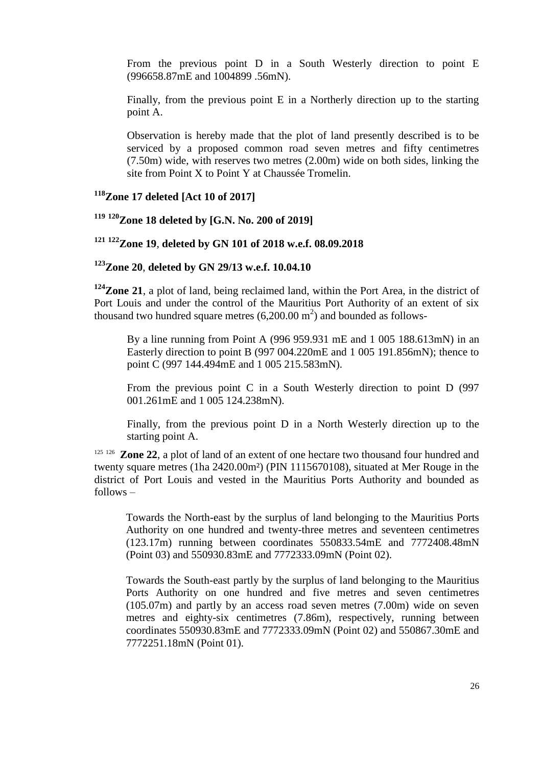From the previous point D in a South Westerly direction to point E (996658.87mE and 1004899 .56mN).

Finally, from the previous point E in a Northerly direction up to the starting point A.

Observation is hereby made that the plot of land presently described is to be serviced by a proposed common road seven metres and fifty centimetres (7.50m) wide, with reserves two metres (2.00m) wide on both sides, linking the site from Point X to Point Y at Chaussée Tromelin.

**<sup>118</sup>Zone 17 deleted [Act 10 of 2017]**

**<sup>119</sup> <sup>120</sup>Zone 18 deleted by [G.N. No. 200 of 2019]**

**<sup>121</sup> <sup>122</sup>Zone 19**, **deleted by GN 101 of 2018 w.e.f. 08.09.2018**

**<sup>123</sup>Zone 20**, **deleted by GN 29/13 w.e.f. 10.04.10**

**<sup>124</sup>Zone 21**, a plot of land, being reclaimed land, within the Port Area, in the district of Port Louis and under the control of the Mauritius Port Authority of an extent of six thousand two hundred square metres  $(6,200.00 \text{ m}^2)$  and bounded as follows-

By a line running from Point A (996 959.931 mE and 1 005 188.613mN) in an Easterly direction to point B (997 004.220mE and 1 005 191.856mN); thence to point C (997 144.494mE and 1 005 215.583mN).

From the previous point C in a South Westerly direction to point D (997 001.261mE and 1 005 124.238mN).

Finally, from the previous point D in a North Westerly direction up to the starting point A.

<sup>125 126</sup> **Zone 22**, a plot of land of an extent of one hectare two thousand four hundred and twenty square metres (1ha 2420.00m²) (PIN 1115670108), situated at Mer Rouge in the district of Port Louis and vested in the Mauritius Ports Authority and bounded as follows –

Towards the North-east by the surplus of land belonging to the Mauritius Ports Authority on one hundred and twenty-three metres and seventeen centimetres (123.17m) running between coordinates 550833.54mE and 7772408.48mN (Point 03) and 550930.83mE and 7772333.09mN (Point 02).

Towards the South-east partly by the surplus of land belonging to the Mauritius Ports Authority on one hundred and five metres and seven centimetres (105.07m) and partly by an access road seven metres (7.00m) wide on seven metres and eighty-six centimetres (7.86m), respectively, running between coordinates 550930.83mE and 7772333.09mN (Point 02) and 550867.30mE and 7772251.18mN (Point 01).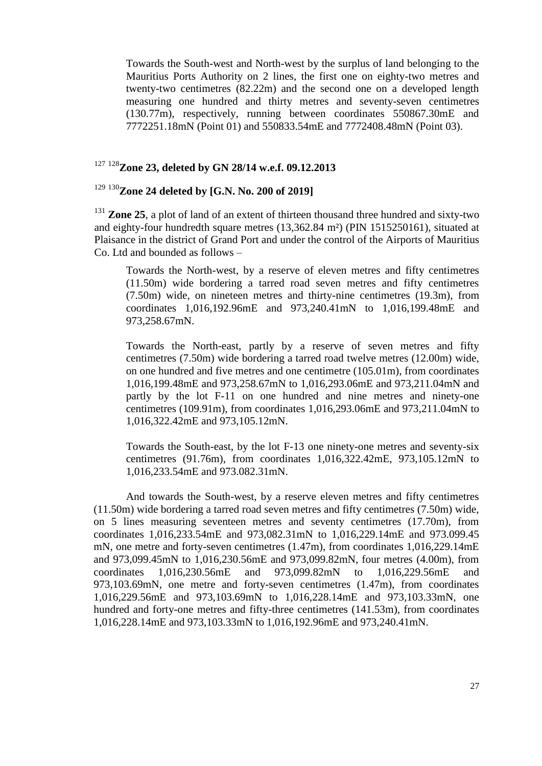Towards the South-west and North-west by the surplus of land belonging to the Mauritius Ports Authority on 2 lines, the first one on eighty-two metres and twenty-two centimetres (82.22m) and the second one on a developed length measuring one hundred and thirty metres and seventy-seven centimetres (130.77m), respectively, running between coordinates 550867.30mE and 7772251.18mN (Point 01) and 550833.54mE and 7772408.48mN (Point 03).

# <sup>127</sup> <sup>128</sup>**Zone 23, deleted by GN 28/14 w.e.f. 09.12.2013**

# <sup>129</sup> <sup>130</sup>**Zone 24 deleted by [G.N. No. 200 of 2019]**

<sup>131</sup> **Zone 25**, a plot of land of an extent of thirteen thousand three hundred and sixty-two and eighty-four hundredth square metres (13,362.84 m²) (PIN 1515250161), situated at Plaisance in the district of Grand Port and under the control of the Airports of Mauritius Co. Ltd and bounded as follows –

Towards the North-west, by a reserve of eleven metres and fifty centimetres (11.50m) wide bordering a tarred road seven metres and fifty centimetres (7.50m) wide, on nineteen metres and thirty-nine centimetres (19.3m), from coordinates 1,016,192.96mE and 973,240.41mN to 1,016,199.48mE and 973,258.67mN.

Towards the North-east, partly by a reserve of seven metres and fifty centimetres (7.50m) wide bordering a tarred road twelve metres (12.00m) wide, on one hundred and five metres and one centimetre (105.01m), from coordinates 1,016,199.48mE and 973,258.67mN to 1,016,293.06mE and 973,211.04mN and partly by the lot F-11 on one hundred and nine metres and ninety-one centimetres (109.91m), from coordinates 1,016,293.06mE and 973,211.04mN to 1,016,322.42mE and 973,105.12mN.

Towards the South-east, by the lot F-13 one ninety-one metres and seventy-six centimetres (91.76m), from coordinates 1,016,322.42mE, 973,105.12mN to 1,016,233.54mE and 973.082.31mN.

And towards the South-west, by a reserve eleven metres and fifty centimetres (11.50m) wide bordering a tarred road seven metres and fifty centimetres (7.50m) wide, on 5 lines measuring seventeen metres and seventy centimetres (17.70m), from coordinates 1,016,233.54mE and 973,082.31mN to 1,016,229.14mE and 973.099.45 mN, one metre and forty-seven centimetres (1.47m), from coordinates 1,016,229.14mE and 973,099.45mN to 1,016,230.56mE and 973,099.82mN, four metres (4.00m), from coordinates 1,016,230.56mE and 973,099.82mN to 1,016,229.56mE and  $973,103.69$ mN, one metre and forty-seven centimetres  $(1.47<sub>m</sub>)$ , from coordinates 1,016,229.56mE and 973,103.69mN to 1,016,228.14mE and 973,103.33mN, one hundred and forty-one metres and fifty-three centimetres (141.53m), from coordinates 1,016,228.14mE and 973,103.33mN to 1,016,192.96mE and 973,240.41mN.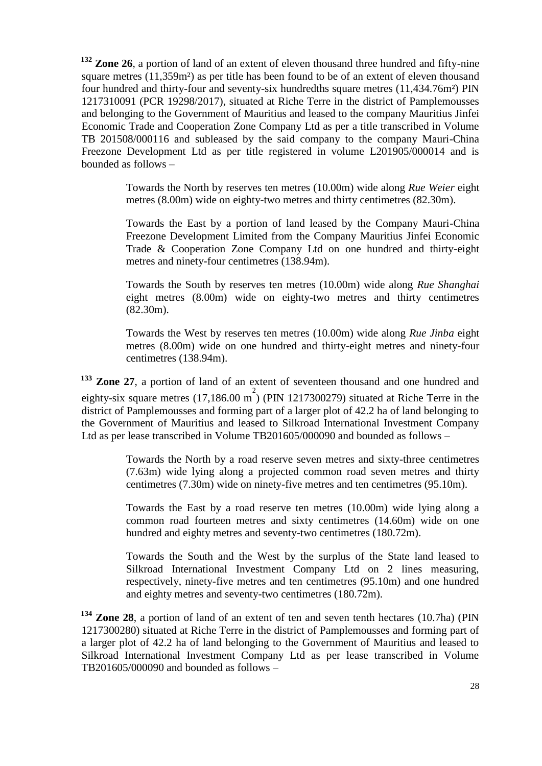**<sup>132</sup> Zone 26**, a portion of land of an extent of eleven thousand three hundred and fifty-nine square metres (11,359m<sup>2</sup>) as per title has been found to be of an extent of eleven thousand four hundred and thirty-four and seventy-six hundredths square metres (11,434.76m²) PIN 1217310091 (PCR 19298/2017), situated at Riche Terre in the district of Pamplemousses and belonging to the Government of Mauritius and leased to the company Mauritius Jinfei Economic Trade and Cooperation Zone Company Ltd as per a title transcribed in Volume TB 201508/000116 and subleased by the said company to the company Mauri-China Freezone Development Ltd as per title registered in volume L201905/000014 and is bounded as follows –

> Towards the North by reserves ten metres (10.00m) wide along *Rue Weier* eight metres (8.00m) wide on eighty-two metres and thirty centimetres (82.30m).

> Towards the East by a portion of land leased by the Company Mauri-China Freezone Development Limited from the Company Mauritius Jinfei Economic Trade & Cooperation Zone Company Ltd on one hundred and thirty-eight metres and ninety-four centimetres (138.94m).

> Towards the South by reserves ten metres (10.00m) wide along *Rue Shanghai*  eight metres (8.00m) wide on eighty-two metres and thirty centimetres (82.30m).

> Towards the West by reserves ten metres (10.00m) wide along *Rue Jinba* eight metres (8.00m) wide on one hundred and thirty-eight metres and ninety-four centimetres (138.94m).

**<sup>133</sup> Zone 27**, a portion of land of an extent of seventeen thousand and one hundred and eighty-six square metres  $(17,186.00 \text{ m}^2)$  (PIN 1217300279) situated at Riche Terre in the district of Pamplemousses and forming part of a larger plot of 42.2 ha of land belonging to the Government of Mauritius and leased to Silkroad International Investment Company Ltd as per lease transcribed in Volume TB201605/000090 and bounded as follows –

> Towards the North by a road reserve seven metres and sixty-three centimetres (7.63m) wide lying along a projected common road seven metres and thirty centimetres (7.30m) wide on ninety-five metres and ten centimetres (95.10m).

> Towards the East by a road reserve ten metres (10.00m) wide lying along a common road fourteen metres and sixty centimetres (14.60m) wide on one hundred and eighty metres and seventy-two centimetres (180.72m).

> Towards the South and the West by the surplus of the State land leased to Silkroad International Investment Company Ltd on 2 lines measuring, respectively, ninety-five metres and ten centimetres (95.10m) and one hundred and eighty metres and seventy-two centimetres (180.72m).

**<sup>134</sup> Zone 28**, a portion of land of an extent of ten and seven tenth hectares (10.7ha) (PIN 1217300280) situated at Riche Terre in the district of Pamplemousses and forming part of a larger plot of 42.2 ha of land belonging to the Government of Mauritius and leased to Silkroad International Investment Company Ltd as per lease transcribed in Volume TB201605/000090 and bounded as follows  $-$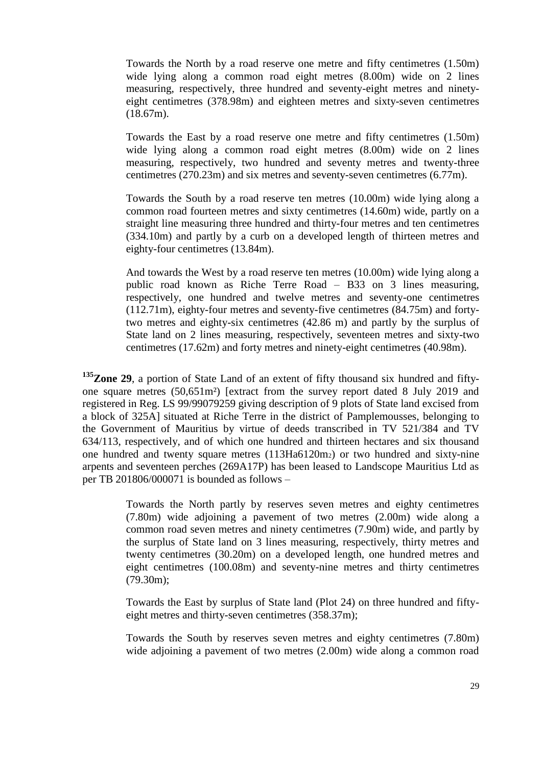Towards the North by a road reserve one metre and fifty centimetres (1.50m) wide lying along a common road eight metres  $(8.00m)$  wide on 2 lines measuring, respectively, three hundred and seventy-eight metres and ninetyeight centimetres (378.98m) and eighteen metres and sixty-seven centimetres (18.67m).

Towards the East by a road reserve one metre and fifty centimetres (1.50m) wide lying along a common road eight metres  $(8.00m)$  wide on 2 lines measuring, respectively, two hundred and seventy metres and twenty-three centimetres (270.23m) and six metres and seventy-seven centimetres (6.77m).

Towards the South by a road reserve ten metres (10.00m) wide lying along a common road fourteen metres and sixty centimetres (14.60m) wide, partly on a straight line measuring three hundred and thirty-four metres and ten centimetres (334.10m) and partly by a curb on a developed length of thirteen metres and eighty-four centimetres (13.84m).

And towards the West by a road reserve ten metres (10.00m) wide lying along a public road known as Riche Terre Road – B33 on 3 lines measuring, respectively, one hundred and twelve metres and seventy-one centimetres (112.71m), eighty-four metres and seventy-five centimetres (84.75m) and fortytwo metres and eighty-six centimetres (42.86 m) and partly by the surplus of State land on 2 lines measuring, respectively, seventeen metres and sixty-two centimetres (17.62m) and forty metres and ninety-eight centimetres (40.98m).

**<sup>135</sup>Zone 29**, a portion of State Land of an extent of fifty thousand six hundred and fiftyone square metres (50,651m²) [extract from the survey report dated 8 July 2019 and registered in Reg. LS 99/99079259 giving description of 9 plots of State land excised from a block of 325A] situated at Riche Terre in the district of Pamplemousses, belonging to the Government of Mauritius by virtue of deeds transcribed in TV 521/384 and TV 634/113, respectively, and of which one hundred and thirteen hectares and six thousand one hundred and twenty square metres (113Ha6120m2) or two hundred and sixty-nine arpents and seventeen perches (269A17P) has been leased to Landscope Mauritius Ltd as per TB 201806/000071 is bounded as follows –

> Towards the North partly by reserves seven metres and eighty centimetres (7.80m) wide adjoining a pavement of two metres (2.00m) wide along a common road seven metres and ninety centimetres (7.90m) wide, and partly by the surplus of State land on 3 lines measuring, respectively, thirty metres and twenty centimetres (30.20m) on a developed length, one hundred metres and eight centimetres (100.08m) and seventy-nine metres and thirty centimetres (79.30m);

> Towards the East by surplus of State land (Plot 24) on three hundred and fiftyeight metres and thirty-seven centimetres (358.37m);

> Towards the South by reserves seven metres and eighty centimetres (7.80m) wide adjoining a pavement of two metres (2.00m) wide along a common road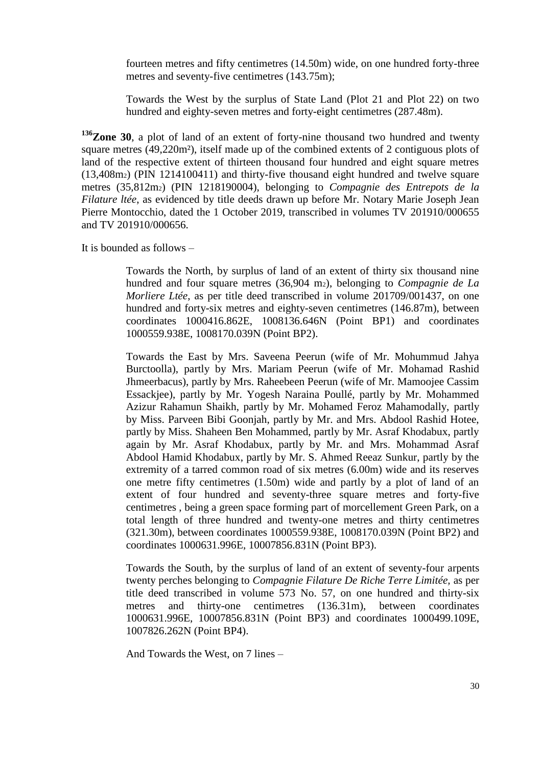fourteen metres and fifty centimetres (14.50m) wide, on one hundred forty-three metres and seventy-five centimetres (143.75m);

Towards the West by the surplus of State Land (Plot 21 and Plot 22) on two hundred and eighty-seven metres and forty-eight centimetres (287.48m).

**<sup>136</sup>Zone 30**, a plot of land of an extent of forty-nine thousand two hundred and twenty square metres (49,220m²), itself made up of the combined extents of 2 contiguous plots of land of the respective extent of thirteen thousand four hundred and eight square metres (13,408m2) (PIN 1214100411) and thirty-five thousand eight hundred and twelve square metres (35,812m2) (PIN 1218190004), belonging to *Compagnie des Entrepots de la Filature ltée*, as evidenced by title deeds drawn up before Mr. Notary Marie Joseph Jean Pierre Montocchio, dated the 1 October 2019, transcribed in volumes TV 201910/000655 and TV 201910/000656.

It is bounded as follows –

Towards the North, by surplus of land of an extent of thirty six thousand nine hundred and four square metres (36,904 m2), belonging to *Compagnie de La Morliere Ltée*, as per title deed transcribed in volume 201709/001437, on one hundred and forty-six metres and eighty-seven centimetres (146.87m), between coordinates 1000416.862E, 1008136.646N (Point BP1) and coordinates 1000559.938E, 1008170.039N (Point BP2).

Towards the East by Mrs. Saveena Peerun (wife of Mr. Mohummud Jahya Burctoolla), partly by Mrs. Mariam Peerun (wife of Mr. Mohamad Rashid Jhmeerbacus), partly by Mrs. Raheebeen Peerun (wife of Mr. Mamoojee Cassim Essackjee), partly by Mr. Yogesh Naraina Poullé, partly by Mr. Mohammed Azizur Rahamun Shaikh, partly by Mr. Mohamed Feroz Mahamodally, partly by Miss. Parveen Bibi Goonjah, partly by Mr. and Mrs. Abdool Rashid Hotee, partly by Miss. Shaheen Ben Mohammed, partly by Mr. Asraf Khodabux, partly again by Mr. Asraf Khodabux, partly by Mr. and Mrs. Mohammad Asraf Abdool Hamid Khodabux, partly by Mr. S. Ahmed Reeaz Sunkur, partly by the extremity of a tarred common road of six metres (6.00m) wide and its reserves one metre fifty centimetres (1.50m) wide and partly by a plot of land of an extent of four hundred and seventy-three square metres and forty-five centimetres , being a green space forming part of morcellement Green Park, on a total length of three hundred and twenty-one metres and thirty centimetres (321.30m), between coordinates 1000559.938E, 1008170.039N (Point BP2) and coordinates 1000631.996E, 10007856.831N (Point BP3).

Towards the South, by the surplus of land of an extent of seventy-four arpents twenty perches belonging to *Compagnie Filature De Riche Terre Limitée,* as per title deed transcribed in volume 573 No. 57, on one hundred and thirty-six metres and thirty-one centimetres (136.31m), between coordinates 1000631.996E, 10007856.831N (Point BP3) and coordinates 1000499.109E, 1007826.262N (Point BP4).

And Towards the West, on 7 lines –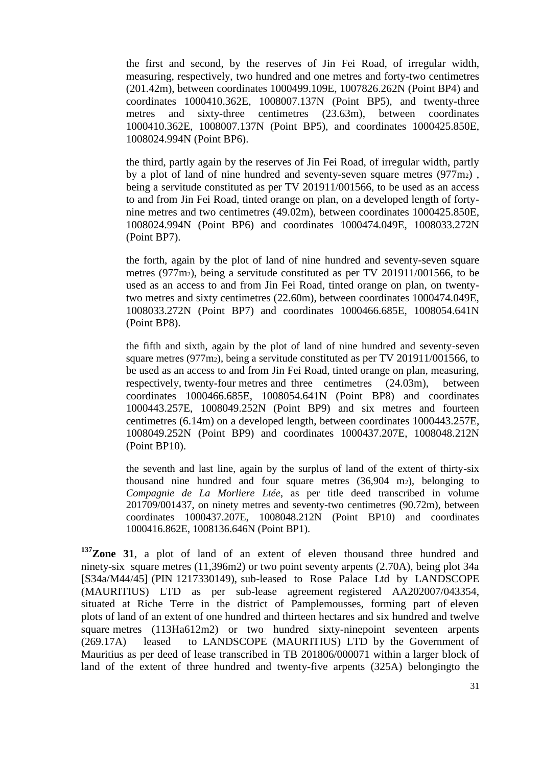the first and second, by the reserves of Jin Fei Road, of irregular width, measuring, respectively, two hundred and one metres and forty-two centimetres (201.42m), between coordinates 1000499.109E, 1007826.262N (Point BP4) and coordinates 1000410.362E, 1008007.137N (Point BP5), and twenty-three metres and sixty-three centimetres (23.63m), between coordinates 1000410.362E, 1008007.137N (Point BP5), and coordinates 1000425.850E, 1008024.994N (Point BP6).

the third, partly again by the reserves of Jin Fei Road, of irregular width, partly by a plot of land of nine hundred and seventy-seven square metres  $(977m<sub>2</sub>)$ , being a servitude constituted as per TV 201911/001566, to be used as an access to and from Jin Fei Road, tinted orange on plan, on a developed length of fortynine metres and two centimetres (49.02m), between coordinates 1000425.850E, 1008024.994N (Point BP6) and coordinates 1000474.049E, 1008033.272N (Point BP7).

the forth, again by the plot of land of nine hundred and seventy-seven square metres (977m2), being a servitude constituted as per TV 201911/001566, to be used as an access to and from Jin Fei Road, tinted orange on plan, on twentytwo metres and sixty centimetres (22.60m), between coordinates 1000474.049E, 1008033.272N (Point BP7) and coordinates 1000466.685E, 1008054.641N (Point BP8).

the fifth and sixth, again by the plot of land of nine hundred and seventy-seven square metres (977m2), being a servitude constituted as per TV 201911/001566, to be used as an access to and from Jin Fei Road, tinted orange on plan, measuring, respectively, twenty-four metres and three centimetres (24.03m), between coordinates 1000466.685E, 1008054.641N (Point BP8) and coordinates 1000443.257E, 1008049.252N (Point BP9) and six metres and fourteen centimetres (6.14m) on a developed length, between coordinates 1000443.257E, 1008049.252N (Point BP9) and coordinates 1000437.207E, 1008048.212N (Point BP10).

the seventh and last line, again by the surplus of land of the extent of thirty-six thousand nine hundred and four square metres (36,904 m2), belonging to *Compagnie de La Morliere Ltée*, as per title deed transcribed in volume 201709/001437, on ninety metres and seventy-two centimetres (90.72m), between coordinates 1000437.207E, 1008048.212N (Point BP10) and coordinates 1000416.862E, 1008136.646N (Point BP1).

**<sup>137</sup>Zone 31**, a plot of land of an extent of eleven thousand three hundred and ninety-six square metres (11,396m2) or two point seventy arpents (2.70A), being plot 34a [S34a/M44/45] (PIN 1217330149), sub-leased to Rose Palace Ltd by LANDSCOPE (MAURITIUS) LTD as per sub-lease agreement registered AA202007/043354, situated at Riche Terre in the district of Pamplemousses, forming part of eleven plots of land of an extent of one hundred and thirteen hectares and six hundred and twelve square metres (113Ha612m2) or two hundred sixty-ninepoint seventeen arpents (269.17A) leased to LANDSCOPE (MAURITIUS) LTD by the Government of Mauritius as per deed of lease transcribed in TB 201806/000071 within a larger block of land of the extent of three hundred and twenty-five arpents (325A) belongingto the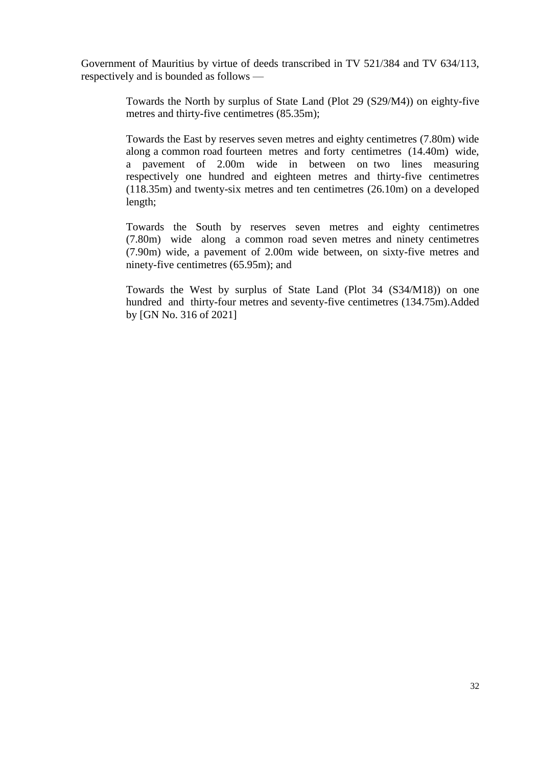Government of Mauritius by virtue of deeds transcribed in TV 521/384 and TV 634/113, respectively and is bounded as follows —

> Towards the North by surplus of State Land (Plot 29 (S29/M4)) on eighty-five metres and thirty-five centimetres (85.35m);

> Towards the East by reserves seven metres and eighty centimetres (7.80m) wide along a common road fourteen metres and forty centimetres (14.40m) wide, a pavement of 2.00m wide in between on two lines measuring respectively one hundred and eighteen metres and thirty-five centimetres (118.35m) and twenty-six metres and ten centimetres (26.10m) on a developed length;

> Towards the South by reserves seven metres and eighty centimetres (7.80m) wide along a common road seven metres and ninety centimetres (7.90m) wide, a pavement of 2.00m wide between, on sixty-five metres and ninety-five centimetres (65.95m); and

> Towards the West by surplus of State Land (Plot 34 (S34/M18)) on one hundred and thirty-four metres and seventy-five centimetres (134.75m).Added by [GN No. 316 of 2021]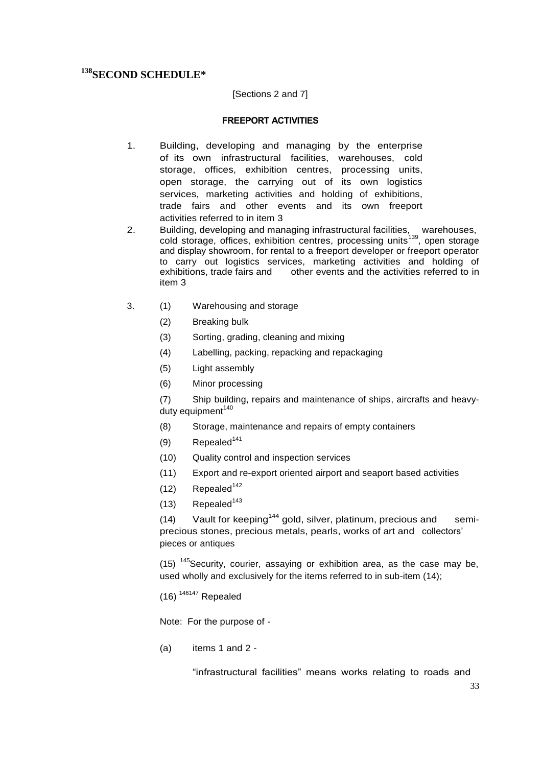# <span id="page-32-0"></span>**<sup>138</sup>SECOND SCHEDULE\***

### [Sections 2 and 7]

### **FREEPORT ACTIVITIES**

- 1. Building, developing and managing by the enterprise of its own infrastructural facilities, warehouses, cold storage, offices, exhibition centres, processing units, open storage, the carrying out of its own logistics services, marketing activities and holding of exhibitions, trade fairs and other events and its own freeport activities referred to in item 3
- 2. Building, developing and managing infrastructural facilities, warehouses, cold storage, offices, exhibition centres, processing units<sup>139</sup>, open storage and display showroom, for rental to a freeport developer or freeport operator to carry out logistics services, marketing activities and holding of exhibitions, trade fairs and other events and the activities referred to in item 3
- 3. (1) Warehousing and storage
	- (2) Breaking bulk
	- (3) Sorting, grading, cleaning and mixing
	- (4) Labelling, packing, repacking and repackaging
	- (5) Light assembly
	- (6) Minor processing

(7) Ship building, repairs and maintenance of ships, aircrafts and heavyduty equipment<sup>140</sup>

- (8) Storage, maintenance and repairs of empty containers
- $(9)$  Repealed<sup>141</sup>
- (10) Quality control and inspection services
- (11) Export and re-export oriented airport and seaport based activities
- $(12)$  Repealed<sup>142</sup>
- $(13)$  Repealed<sup>143</sup>

(14) Vault for keeping<sup>144</sup> gold, silver, platinum, precious and semiprecious stones, precious metals, pearls, works of art and collectors' pieces or antiques

(15)  $145$  Security, courier, assaying or exhibition area, as the case may be, used wholly and exclusively for the items referred to in sub-item (14);

 $(16)$ <sup>146147</sup> Repealed

Note: For the purpose of -

 $(a)$  items 1 and 2 -

"infrastructural facilities" means works relating to roads and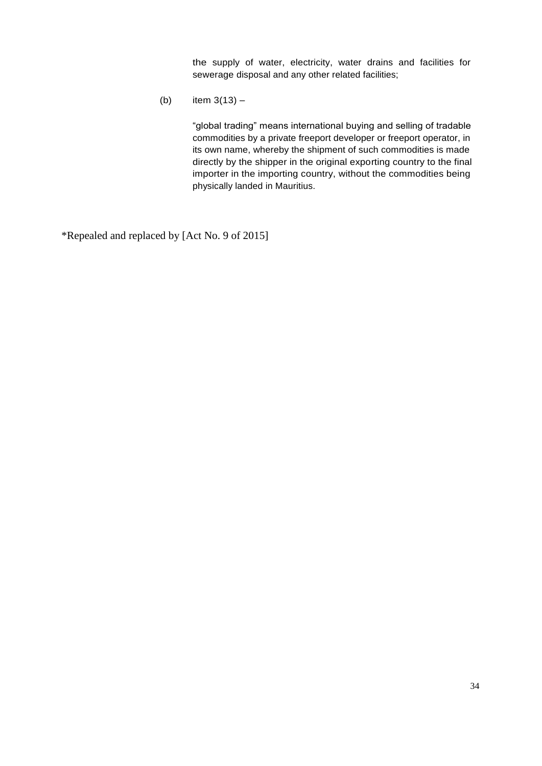the supply of water, electricity, water drains and facilities for sewerage disposal and any other related facilities;

(b) item  $3(13) -$ 

"global trading" means international buying and selling of tradable commodities by a private freeport developer or freeport operator, in its own name, whereby the shipment of such commodities is made directly by the shipper in the original exporting country to the final importer in the importing country, without the commodities being physically landed in Mauritius.

\*Repealed and replaced by [Act No. 9 of 2015]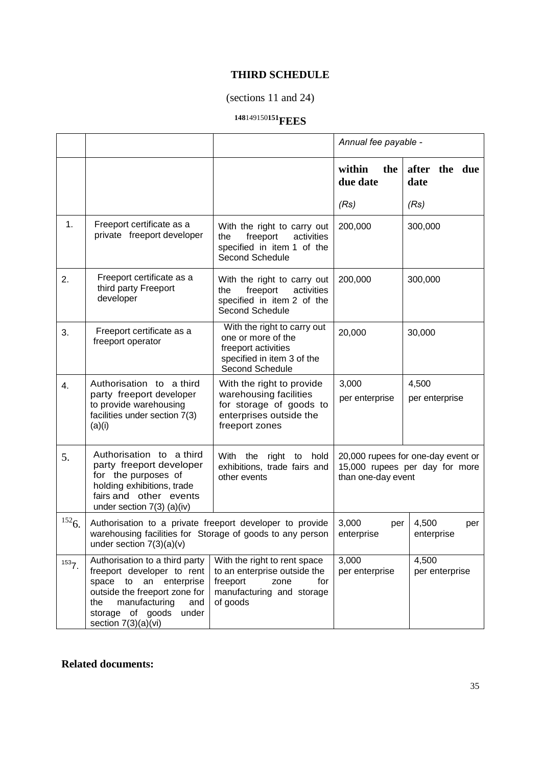# **THIRD SCHEDULE**

# (sections 11 and 24)

# **<sup>148</sup>**149150**<sup>151</sup>FEES**

<span id="page-34-0"></span>

|       |                                                                                                                                                                                                            |                                                                                                                                  | Annual fee payable -                                                                       |                         |  |
|-------|------------------------------------------------------------------------------------------------------------------------------------------------------------------------------------------------------------|----------------------------------------------------------------------------------------------------------------------------------|--------------------------------------------------------------------------------------------|-------------------------|--|
|       |                                                                                                                                                                                                            |                                                                                                                                  | within<br>the<br>due date                                                                  | after the due<br>date   |  |
|       |                                                                                                                                                                                                            |                                                                                                                                  | (Rs)                                                                                       | (Rs)                    |  |
| 1.    | Freeport certificate as a<br>private freeport developer                                                                                                                                                    | With the right to carry out<br>freeport<br>activities<br>the<br>specified in item 1 of the<br>Second Schedule                    | 200,000                                                                                    | 300,000                 |  |
| 2.    | Freeport certificate as a<br>third party Freeport<br>developer                                                                                                                                             | With the right to carry out<br>activities<br>freeport<br>the<br>specified in item 2 of the<br>Second Schedule                    | 200,000                                                                                    | 300,000                 |  |
| 3.    | Freeport certificate as a<br>freeport operator                                                                                                                                                             | With the right to carry out<br>one or more of the<br>freeport activities<br>specified in item 3 of the<br>Second Schedule        | 20,000                                                                                     | 30,000                  |  |
| 4.    | Authorisation to a third<br>party freeport developer<br>to provide warehousing<br>facilities under section 7(3)<br>(a)(i)                                                                                  | With the right to provide<br>warehousing facilities<br>for storage of goods to<br>enterprises outside the<br>freeport zones      | 3,000<br>4,500<br>per enterprise<br>per enterprise                                         |                         |  |
| 5.    | Authorisation to a third<br>party freeport developer<br>for the purposes of<br>holding exhibitions, trade<br>fairs and other events<br>under section $7(3)$ (a)(iv)                                        | With the<br>right<br>hold<br>to<br>exhibitions, trade fairs and<br>other events                                                  | 20,000 rupees for one-day event or<br>15,000 rupees per day for more<br>than one-day event |                         |  |
| 1526. | Authorisation to a private freeport developer to provide<br>warehousing facilities for Storage of goods to any person<br>under section $7(3)(a)(v)$                                                        |                                                                                                                                  | 3,000<br>4,500<br>per<br>per<br>enterprise<br>enterprise                                   |                         |  |
| 1537. | Authorisation to a third party<br>freeport developer to rent<br>space to an enterprise<br>outside the freeport zone for<br>manufacturing<br>the<br>and<br>storage of goods<br>under<br>section 7(3)(a)(vi) | With the right to rent space<br>to an enterprise outside the<br>freeport<br>zone<br>for<br>manufacturing and storage<br>of goods | 3,000<br>per enterprise                                                                    | 4,500<br>per enterprise |  |

# **Related documents:**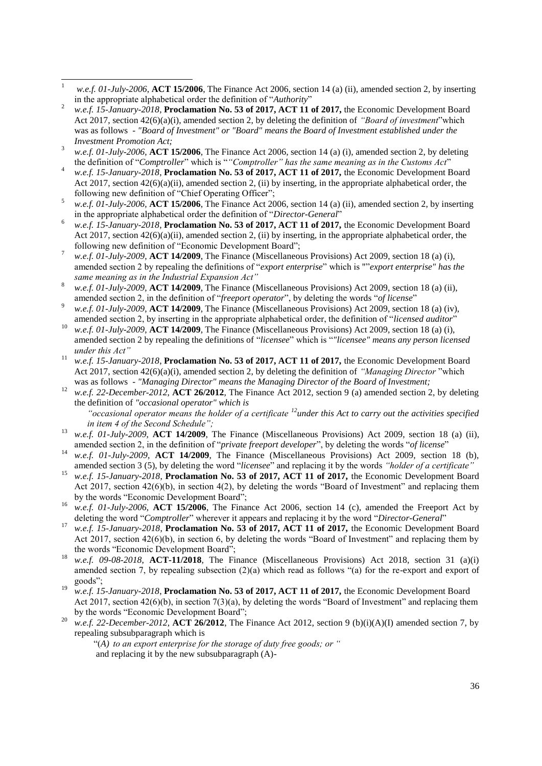- 2 *w.e.f. 15-January-2018*, **Proclamation No. 53 of 2017, ACT 11 of 2017,** the Economic Development Board Act 2017, section 42(6)(a)(i), amended section 2, by deleting the definition of *"Board of investment*"which was as follows - *"Board of Investment" or "Board" means the Board of Investment established under the Investment Promotion Act;*
- <sup>3</sup> *w.e.f. 01-July-2006*, **ACT 15/2006**, The Finance Act 2006, section 14 (a) (i), amended section 2, by deleting the definition of "Comptroller" which is ""Comptroller" has the same meaning as in the Customs Act"
- <sup>4</sup> *w.e.f. 15-January-2018*, **Proclamation No. 53 of 2017, ACT 11 of 2017,** the Economic Development Board Act 2017, section  $42(6)(a)(ii)$ , amended section 2, (ii) by inserting, in the appropriate alphabetical order, the following new definition of "Chief Operating Officer";
- <sup>5</sup> *w.e.f. 01-July-2006*, **ACT 15/2006**, The Finance Act 2006, section 14 (a) (ii), amended section 2, by inserting in the appropriate alphabetical order the definition of "Director-General"
- <sup>6</sup> *w.e.f. 15-January-2018*, **Proclamation No. 53 of 2017, ACT 11 of 2017,** the Economic Development Board Act 2017, section  $42(6)(a)(ii)$ , amended section 2, (ii) by inserting, in the appropriate alphabetical order, the following new definition of "Economic Development Board";
- <sup>7</sup> *w.e.f. 01-July-2009*, **ACT 14/2009**, The Finance (Miscellaneous Provisions) Act 2009, section 18 (a) (i), amended section 2 by repealing the definitions of "*export enterprise*" which is ""*export enterprise" has the same meaning as in the Industrial Expansion Act"*
- <sup>8</sup> *w.e.f. 01-July-2009*, **ACT 14/2009**, The Finance (Miscellaneous Provisions) Act 2009, section 18 (a) (ii), amended section 2, in the definition of "*freeport operator*", by deleting the words "*of license*"
- <sup>9</sup> *w.e.f. 01-July-2009*, **ACT 14/2009**, The Finance (Miscellaneous Provisions) Act 2009, section 18 (a) (iv), amended section 2, by inserting in the appropriate alphabetical order, the definition of "*licensed auditor*"
- <sup>10</sup> *w.e.f. 01-July-2009*, **ACT 14/2009**, The Finance (Miscellaneous Provisions) Act 2009, section 18 (a) (i), amended section 2 by repealing the definitions of "licensee" which is ""licensee" means any person licensed *under this Act"*
- <sup>11</sup> *w.e.f. 15-January-2018*, **Proclamation No. 53 of 2017, ACT 11 of 2017,** the Economic Development Board Act 2017, section 42(6)(a)(i), amended section 2, by deleting the definition of *"Managing Director* "which was as follows - *"Managing Director" means the Managing Director of the Board of Investment;*
- <sup>12</sup> *w.e.f. 22-December-2012*, **ACT 26/2012**, The Finance Act 2012, section 9 (a) amended section 2, by deleting the definition of *"occasional operator" which is "occasional operator means the holder of a certificate <sup>12</sup>under this Act to carry out the activities specified in item 4 of the Second Schedule";*
- w.e.f. 01-July-2009, **ACT 14/2009**, The Finance (Miscellaneous Provisions) Act 2009, section 18 (a) (ii), amended section 2, in the definition of "*private freeport developer*", by deleting the words "of license"
- <sup>14</sup> *w.e.f. 01-July-2009*, **ACT 14/2009**, The Finance (Miscellaneous Provisions) Act 2009, section 18 (b), amended section 3 (5), by deleting the word "*licensee*" and replacing it by the words "*holder of a certificate*"
- <sup>15</sup> *w.e.f. 15-January-2018*, **Proclamation No. 53 of 2017, ACT 11 of 2017,** the Economic Development Board Act 2017, section 42(6)(b), in section 4(2), by deleting the words "Board of Investment" and replacing them by the words "Economic Development Board";
- <sup>16</sup> *w.e.f.* 01-July-2006, **ACT 15/2006**, The Finance Act 2006, section 14 (c), amended the Freeport Act by deleting the word "Comptroller" wherever it appears and replacing it by the word "Director-General"
- <sup>17</sup> *w.e.f. 15-January-2018*, **Proclamation No. 53 of 2017, ACT 11 of 2017,** the Economic Development Board Act 2017, section  $42(6)(b)$ , in section 6, by deleting the words "Board of Investment" and replacing them by the words "Economic Development Board";
- w.e.f. 09-08-2018, **ACT-11/2018**, The Finance (Miscellaneous Provisions) Act 2018, section 31 (a)(i) amended section 7, by repealing subsection  $(2)(a)$  which read as follows "(a) for the re-export and export of goods";
- <sup>19</sup> *w.e.f. 15-January-2018*, **Proclamation No. 53 of 2017, ACT 11 of 2017,** the Economic Development Board Act 2017, section  $42(6)(b)$ , in section  $7(3)(a)$ , by deleting the words "Board of Investment" and replacing them by the words "Economic Development Board";
- <sup>20</sup> *w.e.f.* 22-December-2012, **ACT 26/2012**, The Finance Act 2012, section 9 (b)(i)(A)(I) amended section 7, by repealing subsubparagraph which is

―(*A) to an export enterprise for the storage of duty free goods; or "* and replacing it by the new subsubparagraph (A)-

 $\overline{1}$ <sup>1</sup> *w.e.f. 01-July-2006*, **ACT 15/2006**, The Finance Act 2006, section 14 (a) (ii), amended section 2, by inserting in the appropriate alphabetical order the definition of "*Authority*"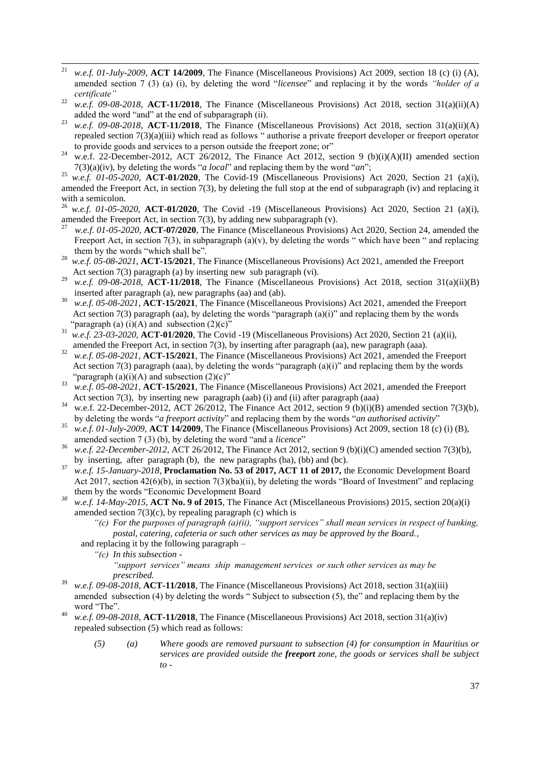- $21$ <sup>21</sup> *w.e.f. 01-July-2009*, **ACT 14/2009**, The Finance (Miscellaneous Provisions) Act 2009, section 18 (c) (i) (A), amended section 7 (3) (a) (i), by deleting the word "*licensee*" and replacing it by the words "*holder of a certificate"*
- <sup>22</sup> *w.e.f.* 09-08-2018, **ACT-11/2018**, The Finance (Miscellaneous Provisions) Act 2018, section 31(a)(ii)(A) added the word "and" at the end of subparagraph (ii).
- <sup>23</sup> *w.e.f. 09-08-2018*, **ACT-11/2018**, The Finance (Miscellaneous Provisions) Act 2018, section 31(a)(ii)(A) repealed section 7(3)(a)(iii) which read as follows " authorise a private freeport developer or freeport operator to provide goods and services to a person outside the freeport zone; or"
- <sup>24</sup> w.e.f. 22-December-2012, ACT 26/2012, The Finance Act 2012, section 9 (b)(i)(A)(II) amended section  $7(3)(a)(iv)$ , by deleting the words "*a local*" and replacing them by the word "*an*";

<sup>25</sup> *w.e.f.* 01-05-2020, **ACT-01/2020**, The Covid-19 (Miscellaneous Provisions) Act 2020, Section 21 (a)(i), amended the Freeport Act, in section 7(3), by deleting the full stop at the end of subparagraph (iv) and replacing it with a semicolon.

<sup>26</sup> *w.e.f. 01-05-2020,* **ACT-01/2020**, The Covid -19 (Miscellaneous Provisions) Act 2020, Section 21 (a)(i), amended the Freeport Act, in section 7(3), by adding new subparagraph (v).<br> $27 \text{ m}$  of 01.05.2020. ACT 07/2020. The Finance (Miscallaneous Provision

- *w.e.f. 01-05-2020,* **ACT-07/2020**, The Finance (Miscellaneous Provisions) Act 2020, Section 24, amended the Freeport Act, in section 7(3), in subparagraph (a)(v), by deleting the words " which have been " and replacing them by the words "which shall be".
- 28 *w.e.f. 05-08-2021*, **ACT-15/2021**, The Finance (Miscellaneous Provisions) Act 2021, amended the Freeport Act section 7(3) paragraph (a) by inserting new sub paragraph (vi).
- <sup>29</sup> *w.e.f. 09-08-2018*, **ACT-11/2018**, The Finance (Miscellaneous Provisions) Act 2018, section 31(a)(ii)(B) inserted after paragraph (a), new paragraphs (aa) and (ab).
- 30 *w.e.f. 05-08-2021*, **ACT-15/2021**, The Finance (Miscellaneous Provisions) Act 2021, amended the Freeport Act section 7(3) paragraph (aa), by deleting the words "paragraph  $(a)(i)$ " and replacing them by the words "paragraph (a)  $(i)(A)$  and subsection  $(2)(c)$ "
- <sup>31</sup> *w.e.f. 23-03-2020,* **ACT-01/2020**, The Covid -19 (Miscellaneous Provisions) Act 2020, Section 21 (a)(ii), amended the Freeport Act, in section 7(3), by inserting after paragraph (aa), new paragraph (aaa).
- 32 *w.e.f. 05-08-2021*, **ACT-15/2021**, The Finance (Miscellaneous Provisions) Act 2021, amended the Freeport Act section 7(3) paragraph (aaa), by deleting the words "paragraph  $(a)(i)$ " and replacing them by the words "paragraph  $(a)(i)(A)$  and subsection  $(2)(c)$ "
- 33 *w.e.f. 05-08-2021*, **ACT-15/2021**, The Finance (Miscellaneous Provisions) Act 2021, amended the Freeport Act section 7(3), by inserting new paragraph (aab) (i) and (ii) after paragraph (aaa)  $^{34}$
- w.e.f. 22-December-2012, ACT 26/2012, The Finance Act 2012, section 9 (b)(i)(B) amended section 7(3)(b), by deleting the words "*a freeport activity*" and replacing them by the words "*an authorised activity*"
- <sup>35</sup> *w.e.f. 01-July-2009*, **ACT 14/2009**, The Finance (Miscellaneous Provisions) Act 2009, section 18 (c) (i) (B), amended section 7 (3) (b), by deleting the word "and a *licence*"
- <sup>36</sup> *w.e.f.* 22-December-2012, ACT 26/2012, The Finance Act 2012, section 9 (b)(i)(C) amended section 7(3)(b), by inserting, after paragraph (b), the new paragraphs (ba), (bb) and (bc).
- <sup>37</sup> *w.e.f. 15-January-2018*, **Proclamation No. 53 of 2017, ACT 11 of 2017,** the Economic Development Board Act 2017, section  $42(6)(b)$ , in section  $7(3)(ba)(ii)$ , by deleting the words "Board of Investment" and replacing them by the words "Economic Development Board
- *<sup>38</sup> w.e.f. 14-May-2015*, **ACT No. 9 of 2015**, The Finance Act (Miscellaneous Provisions) 2015, section 20(a)(i) amended section  $7(3)(c)$ , by repealing paragraph (c) which is
	- *"(c) For the purposes of paragraph (a)(ii), "support services" shall mean services in respect of banking, postal, catering, cafeteria or such other services as may be approved by the Board.*,
	- and replacing it by the following paragraph
		- *"(c) In this subsection -*

*"support services" means ship management services or such other services as may be prescribed.*

- <sup>39</sup> *w.e.f. 09-08-2018*, **ACT-11/2018**, The Finance (Miscellaneous Provisions) Act 2018, section 31(a)(iii) amended subsection  $(4)$  by deleting the words "Subject to subsection  $(5)$ , the" and replacing them by the word "The".
- <sup>40</sup> *w.e.f. 09-08-2018*, **ACT-11/2018**, The Finance (Miscellaneous Provisions) Act 2018, section 31(a)(iv) repealed subsection (5) which read as follows:
	- *(5) (a) Where goods are removed pursuant to subsection (4) for consumption in Mauritius or services are provided outside the freeport zone, the goods or services shall be subject to -*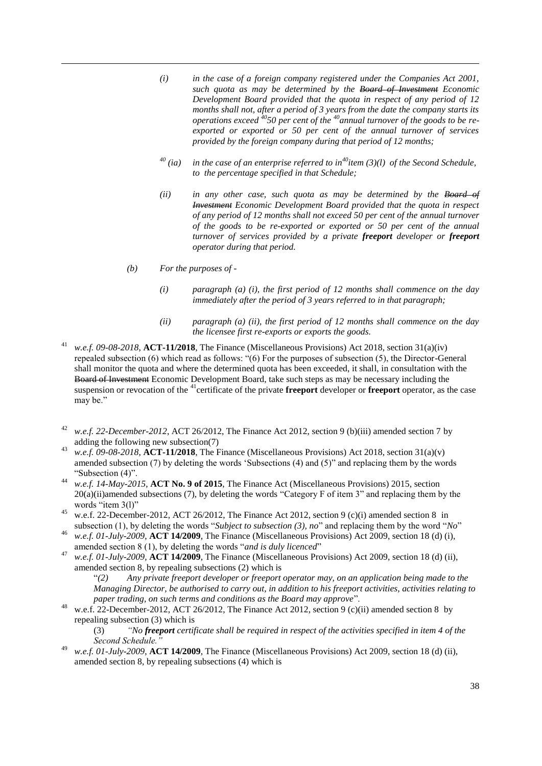- *(i) in the case of a foreign company registered under the Companies Act 2001, such quota as may be determined by the Board of Investment Economic Development Board provided that the quota in respect of any period of 12 months shall not, after a period of 3 years from the date the company starts its operations exceed <sup>40</sup>50 per cent of the <sup>40</sup>annual turnover of the goods to be reexported or exported or 50 per cent of the annual turnover of services provided by the foreign company during that period of 12 months;*
- *<sup>40</sup> (ia) in the case of an enterprise referred to in<sup>40</sup>item (3)(l) of the Second Schedule, to the percentage specified in that Schedule;*
- *(ii) in any other case, such quota as may be determined by the Board of Investment Economic Development Board provided that the quota in respect of any period of 12 months shall not exceed 50 per cent of the annual turnover of the goods to be re-exported or exported or 50 per cent of the annual turnover of services provided by a private freeport developer or freeport operator during that period.*
- *(b) For the purposes of -*

 $\overline{a}$ 

- *(i) paragraph (a) (i), the first period of 12 months shall commence on the day immediately after the period of 3 years referred to in that paragraph;*
- *(ii) paragraph (a) (ii), the first period of 12 months shall commence on the day the licensee first re-exports or exports the goods.*
- w.e.f. 09-08-2018, **ACT-11/2018**, The Finance (Miscellaneous Provisions) Act 2018, section 31(a)(iv) repealed subsection (6) which read as follows: "(6) For the purposes of subsection (5), the Director-General shall monitor the quota and where the determined quota has been exceeded, it shall, in consultation with the Board of Investment Economic Development Board, take such steps as may be necessary including the suspension or revocation of the <sup>41</sup>certificate of the private **freeport** developer or **freeport** operator, as the case may be."
- <sup>42</sup> *w.e.f. 22-December-2012*, ACT 26/2012, The Finance Act 2012, section 9 (b)(iii) amended section 7 by adding the following new subsection(7)
- <sup>43</sup> *w.e.f. 09-08-2018*, **ACT-11/2018**, The Finance (Miscellaneous Provisions) Act 2018, section 31(a)(v) amended subsection  $(7)$  by deleting the words 'Subsections  $(4)$  and  $(5)$ " and replacing them by the words "Subsection (4)".
- <sup>44</sup> *w.e.f. 14-May-2015*, **ACT No. 9 of 2015**, The Finance Act (Miscellaneous Provisions) 2015, section  $20(a)(ii)$ amended subsections (7), by deleting the words "Category F of item 3" and replacing them by the words "item  $3(1)$ "
- <sup>45</sup> w.e.f. 22-December-2012, ACT 26/2012, The Finance Act 2012, section 9 (c)(i) amended section 8 in subsection (1), by deleting the words "Subject to subsection (3), no" and replacing them by the word "No"
- <sup>46</sup> *w.e.f. 01-July-2009*, **ACT 14/2009**, The Finance (Miscellaneous Provisions) Act 2009, section 18 (d) (i), amended section 8 (1), by deleting the words "*and is duly licenced*"
- <sup>47</sup> *w.e.f. 01-July-2009*, **ACT 14/2009**, The Finance (Miscellaneous Provisions) Act 2009, section 18 (d) (ii), amended section 8, by repealing subsections (2) which is
	- ―*(2) Any private freeport developer or freeport operator may, on an application being made to the Managing Director, be authorised to carry out, in addition to his freeport activities, activities relating to paper trading, on such terms and conditions as the Board may approve"*.
- <sup>48</sup> w.e.f. 22-December-2012, ACT 26/2012, The Finance Act 2012, section 9 (c)(ii) amended section 8 by repealing subsection (3) which is

(3) *"No freeport certificate shall be required in respect of the activities specified in item 4 of the Second Schedule."*

<sup>49</sup> *w.e.f. 01-July-2009*, **ACT 14/2009**, The Finance (Miscellaneous Provisions) Act 2009, section 18 (d) (ii), amended section 8, by repealing subsections (4) which is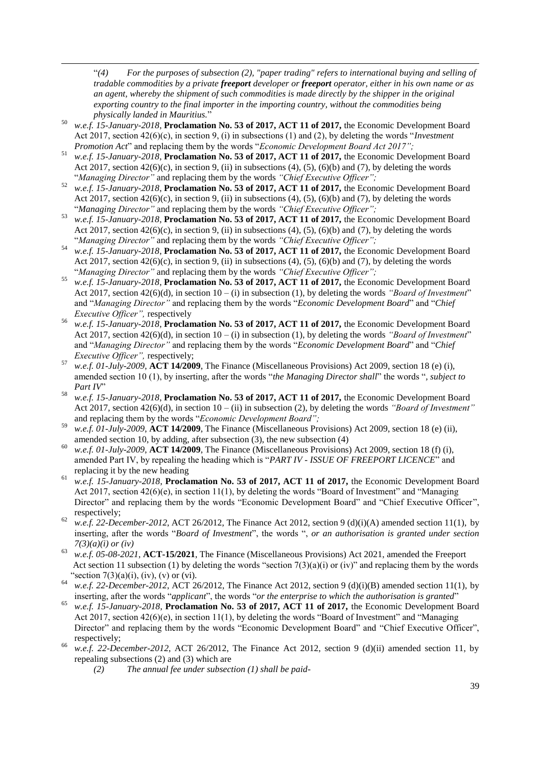―*(4) For the purposes of subsection (2), "paper trading" refers to international buying and selling of tradable commodities by a private freeport developer or freeport operator, either in his own name or as an agent, whereby the shipment of such commodities is made directly by the shipper in the original exporting country to the final importer in the importing country, without the commodities being physically landed in Mauritius.*‖

<sup>50</sup> *w.e.f. 15-January-2018*, **Proclamation No. 53 of 2017, ACT 11 of 2017,** the Economic Development Board Act 2017, section 42(6)(c), in section 9, (i) in subsections (1) and (2), by deleting the words "*Investment Promotion Act*" and replacing them by the words "*Economic Development Board Act 2017*";

 $\overline{a}$ 

- <sup>51</sup> *w.e.f. 15-January-2018*, **Proclamation No. 53 of 2017, ACT 11 of 2017,** the Economic Development Board Act 2017, section 42(6)(c), in section 9, (ii) in subsections (4), (5), (6)(b) and (7), by deleting the words ―*Managing Director"* and replacing them by the words *"Chief Executive Officer";*
- <sup>52</sup> *w.e.f. 15-January-2018*, **Proclamation No. 53 of 2017, ACT 11 of 2017,** the Economic Development Board Act 2017, section  $42(6)(c)$ , in section 9, (ii) in subsections (4), (5), (6)(b) and (7), by deleting the words ―*Managing Director"* and replacing them by the words *"Chief Executive Officer";*
- <sup>53</sup> *w.e.f. 15-January-2018*, **Proclamation No. 53 of 2017, ACT 11 of 2017,** the Economic Development Board Act 2017, section 42(6)(c), in section 9, (ii) in subsections (4), (5), (6)(b) and (7), by deleting the words ―*Managing Director"* and replacing them by the words *"Chief Executive Officer";*
- <sup>54</sup> *w.e.f. 15-January-2018*, **Proclamation No. 53 of 2017, ACT 11 of 2017,** the Economic Development Board Act 2017, section 42(6)(c), in section 9, (ii) in subsections (4), (5), (6)(b) and (7), by deleting the words ―*Managing Director"* and replacing them by the words *"Chief Executive Officer";*
- <sup>55</sup> *w.e.f. 15-January-2018*, **Proclamation No. 53 of 2017, ACT 11 of 2017,** the Economic Development Board Act 2017, section 42(6)(d), in section  $10 - (i)$  in subsection (1), by deleting the words *"Board of Investment*" and "*Managing Director*" and replacing them by the words "*Economic Development Board*" and "*Chief Executive Officer",* respectively
- <sup>56</sup> *w.e.f. 15-January-2018*, **Proclamation No. 53 of 2017, ACT 11 of 2017,** the Economic Development Board Act 2017, section  $42(6)(d)$ , in section  $10 - (i)$  in subsection (1), by deleting the words *"Board of Investment*" and "*Managing Director*" and replacing them by the words "*Economic Development Board*" and "*Chief Executive Officer",* respectively;
- <sup>57</sup> *w.e.f. 01-July-2009*, **ACT 14/2009**, The Finance (Miscellaneous Provisions) Act 2009, section 18 (e) (i), amended section 10 (1), by inserting, after the words "*the Managing Director shall*" the words "*, subject to Part IV*<sup>"</sup>
- <sup>58</sup> *w.e.f. 15-January-2018*, **Proclamation No. 53 of 2017, ACT 11 of 2017,** the Economic Development Board Act 2017, section 42(6)(d), in section 10 – (ii) in subsection (2), by deleting the words *"Board of Investment"* and replacing them by the words "Economic Development Board";
- <sup>59</sup> *w.e.f. 01-July-2009*, **ACT 14/2009**, The Finance (Miscellaneous Provisions) Act 2009, section 18 (e) (ii), amended section 10, by adding, after subsection (3), the new subsection (4)
- <sup>60</sup> *w.e.f. 01-July-2009*, **ACT 14/2009**, The Finance (Miscellaneous Provisions) Act 2009, section 18 (f) (i), amended Part IV, by repealing the heading which is "PART IV - ISSUE OF FREEPORT LICENCE" and replacing it by the new heading
- <sup>61</sup> *w.e.f. 15-January-2018*, **Proclamation No. 53 of 2017, ACT 11 of 2017,** the Economic Development Board Act 2017, section  $42(6)(e)$ , in section  $11(1)$ , by deleting the words "Board of Investment" and "Managing Director" and replacing them by the words "Economic Development Board" and "Chief Executive Officer", respectively;
- <sup>62</sup> *w.e.f. 22-December-2012*, ACT 26/2012, The Finance Act 2012, section 9 (d)(i)(A) amended section 11(1), by inserting, after the words "*Board of Investment*", the words ", *or an authorisation is granted under section 7(3)(a)(i) or (iv)*
- 63 *w.e.f. 05-08-2021*, **ACT-15/2021**, The Finance (Miscellaneous Provisions) Act 2021, amended the Freeport Act section 11 subsection (1) by deleting the words "section 7(3)(a)(i) or (iv)" and replacing them by the words "section 7(3)(a)(i), (iv), (v) or (vi).
- w.e.f. 22-December-2012, ACT 26/2012, The Finance Act 2012, section 9 (d)(i)(B) amended section 11(1), by inserting, after the words "*applicant*", the words "or the enterprise to which the authorisation is granted"
- <sup>65</sup> *w.e.f. 15-January-2018*, **Proclamation No. 53 of 2017, ACT 11 of 2017,** the Economic Development Board Act 2017, section  $42(6)(e)$ , in section  $11(1)$ , by deleting the words "Board of Investment" and "Managing Director" and replacing them by the words "Economic Development Board" and "Chief Executive Officer", respectively;
- <sup>66</sup> *w.e.f. 22-December-2012*, ACT 26/2012, The Finance Act 2012, section 9 (d)(ii) amended section 11, by repealing subsections (2) and (3) which are
	- *(2) The annual fee under subsection (1) shall be paid-*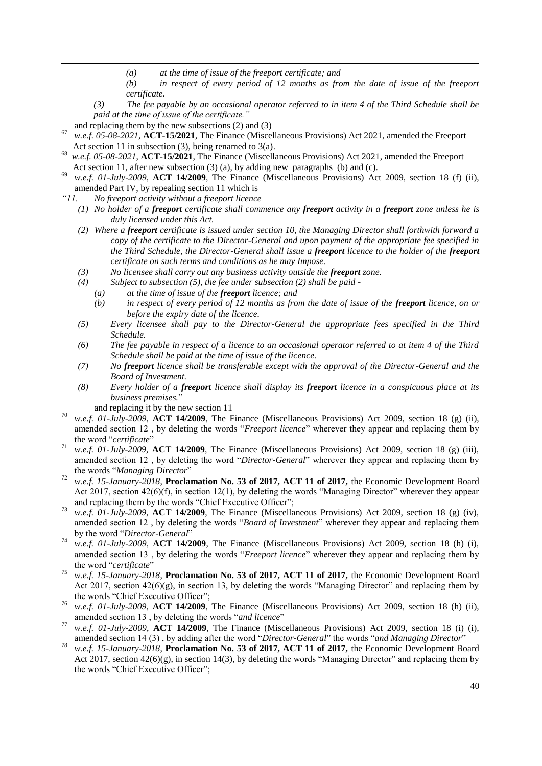- *(a) at the time of issue of the freeport certificate; and*
- *(b) in respect of every period of 12 months as from the date of issue of the freeport certificate.*
- *(3) The fee payable by an occasional operator referred to in item 4 of the Third Schedule shall be paid at the time of issue of the certificate."*
- and replacing them by the new subsections (2) and (3)

 $\overline{a}$ 

- 67 *w.e.f. 05-08-2021*, **ACT-15/2021**, The Finance (Miscellaneous Provisions) Act 2021, amended the Freeport Act section 11 in subsection (3), being renamed to 3(a).
- 68 *w.e.f. 05-08-2021*, **ACT-15/2021**, The Finance (Miscellaneous Provisions) Act 2021, amended the Freeport Act section 11, after new subsection (3) (a), by adding new paragraphs (b) and (c).
- w.e.f. 01-July-2009, **ACT 14/2009**, The Finance (Miscellaneous Provisions) Act 2009, section 18 (f) (ii), amended Part IV, by repealing section 11 which is
- *"11. No freeport activity without a freeport licence* 
	- *(1) No holder of a freeport certificate shall commence any freeport activity in a freeport zone unless he is duly licensed under this Act.*
	- *(2) Where a freeport certificate is issued under section 10, the Managing Director shall forthwith forward a copy of the certificate to the Director-General and upon payment of the appropriate fee specified in the Third Schedule, the Director-General shall issue a freeport licence to the holder of the freeport certificate on such terms and conditions as he may Impose.*
	- *(3) No licensee shall carry out any business activity outside the freeport zone.*
	- *(4) Subject to subsection (5), the fee under subsection (2) shall be paid -*
		- *(a) at the time of issue of the freeport licence; and*
		- *(b) in respect of every period of 12 months as from the date of issue of the freeport licence, on or before the expiry date of the licence.*
	- *(5) Every licensee shall pay to the Director-General the appropriate fees specified in the Third Schedule.*
	- *(6) The fee payable in respect of a licence to an occasional operator referred to at item 4 of the Third Schedule shall be paid at the time of issue of the licence.*
	- *(7) No freeport licence shall be transferable except with the approval of the Director-General and the Board of Investment.*
	- *(8) Every holder of a freeport licence shall display its freeport licence in a conspicuous place at its business premises.*‖
	- and replacing it by the new section 11
- <sup>70</sup> *w.e.f. 01-July-2009*, **ACT 14/2009**, The Finance (Miscellaneous Provisions) Act 2009, section 18 (g) (ii), amended section 12, by deleting the words "*Freeport licence*" wherever they appear and replacing them by the word "certificate"
- <sup>71</sup> *w.e.f. 01-July-2009*, **ACT 14/2009**, The Finance (Miscellaneous Provisions) Act 2009, section 18 (g) (iii), amended section 12, by deleting the word "*Director-General*" wherever they appear and replacing them by the words "Managing Director"
- <sup>72</sup> *w.e.f. 15-January-2018*, **Proclamation No. 53 of 2017, ACT 11 of 2017,** the Economic Development Board Act 2017, section  $42(6)(f)$ , in section 12(1), by deleting the words "Managing Director" wherever they appear and replacing them by the words "Chief Executive Officer";
- <sup>73</sup> *w.e.f. 01-July-2009*, **ACT 14/2009**, The Finance (Miscellaneous Provisions) Act 2009, section 18 (g) (iv), amended section 12, by deleting the words "*Board of Investment*" wherever they appear and replacing them by the word "Director-General"
- <sup>74</sup> *w.e.f. 01-July-2009*, **ACT 14/2009**, The Finance (Miscellaneous Provisions) Act 2009, section 18 (h) (i), amended section 13, by deleting the words "*Freeport licence*" wherever they appear and replacing them by the word "certificate"
- <sup>75</sup> *w.e.f. 15-January-2018*, **Proclamation No. 53 of 2017, ACT 11 of 2017,** the Economic Development Board Act 2017, section  $42(6)(g)$ , in section 13, by deleting the words "Managing Director" and replacing them by the words "Chief Executive Officer";
- <sup>76</sup> *w.e.f. 01-July-2009*, **ACT 14/2009**, The Finance (Miscellaneous Provisions) Act 2009, section 18 (h) (ii), amended section 13, by deleting the words "and licence"
- <sup>77</sup> *w.e.f. 01-July-2009*, **ACT 14/2009**, The Finance (Miscellaneous Provisions) Act 2009, section 18 (i) (i), amended section 14 (3), by adding after the word "Director-General" the words "and Managing Director"
- <sup>78</sup> *w.e.f. 15-January-2018*, **Proclamation No. 53 of 2017, ACT 11 of 2017,** the Economic Development Board Act 2017, section  $42(6)(g)$ , in section 14(3), by deleting the words "Managing Director" and replacing them by the words "Chief Executive Officer";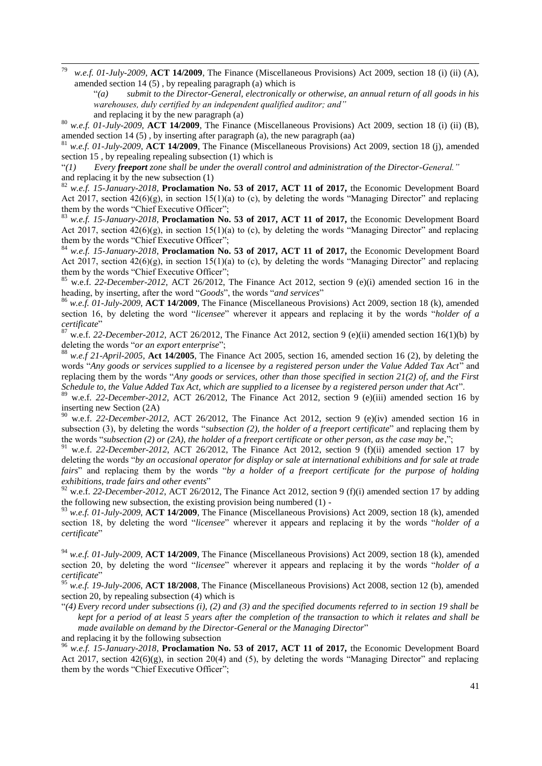<sup>79</sup> *w.e.f. 01-July-2009*, **ACT 14/2009**, The Finance (Miscellaneous Provisions) Act 2009, section 18 (i) (ii) (A), amended section 14 (5) , by repealing paragraph (a) which is

―*(a) submit to the Director-General, electronically or otherwise, an annual return of all goods in his warehouses, duly certified by an independent qualified auditor; and"* 

 $\overline{a}$ 

<sup>80</sup> *w.e.f. 01-July-2009*, **ACT 14/2009**, The Finance (Miscellaneous Provisions) Act 2009, section 18 (i) (ii) (B), amended section 14 (5) , by inserting after paragraph (a), the new paragraph (aa)

<sup>81</sup> *w.e.f. 01-July-2009*, **ACT 14/2009**, The Finance (Miscellaneous Provisions) Act 2009, section 18 (j), amended section 15 , by repealing repealing subsection (1) which is

―*(1) Every freeport zone shall be under the overall control and administration of the Director-General."* and replacing it by the new subsection (1)

<sup>82</sup> *w.e.f. 15-January-2018*, **Proclamation No. 53 of 2017, ACT 11 of 2017,** the Economic Development Board Act 2017, section  $42(6)(g)$ , in section  $15(1)(a)$  to (c), by deleting the words "Managing Director" and replacing them by the words "Chief Executive Officer";

<sup>83</sup> *w.e.f. 15-January-2018*, **Proclamation No. 53 of 2017, ACT 11 of 2017,** the Economic Development Board Act 2017, section  $42(6)(g)$ , in section 15(1)(a) to (c), by deleting the words "Managing Director" and replacing them by the words "Chief Executive Officer";

<sup>84</sup> *w.e.f. 15-January-2018*, **Proclamation No. 53 of 2017, ACT 11 of 2017,** the Economic Development Board Act 2017, section  $42(6)(g)$ , in section  $15(1)(a)$  to (c), by deleting the words "Managing Director" and replacing them by the words "Chief Executive Officer";

<sup>85</sup> w.e.f. *22-December-2012*, ACT 26/2012, The Finance Act 2012, section 9 (e)(i) amended section 16 in the heading, by inserting, after the word "Goods", the words "and services"

<sup>86</sup> *w.e.f. 01-July-2009*, **ACT 14/2009**, The Finance (Miscellaneous Provisions) Act 2009, section 18 (k), amended section 16, by deleting the word "*licensee*" wherever it appears and replacing it by the words "*holder of a certificate*‖

<sup>87</sup> w.e.f. *22-December-2012*, ACT 26/2012, The Finance Act 2012, section 9 (e)(ii) amended section 16(1)(b) by deleting the words "*or an export enterprise*":

 $88$  *w.e.f 21-April-2005*, **Act 14/2005**, The Finance Act 2005, section 16, amended section 16 (2), by deleting the words "Any goods or services supplied to a licensee by a registered person under the Value Added Tax Act" and replacing them by the words "Any goods or services, other than those specified in section 21(2) of, and the First *Schedule to, the Value Added Tax Act, which are supplied to a licensee by a registered person under that Act*".

<sup>89</sup> w.e.f. *22-December-2012*, ACT 26/2012, The Finance Act 2012, section 9 (e)(iii) amended section 16 by inserting new Section (2A)

<sup>90</sup> w.e.f. *22-December-2012*, ACT 26/2012, The Finance Act 2012, section 9 (e)(iv) amended section 16 in subsection (3), by deleting the words "*subsection (2), the holder of a freeport certificate*" and replacing them by the words "subsection (2) or (2A), the holder of a freeport certificate or other person, as the case may be,";

<sup>91</sup> w.e.f. *22-December-2012*, ACT 26/2012, The Finance Act 2012, section 9 (f)(ii) amended section 17 by deleting the words "by an occasional operator for display or sale at international exhibitions and for sale at trade *fairs*" and replacing them by the words "by a holder of a freeport certificate for the purpose of holding *exhibitions, trade fairs and other events*‖

<sup>92</sup> w.e.f. 22-December-2012, ACT 26/2012, The Finance Act 2012, section 9 (f)(i) amended section 17 by adding the following new subsection, the existing provision being numbered (1) -

<sup>93</sup> *w.e.f. 01-July-2009*, **ACT 14/2009**, The Finance (Miscellaneous Provisions) Act 2009, section 18 (k), amended section 18, by deleting the word "*licensee*" wherever it appears and replacing it by the words "*holder of a certificate*‖

<sup>94</sup> *w.e.f. 01-July-2009*, **ACT 14/2009**, The Finance (Miscellaneous Provisions) Act 2009, section 18 (k), amended section 20, by deleting the word "*licensee*" wherever it appears and replacing it by the words "*holder of a certificate*‖

<sup>95</sup> *w.e.f. 19-July-2006*, **ACT 18/2008**, The Finance (Miscellaneous Provisions) Act 2008, section 12 (b), amended section 20, by repealing subsection (4) which is

―*(4) Every record under subsections (i), (2) and (3) and the specified documents referred to in section 19 shall be kept for a period of at least 5 years after the completion of the transaction to which it relates and shall be made available on demand by the Director-General or the Managing Director*"

and replacing it by the following subsection

<sup>96</sup> *w.e.f. 15-January-2018*, **Proclamation No. 53 of 2017, ACT 11 of 2017,** the Economic Development Board Act 2017, section  $42(6)(g)$ , in section 20(4) and (5), by deleting the words "Managing Director" and replacing them by the words "Chief Executive Officer";

and replacing it by the new paragraph (a)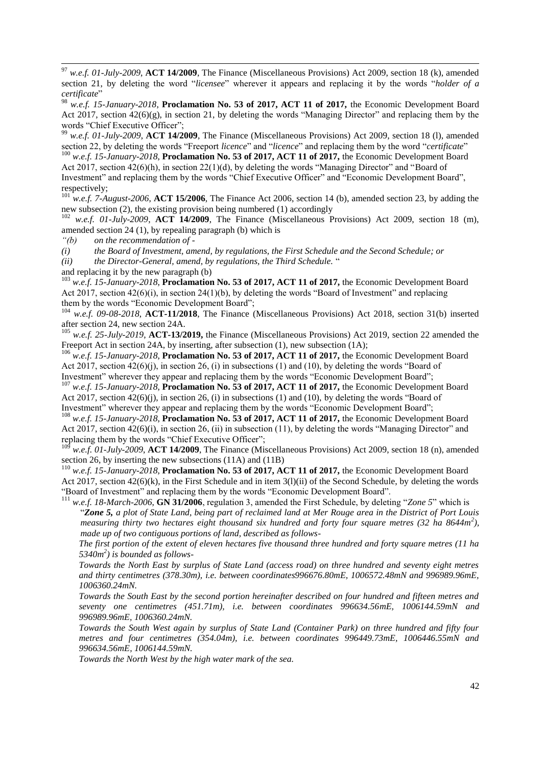<sup>97</sup> *w.e.f. 01-July-2009*, **ACT 14/2009**, The Finance (Miscellaneous Provisions) Act 2009, section 18 (k), amended section 21, by deleting the word "*licensee*" wherever it appears and replacing it by the words "*holder of a certificate*‖

<sup>98</sup> *w.e.f. 15-January-2018*, **Proclamation No. 53 of 2017, ACT 11 of 2017,** the Economic Development Board Act 2017, section  $42(6)(g)$ , in section 21, by deleting the words "Managing Director" and replacing them by the words "Chief Executive Officer";

<sup>99</sup> *w.e.f. 01-July-2009*, **ACT 14/2009**, The Finance (Miscellaneous Provisions) Act 2009, section 18 (1), amended section 22, by deleting the words "Freeport *licence*" and "*licence*" and replacing them by the word "*certificate*"

<sup>100</sup> *w.e.f. 15-January-2018*, **Proclamation No. 53 of 2017, ACT 11 of 2017,** the Economic Development Board Act 2017, section  $42(6)(h)$ , in section  $22(1)(d)$ , by deleting the words "Managing Director" and "Board of Investment" and replacing them by the words "Chief Executive Officer" and "Economic Development Board", respectively;

<sup>101</sup> *w.e.f.* 7-August-2006, **ACT 15/2006**, The Finance Act 2006, section 14 (b), amended section 23, by adding the new subsection (2), the existing provision being numbered (1) accordingly

<sup>102</sup> *w.e.f. 01-July-2009*, **ACT 14/2009**, The Finance (Miscellaneous Provisions) Act 2009, section 18 (m), amended section 24 (1), by repealing paragraph (b) which is

*"(b) on the recommendation of -*

 $\overline{a}$ 

*(i) the Board of Investment, amend, by regulations, the First Schedule and the Second Schedule; or* 

*(ii) the Director-General, amend, by regulations, the Third Schedule.* ―

and replacing it by the new paragraph (b)

<sup>103</sup> *w.e.f. 15-January-2018*, **Proclamation No. 53 of 2017, ACT 11 of 2017,** the Economic Development Board Act 2017, section  $42(6)(i)$ , in section  $24(1)(b)$ , by deleting the words "Board of Investment" and replacing them by the words "Economic Development Board";

<sup>104</sup> *w.e.f. 09-08-2018*, **ACT-11/2018**, The Finance (Miscellaneous Provisions) Act 2018, section 31(b) inserted after section 24, new section 24A.

<sup>105</sup> *w.e.f. 25-July-2019*, **ACT-13/2019,** the Finance (Miscellaneous Provisions) Act 2019, section 22 amended the Freeport Act in section 24A, by inserting, after subsection (1), new subsection (1A);

<sup>106</sup> *w.e.f. 15-January-2018*, **Proclamation No. 53 of 2017, ACT 11 of 2017,** the Economic Development Board Act 2017, section  $42(6)(i)$ , in section 26, (i) in subsections (1) and (10), by deleting the words "Board of Investment" wherever they appear and replacing them by the words "Economic Development Board";

<sup>107</sup> *w.e.f. 15-January-2018*, **Proclamation No. 53 of 2017, ACT 11 of 2017,** the Economic Development Board Act 2017, section  $42(6)(i)$ , in section 26, (i) in subsections (1) and (10), by deleting the words "Board of Investment" wherever they appear and replacing them by the words "Economic Development Board";

<sup>108</sup> *w.e.f. 15-January-2018*, **Proclamation No. 53 of 2017, ACT 11 of 2017,** the Economic Development Board Act 2017, section  $42(6)(i)$ , in section 26, (ii) in subsection (11), by deleting the words "Managing Director" and replacing them by the words "Chief Executive Officer";

<sup>109</sup> *w.e.f. 01-July-2009*, **ACT 14/2009**, The Finance (Miscellaneous Provisions) Act 2009, section 18 (n), amended section 26, by inserting the new subsections (11A) and (11B)

<sup>110</sup> *w.e.f. 15-January-2018*, **Proclamation No. 53 of 2017, ACT 11 of 2017,** the Economic Development Board Act 2017, section 42(6)(k), in the First Schedule and in item 3(l)(ii) of the Second Schedule, by deleting the words "Board of Investment" and replacing them by the words "Economic Development Board".

<sup>111</sup> w.e.f. 18-March-2006, **GN 31/2006**, regulation 3, amended the First Schedule, by deleting "Zone 5" which is ―*Zone 5, a plot of State Land, being part of reclaimed land at Mer Rouge area in the District of Port Louis measuring thirty two hectares eight thousand six hundred and forty four square metres (32 ha 8644m<sup>2</sup> ), made up of two contiguous portions of land, described as follows-*

*The first portion of the extent of eleven hectares five thousand three hundred and forty square metres (11 ha 5340m<sup>2</sup> ) is bounded as follows-*

*Towards the North East by surplus of State Land (access road) on three hundred and seventy eight metres and thirty centimetres (378.30m), i.e. between coordinates996676.80mE, 1006572.48mN and 996989.96mE, 1006360.24mN.*

*Towards the South East by the second portion hereinafter described on four hundred and fifteen metres and seventy one centimetres (451.71m), i.e. between coordinates 996634.56mE, 1006144.59mN and 996989.96mE, 1006360.24mN.*

*Towards the South West again by surplus of State Land (Container Park) on three hundred and fifty four metres and four centimetres (354.04m), i.e. between coordinates 996449.73mE, 1006446.55mN and 996634.56mE, 1006144.59mN.*

*Towards the North West by the high water mark of the sea.*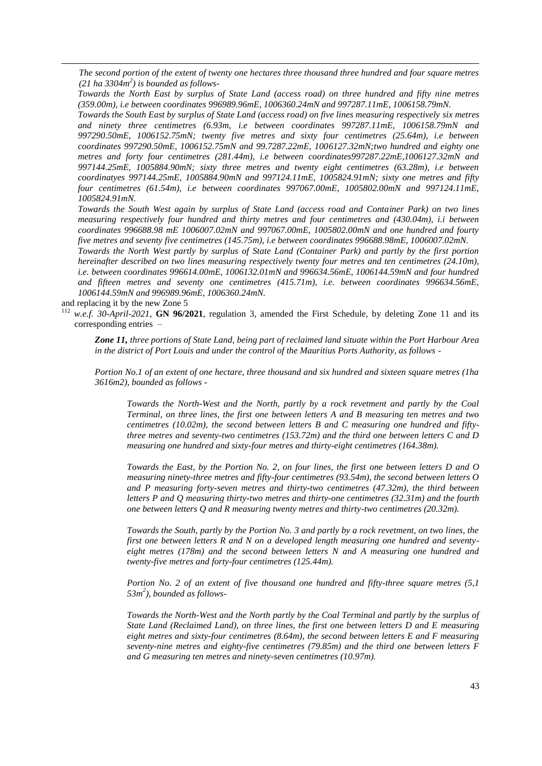*The second portion of the extent of twenty one hectares three thousand three hundred and four square metres (21 ha 3304m<sup>2</sup> ) is bounded as follows-*

*Towards the North East by surplus of State Land (access road) on three hundred and fifty nine metres (359.00m), i.e between coordinates 996989.96mE, 1006360.24mN and 997287.11mE, 1006158.79mN.*

*Towards the South East by surplus of State Land (access road) on five lines measuring respectively six metres and ninety three centimetres (6.93m, i.e between coordinates 997287.11mE, 1006158.79mN and 997290.50mE, 1006152.75mN; twenty five metres and sixty four centimetres (25.64m), i.e between coordinates 997290.50mE, 1006152.75mN and 99.7287.22mE, 1006127.32mN;two hundred and eighty one metres and forty four centimetres (281.44m), i.e between coordinates997287.22mE,1006127.32mN and 997144.25mE, 1005884.90mN; sixty three metres and twenty eight centimetres (63.28m), i.e between coordinatyes 997144.25mE, 1005884.90mN and 997124.11mE, 1005824.91mN; sixty one metres and fifty four centimetres (61.54m), i.e between coordinates 997067.00mE, 1005802.00mN and 997124.11mE, 1005824.91mN.*

*Towards the South West again by surplus of State Land (access road and Container Park) on two lines measuring respectively four hundred and thirty metres and four centimetres and (430.04m), i.i between coordinates 996688.98 mE 1006007.02mN and 997067.00mE, 1005802.00mN and one hundred and fourty five metres and seventy five centimetres (145.75m), i.e between coordinates 996688.98mE, 1006007.02mN.*

*Towards the North West partly by surplus of State Land (Container Park) and partly by the first portion hereinafter described on two lines measuring respectively twenty four metres and ten centimetres (24.10m), i.e. between coordinates 996614.00mE, 1006132.01mN and 996634.56mE, 1006144.59mN and four hundred and fifteen metres and seventy one centimetres (415.71m), i.e. between coordinates 996634.56mE, 1006144.59mN and 996989.96mE, 1006360.24mN.*

and replacing it by the new Zone 5

 $\overline{a}$ 

<sup>112</sup> *w.e.f. 30-April-2021*, **GN 96/2021**, regulation 3, amended the First Schedule, by deleting Zone 11 and its corresponding entries –

*Zone 11, three portions of State Land, being part of reclaimed land situate within the Port Harbour Area in the district of Port Louis and under the control of the Mauritius Ports Authority, as follows -*

*Portion No.1 of an extent of one hectare, three thousand and six hundred and sixteen square metres (1ha 3616m2), bounded as follows -*

*Towards the North-West and the North, partly by a rock revetment and partly by the Coal Terminal, on three lines, the first one between letters A and B measuring ten metres and two centimetres (10.02m), the second between letters B and C measuring one hundred and fiftythree metres and seventy-two centimetres (153.72m) and the third one between letters C and D measuring one hundred and sixty-four metres and thirty-eight centimetres (164.38m).* 

*Towards the East, by the Portion No. 2, on four lines, the first one between letters D and O measuring ninety-three metres and fifty-four centimetres (93.54m), the second between letters O and P measuring forty-seven metres and thirty-two centimetres (47.32m), the third between letters P and Q measuring thirty-two metres and thirty-one centimetres (32.31m) and the fourth one between letters Q and R measuring twenty metres and thirty-two centimetres (20.32m).* 

*Towards the South, partly by the Portion No. 3 and partly by a rock revetment, on two lines, the first one between letters R and N on a developed length measuring one hundred and seventyeight metres (178m) and the second between letters N and A measuring one hundred and twenty-five metres and forty-four centimetres (125.44m).* 

*Portion No. 2 of an extent of five thousand one hundred and fifty-three square metres (5,1 53m<sup>2</sup> ), bounded as follows-*

*Towards the North-West and the North partly by the Coal Terminal and partly by the surplus of State Land (Reclaimed Land), on three lines, the first one between letters D and E measuring eight metres and sixty-four centimetres (8.64m), the second between letters E and F measuring seventy-nine metres and eighty-five centimetres (79.85m) and the third one between letters F and G measuring ten metres and ninety-seven centimetres (10.97m).*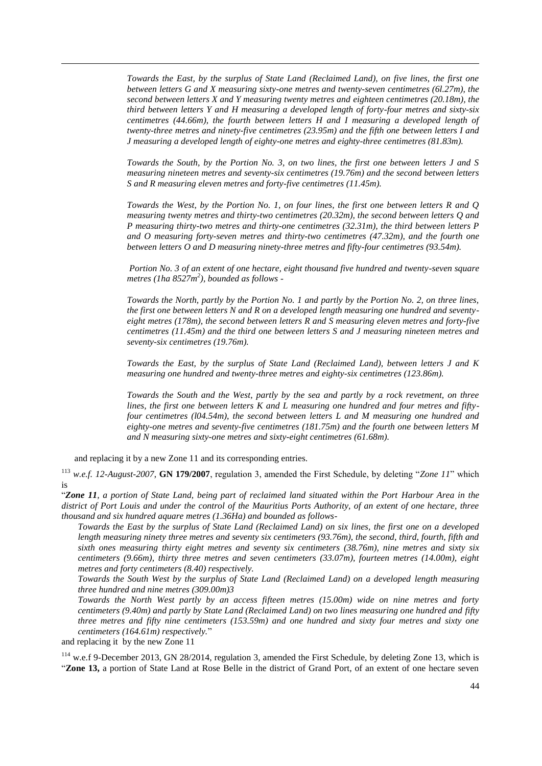*Towards the East, by the surplus of State Land (Reclaimed Land), on five lines, the first one between letters G and X measuring sixty-one metres and twenty-seven centimetres (6l.27m), the second between letters X and Y measuring twenty metres and eighteen centimetres (20.18m), the third between letters Y and H measuring a developed length of forty-four metres and sixty-six centimetres (44.66m), the fourth between letters H and I measuring a developed length of twenty-three metres and ninety-five centimetres (23.95m) and the fifth one between letters I and J measuring a developed length of eighty-one metres and eighty-three centimetres (81.83m).* 

*Towards the South, by the Portion No. 3, on two lines, the first one between letters J and S measuring nineteen metres and seventy-six centimetres (19.76m) and the second between letters S and R measuring eleven metres and forty-five centimetres (11.45m).* 

*Towards the West, by the Portion No. 1, on four lines, the first one between letters R and Q measuring twenty metres and thirty-two centimetres (20.32m), the second between letters Q and P measuring thirty-two metres and thirty-one centimetres (32.31m), the third between letters P and O measuring forty-seven metres and thirty-two centimetres (47.32m), and the fourth one between letters O and D measuring ninety-three metres and fifty-four centimetres (93.54m).* 

*Portion No. 3 of an extent of one hectare, eight thousand five hundred and twenty-seven square metres (1ha 8527m<sup>2</sup> ), bounded as follows -*

*Towards the North, partly by the Portion No. 1 and partly by the Portion No. 2, on three lines, the first one between letters N and R on a developed length measuring one hundred and seventyeight metres (178m), the second between letters R and S measuring eleven metres and forty-five centimetres (11.45m) and the third one between letters S and J measuring nineteen metres and seventy-six centimetres (19.76m).* 

*Towards the East, by the surplus of State Land (Reclaimed Land), between letters J and K measuring one hundred and twenty-three metres and eighty-six centimetres (123.86m).* 

*Towards the South and the West, partly by the sea and partly by a rock revetment, on three lines, the first one between letters K and L measuring one hundred and four metres and fiftyfour centimetres (l04.54m), the second between letters L and M measuring one hundred and eighty-one metres and seventy-five centimetres (181.75m) and the fourth one between letters M and N measuring sixty-one metres and sixty-eight centimetres (61.68m).* 

and replacing it by a new Zone 11 and its corresponding entries.

<sup>113</sup> w.e.f. 12-August-2007, **GN 179/2007**, regulation 3, amended the First Schedule, by deleting "Zone 11" which is

―*Zone 11, a portion of State Land, being part of reclaimed land situated within the Port Harbour Area in the district of Port Louis and under the control of the Mauritius Ports Authority, of an extent of one hectare, three thousand and six hundred aquare metres (1.36Ha) and bounded as follows-*

*Towards the East by the surplus of State Land (Reclaimed Land) on six lines, the first one on a developed length measuring ninety three metres and seventy six centimeters (93.76m), the second, third, fourth, fifth and sixth ones measuring thirty eight metres and seventy six centimeters (38.76m), nine metres and sixty six centimeters (9.66m), thirty three metres and seven centimeters (33.07m), fourteen metres (14.00m), eight metres and forty centimeters (8.40) respectively.*

*Towards the South West by the surplus of State Land (Reclaimed Land) on a developed length measuring three hundred and nine metres (309.00m)3*

*Towards the North West partly by an access fifteen metres (15.00m) wide on nine metres and forty centimeters (9.40m) and partly by State Land (Reclaimed Land) on two lines measuring one hundred and fifty three metres and fifty nine centimeters (153.59m) and one hundred and sixty four metres and sixty one centimeters (164.61m) respectively.*‖

and replacing it by the new Zone 11

 $\overline{a}$ 

<sup>114</sup> w.e.f 9-December 2013, GN 28/2014, regulation 3, amended the First Schedule, by deleting Zone 13, which is ―**Zone 13,** a portion of State Land at Rose Belle in the district of Grand Port, of an extent of one hectare seven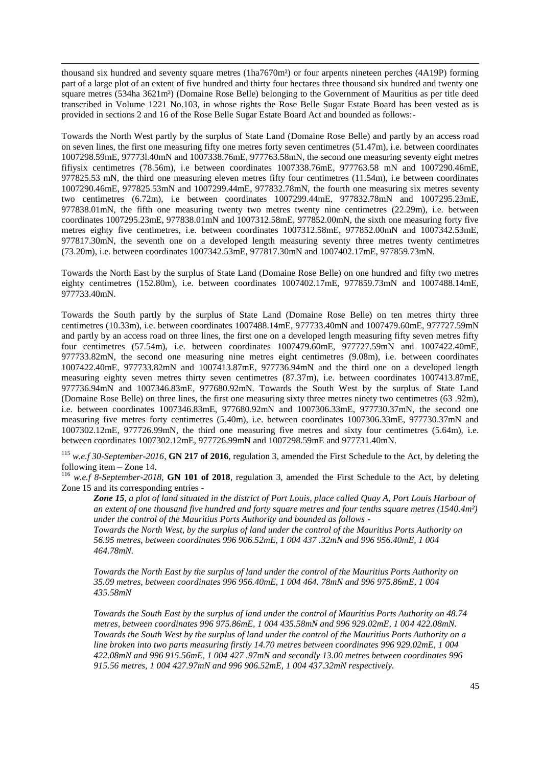thousand six hundred and seventy square metres (1ha7670m²) or four arpents nineteen perches (4A19P) forming part of a large plot of an extent of five hundred and thirty four hectares three thousand six hundred and twenty one square metres (534ha 3621m<sup>2</sup>) (Domaine Rose Belle) belonging to the Government of Mauritius as per title deed transcribed in Volume 1221 No.103*,* in whose rights the Rose Belle Sugar Estate Board has been vested as is provided in sections 2 and 16 of the Rose Belle Sugar Estate Board Act and bounded as follows:-

 $\overline{a}$ 

Towards the North West partly by the surplus of State Land (Domaine Rose Belle) and partly by an access road on seven lines, the first one measuring fifty one metres forty seven centimetres (51.47m), i.e. between coordinates 1007298.59mE, 97773l.40mN and 1007338.76mE, 977763.58mN, the second one measuring seventy eight metres fifiysix centimetres (78.56m), i.e between coordinates 1007338.76mE, 977763.58 mN and 1007290.46mE, 977825.53 mN, the third one measuring eleven metres fifty four centimetres (11.54m), i.e between coordinates 1007290.46mE, 977825.53mN and 1007299.44mE, 977832.78mN, the fourth one measuring six metres seventy two centimetres (6.72m), i.e between coordinates 1007299.44mE, 977832.78mN and 1007295.23mE, 977838.01mN, the fifth one measuring twenty two metres twenty nine centimetres (22.29m), i.e. between coordinates 1007295.23mE, 977838.01mN and 1007312.58mE, 977852.00mN, the sixth one measuring forty five metres eighty five centimetres, i.e. between coordinates 1007312.58mE, 977852.00mN and 1007342.53mE, 977817.30mN, the seventh one on a developed length measuring seventy three metres twenty centimetres (73.20m), i.e. between coordinates 1007342.53mE, 977817.30mN and 1007402.17mE, 977859.73mN.

Towards the North East by the surplus of State Land (Domaine Rose Belle) on one hundred and fifty two metres eighty centimetres (152.80m), i.e. between coordinates 1007402.17mE, 977859.73mN and 1007488.14mE, 977733.40mN.

Towards the South partly by the surplus of State Land (Domaine Rose Belle) on ten metres thirty three centimetres (10.33m), i.e. between coordinates 1007488.14mE, 977733.40mN and 1007479.60mE, 977727.59mN and partly by an access road on three lines, the first one on a developed length measuring fifty seven metres fifty four centimetres (57.54m), i.e. between coordinates 1007479.60mE, 977727.59mN and 1007422.40mE, 977733.82mN, the second one measuring nine metres eight centimetres (9.08m), i.e. between coordinates 1007422.40mE, 977733.82mN and 1007413.87mE, 977736.94mN and the third one on a developed length measuring eighty seven metres thirty seven centimetres (87.37m), i.e. between coordinates 1007413.87mE, 977736.94mN and 1007346.83mE, 977680.92mN. Towards the South West by the surplus of State Land (Domaine Rose Belle) on three lines, the first one measuring sixty three metres ninety two centimetres (63 .92m), i.e. between coordinates 1007346.83mE, 977680.92mN and 1007306.33mE, 977730.37mN, the second one measuring five metres forty centimetres (5.40m), i.e. between coordinates 1007306.33mE, 977730.37mN and 1007302.12mE, 977726.99mN, the third one measuring five metres and sixty four centimetres (5.64m), i.e. between coordinates 1007302.12mE, 977726.99mN and 1007298.59mE and 977731.40mN.

<sup>115</sup> *w.e.f 30-September-2016*, **GN 217 of 2016**, regulation 3, amended the First Schedule to the Act, by deleting the following item – Zone 14.

<sup>116</sup> *w.e.f 8-September-2018*, **GN 101 of 2018**, regulation 3, amended the First Schedule to the Act, by deleting Zone 15 and its corresponding entries -

*Zone 15, a plot of land situated in the district of Port Louis, place called Quay A, Port Louis Harbour of an extent of one thousand five hundred and forty square metres and four tenths square metres (1540.4m²) under the control of the Mauritius Ports Authority and bounded as follows -*

*Towards the North West, by the surplus of land under the control of the Mauritius Ports Authority on 56.95 metres, between coordinates 996 906.52mE, 1 004 437 .32mN and 996 956.40mE, 1 004 464.78mN.* 

*Towards the North East by the surplus of land under the control of the Mauritius Ports Authority on 35.09 metres, between coordinates 996 956.40mE, 1 004 464. 78mN and 996 975.86mE, 1 004 435.58mN* 

*Towards the South East by the surplus of land under the control of Mauritius Ports Authority on 48.74 metres, between coordinates 996 975.86mE, 1 004 435.58mN and 996 929.02mE, 1 004 422.08mN. Towards the South West by the surplus of land under the control of the Mauritius Ports Authority on a line broken into two parts measuring firstly 14.70 metres between coordinates 996 929.02mE, 1 004 422.08mN and 996 915.56mE, 1 004 427 .97mN and secondly 13.00 metres between coordinates 996 915.56 metres, 1 004 427.97mN and 996 906.52mE, 1 004 437.32mN respectively.*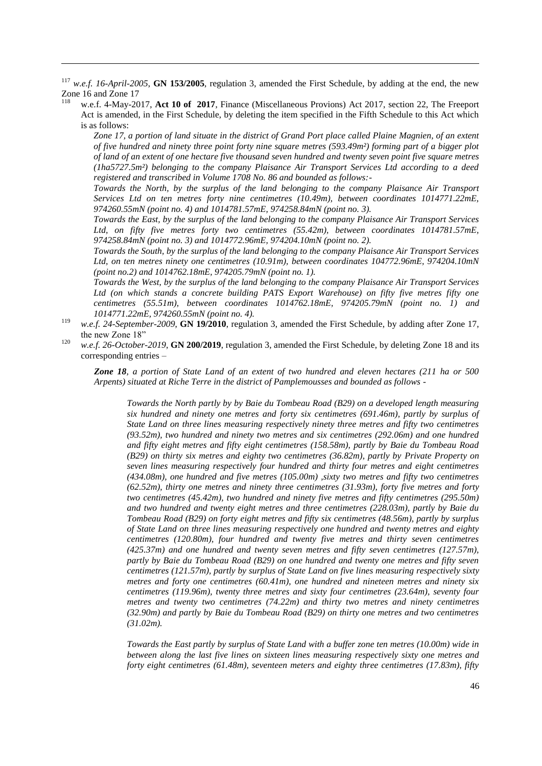<sup>117</sup> *w.e.f. 16-April-2005*, **GN 153/2005**, regulation 3, amended the First Schedule, by adding at the end, the new Zone 16 and Zone 17

 $\overline{a}$ 

w.e.f. 4-May-2017, Act 10 of 2017, Finance (Miscellaneous Provions) Act 2017, section 22, The Freeport Act is amended, in the First Schedule, by deleting the item specified in the Fifth Schedule to this Act which is as follows:

*Zone 17, a portion of land situate in the district of Grand Port place called Plaine Magnien, of an extent of five hundred and ninety three point forty nine square metres (593.49m²) forming part of a bigger plot of land of an extent of one hectare five thousand seven hundred and twenty seven point five square metres (1ha5727.5m²) belonging to the company Plaisance Air Transport Services Ltd according to a deed registered and transcribed in Volume 1708 No. 86 and bounded as follows:-*

*Towards the North, by the surplus of the land belonging to the company Plaisance Air Transport Services Ltd on ten metres forty nine centimetres (10.49m), between coordinates 1014771.22mE, 974260.55mN (point no. 4) and 1014781.57mE, 974258.84mN (point no. 3).* 

*Towards the East, by the surplus of the land belonging to the company Plaisance Air Transport Services*  Ltd, on fifty five metres forty two centimetres (55.42m), between coordinates 1014781.57mE, *974258.84mN (point no. 3) and 1014772.96mE, 974204.10mN (point no. 2).* 

*Towards the South, by the surplus of the land belonging to the company Plaisance Air Transport Services Ltd, on ten metres ninety one centimetres (10.91m), between coordinates 104772.96mE, 974204.10mN (point no.2) and 1014762.18mE, 974205.79mN (point no. 1).* 

*Towards the West, by the surplus of the land belonging to the company Plaisance Air Transport Services Ltd (on which stands a concrete building PATS Export Warehouse) on fifty five metres fifty one centimetres (55.51m), between coordinates 1014762.18mE, 974205.79mN (point no. 1) and 1014771.22mE, 974260.55mN (point no. 4).*

- <sup>119</sup> *w.e.f. 24-September-2009*, **GN 19/2010**, regulation 3, amended the First Schedule, by adding after Zone 17, the new Zone 18"
- <sup>120</sup> *w.e.f. 26-October-2019*, **GN 200/2019**, regulation 3, amended the First Schedule, by deleting Zone 18 and its corresponding entries –

*Zone 18, a portion of State Land of an extent of two hundred and eleven hectares (211 ha or 500 Arpents) situated at Riche Terre in the district of Pamplemousses and bounded as follows -*

*Towards the North partly by by Baie du Tombeau Road (B29) on a developed length measuring six hundred and ninety one metres and forty six centimetres (691.46m), partly by surplus of State Land on three lines measuring respectively ninety three metres and fifty two centimetres (93.52m), two hundred and ninety two metres and six centimetres (292.06m) and one hundred and fifty eight metres and fifty eight centimetres (158.58m), partly by Baie du Tombeau Road (B29) on thirty six metres and eighty two centimetres (36.82m), partly by Private Property on seven lines measuring respectively four hundred and thirty four metres and eight centimetres (434.08m), one hundred and five metres (105.00m) ,sixty two metres and fifty two centimetres (62.52m), thirty one metres and ninety three centimetres (31.93m), forty five metres and forty two centimetres (45.42m), two hundred and ninety five metres and fifty centimetres (295.50m) and two hundred and twenty eight metres and three centimetres (228.03m), partly by Baie du Tombeau Road (B29) on forty eight metres and fifty six centimetres (48.56m), partly by surplus of State Land on three lines measuring respectively one hundred and twenty metres and eighty centimetres (120.80m), four hundred and twenty five metres and thirty seven centimetres (425.37m) and one hundred and twenty seven metres and fifty seven centimetres (127.57m), partly by Baie du Tombeau Road (B29) on one hundred and twenty one metres and fifty seven centimetres (121.57m), partly by surplus of State Land on five lines measuring respectively sixty metres and forty one centimetres (60.41m), one hundred and nineteen metres and ninety six centimetres (119.96m), twenty three metres and sixty four centimetres (23.64m), seventy four metres and twenty two centimetres (74.22m) and thirty two metres and ninety centimetres (32.90m) and partly by Baie du Tombeau Road (B29) on thirty one metres and two centimetres (31.02m).*

*Towards the East partly by surplus of State Land with a buffer zone ten metres (10.00m) wide in between along the last five lines on sixteen lines measuring respectively sixty one metres and forty eight centimetres (61.48m), seventeen meters and eighty three centimetres (17.83m), fifty*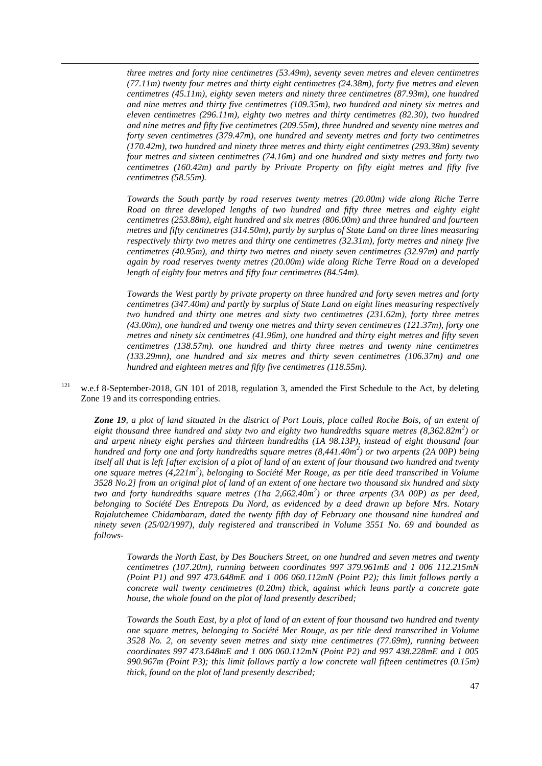*three metres and forty nine centimetres (53.49m), seventy seven metres and eleven centimetres (77.11m) twenty four metres and thirty eight centimetres (24.38m), forty five metres and eleven centimetres (45.11m), eighty seven meters and ninety three centimetres (87.93m), one hundred and nine metres and thirty five centimetres (109.35m), two hundred and ninety six metres and eleven centimetres (296.11m), eighty two metres and thirty centimetres (82.30), two hundred and nine metres and fifty five centimetres (209.55m), three hundred and seventy nine metres and forty seven centimetres (379.47m), one hundred and seventy metres and forty two centimetres (170.42m), two hundred and ninety three metres and thirty eight centimetres (293.38m) seventy four metres and sixteen centimetres (74.16m) and one hundred and sixty metres and forty two centimetres (160.42m) and partly by Private Property on fifty eight metres and fifty five centimetres (58.55m).*

 $\overline{a}$ 

*Towards the South partly by road reserves twenty metres (20.00m) wide along Riche Terre Road on three developed lengths of two hundred and fifty three metres and eighty eight centimetres (253.88m), eight hundred and six metres (806.00m) and three hundred and fourteen metres and fifty centimetres (314.50m), partly by surplus of State Land on three lines measuring respectively thirty two metres and thirty one centimetres (32.31m), forty metres and ninety five centimetres (40.95m), and thirty two metres and ninety seven centimetres (32.97m) and partly again by road reserves twenty metres (20.00m) wide along Riche Terre Road on a developed length of eighty four metres and fifty four centimetres (84.54m).*

*Towards the West partly by private property on three hundred and forty seven metres and forty centimetres (347.40m) and partly by surplus of State Land on eight lines measuring respectively two hundred and thirty one metres and sixty two centimetres (231.62m), forty three metres (43.00m), one hundred and twenty one metres and thirty seven centimetres (121.37m), forty one metres and ninety six centimetres (41.96m), one hundred and thirty eight metres and fifty seven centimetres (138.57m). one hundred and thirty three metres and twenty nine centimetres (133.29mn), one hundred and six metres and thirty seven centimetres (106.37m) and one hundred and eighteen metres and fifty five centimetres (118.55m).*

<sup>121</sup> w.e.f 8-September-2018, GN 101 of 2018, regulation 3, amended the First Schedule to the Act, by deleting Zone 19 and its corresponding entries.

*Zone 19, a plot of land situated in the district of Port Louis, place called Roche Bois, of an extent of eight thousand three hundred and sixty two and eighty two hundredths square metres (8,362.82m<sup>2</sup> ) or and arpent ninety eight pershes and thirteen hundredths (1A 98.13P), instead of eight thousand four hundred and forty one and forty hundredths square metres (8,441.40m<sup>2</sup> ) or two arpents (2A 00P) being itself all that is left [after excision of a plot of land of an extent of four thousand two hundred and twenty one square metres (4,221m<sup>2</sup> ), belonging to Société Mer Rouge, as per title deed transcribed in Volume 3528 No.2] from an original plot of land of an extent of one hectare two thousand six hundred and sixty two and forty hundredths square metres (1ha 2,662.40m<sup>2</sup> ) or three arpents (3A 00P) as per deed, belonging to Société Des Entrepots Du Nord, as evidenced by a deed drawn up before Mrs. Notary Rajalutchemee Chidambaram, dated the twenty fifth day of February one thousand nine hundred and ninety seven (25/02/1997), duly registered and transcribed in Volume 3551 No. 69 and bounded as follows-*

*Towards the North East, by Des Bouchers Street, on one hundred and seven metres and twenty centimetres (107.20m), running between coordinates 997 379.961mE and 1 006 112.215mN (Point P1) and 997 473.648mE and 1 006 060.112mN (Point P2); this limit follows partly a concrete wall twenty centimetres (0.20m) thick, against which leans partly a concrete gate house, the whole found on the plot of land presently described;*

*Towards the South East, by a plot of land of an extent of four thousand two hundred and twenty one square metres, belonging to Société Mer Rouge, as per title deed transcribed in Volume 3528 No. 2, on seventy seven metres and sixty nine centimetres (77.69m), running between coordinates 997 473.648mE and 1 006 060.112mN (Point P2) and 997 438.228mE and 1 005 990.967m (Point P3); this limit follows partly a low concrete wall fifteen centimetres (0.15m) thick, found on the plot of land presently described;*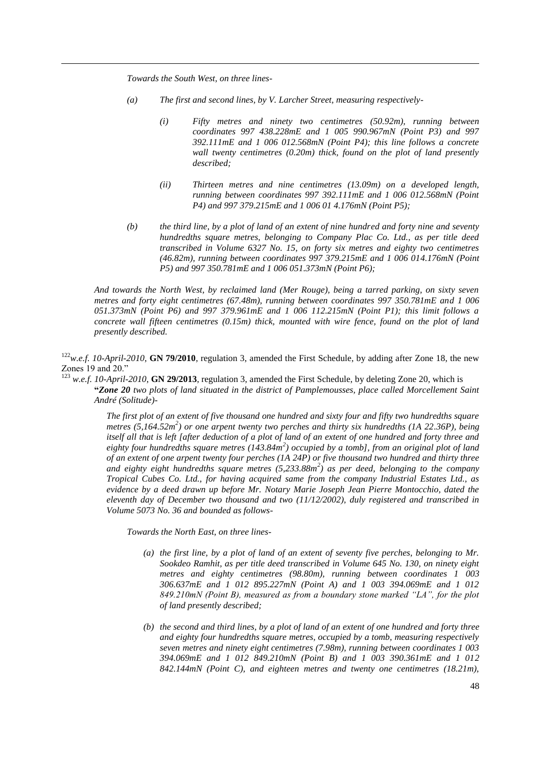*Towards the South West, on three lines-*

 $\overline{a}$ 

- *(a) The first and second lines, by V. Larcher Street, measuring respectively-*
	- *(i) Fifty metres and ninety two centimetres (50.92m), running between coordinates 997 438.228mE and 1 005 990.967mN (Point P3) and 997 392.111mE and 1 006 012.568mN (Point P4); this line follows a concrete wall twenty centimetres (0.20m) thick, found on the plot of land presently described;*
	- *(ii) Thirteen metres and nine centimetres (13.09m) on a developed length, running between coordinates 997 392.111mE and 1 006 012.568mN (Point P4) and 997 379.215mE and 1 006 01 4.176mN (Point P5);*
- *(b) the third line, by a plot of land of an extent of nine hundred and forty nine and seventy hundredths square metres, belonging to Company Plac Co. Ltd., as per title deed transcribed in Volume 6327 No. 15, on forty six metres and eighty two centimetres (46.82m), running between coordinates 997 379.215mE and 1 006 014.176mN (Point P5) and 997 350.781mE and 1 006 051.373mN (Point P6);*

*And towards the North West, by reclaimed land (Mer Rouge), being a tarred parking, on sixty seven metres and forty eight centimetres (67.48m), running between coordinates 997 350.781mE and 1 006 051.373mN (Point P6) and 997 379.961mE and 1 006 112.215mN (Point P1); this limit follows a concrete wall fifteen centimetres (0.15m) thick, mounted with wire fence, found on the plot of land presently described.*

<sup>122</sup>*w.e.f. 10-April-2010*, **GN 79/2010**, regulation 3, amended the First Schedule, by adding after Zone 18, the new Zones 19 and 20."

<sup>123</sup> *w.e.f. 10-April-2010*, **GN 29/2013**, regulation 3, amended the First Schedule, by deleting Zone 20, which is **"***Zone 20 two plots of land situated in the district of Pamplemousses, place called Morcellement Saint André (Solitude)-*

> *The first plot of an extent of five thousand one hundred and sixty four and fifty two hundredths square metres (5,164.52m<sup>2</sup> ) or one arpent twenty two perches and thirty six hundredths (1A 22.36P), being itself all that is left [after deduction of a plot of land of an extent of one hundred and forty three and eighty four hundredths square metres (143.84m<sup>2</sup> ) occupied by a tomb], from an original plot of land of an extent of one arpent twenty four perches (1A 24P) or five thousand two hundred and thirty three and eighty eight hundredths square metres (5,233.88m<sup>2</sup> ) as per deed, belonging to the company Tropical Cubes Co. Ltd., for having acquired same from the company Industrial Estates Ltd., as evidence by a deed drawn up before Mr. Notary Marie Joseph Jean Pierre Montocchio, dated the eleventh day of December two thousand and two (11/12/2002), duly registered and transcribed in Volume 5073 No. 36 and bounded as follows-*

*Towards the North East, on three lines-*

- *(a) the first line, by a plot of land of an extent of seventy five perches, belonging to Mr. Sookdeo Ramhit, as per title deed transcribed in Volume 645 No. 130, on ninety eight metres and eighty centimetres (98.80m), running between coordinates 1 003 306.637mE and 1 012 895.227mN (Point A) and 1 003 394.069mE and 1 012 849.210mN (Point B), measured as from a boundary stone marked "LA", for the plot of land presently described;*
- *(b) the second and third lines, by a plot of land of an extent of one hundred and forty three and eighty four hundredths square metres, occupied by a tomb, measuring respectively seven metres and ninety eight centimetres (7.98m), running between coordinates 1 003 394.069mE and 1 012 849.210mN (Point B) and 1 003 390.361mE and 1 012 842.144mN (Point C), and eighteen metres and twenty one centimetres (18.21m),*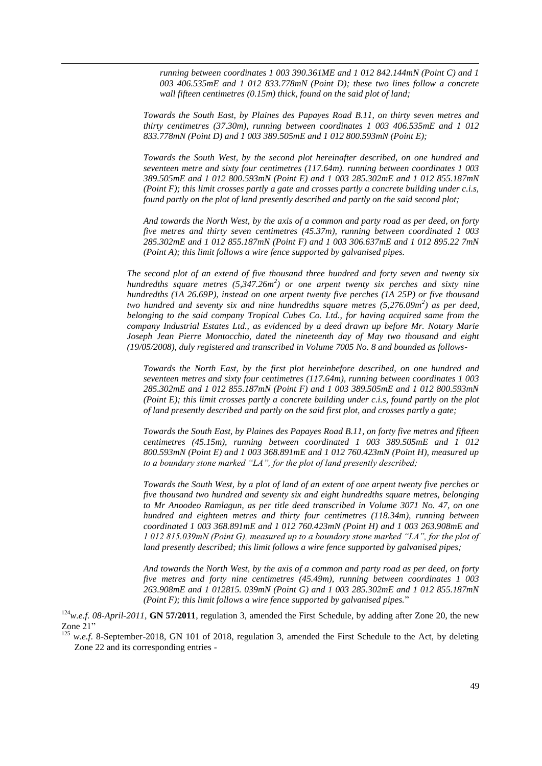*running between coordinates 1 003 390.361ME and 1 012 842.144mN (Point C) and 1 003 406.535mE and 1 012 833.778mN (Point D); these two lines follow a concrete wall fifteen centimetres (0.15m) thick, found on the said plot of land;*

 $\overline{a}$ 

*Towards the South East, by Plaines des Papayes Road B.11, on thirty seven metres and thirty centimetres (37.30m), running between coordinates 1 003 406.535mE and 1 012 833.778mN (Point D) and 1 003 389.505mE and 1 012 800.593mN (Point E);*

*Towards the South West, by the second plot hereinafter described, on one hundred and seventeen metre and sixty four centimetres (117.64m). running between coordinates 1 003 389.505mE and 1 012 800.593mN (Point E) and 1 003 285.302mE and 1 012 855.187mN (Point F); this limit crosses partly a gate and crosses partly a concrete building under c.i.s, found partly on the plot of land presently described and partly on the said second plot;*

*And towards the North West, by the axis of a common and party road as per deed, on forty five metres and thirty seven centimetres (45.37m), running between coordinated 1 003 285.302mE and 1 012 855.187mN (Point F) and 1 003 306.637mE and 1 012 895.22 7mN (Point A); this limit follows a wire fence supported by galvanised pipes.*

*The second plot of an extend of five thousand three hundred and forty seven and twenty six hundredths square metres (5,347.26m<sup>2</sup> ) or one arpent twenty six perches and sixty nine hundredths (1A 26.69P), instead on one arpent twenty five perches (1A 25P) or five thousand two hundred and seventy six and nine hundredths square metres (5,276.09m<sup>2</sup> ) as per deed, belonging to the said company Tropical Cubes Co. Ltd., for having acquired same from the company Industrial Estates Ltd., as evidenced by a deed drawn up before Mr. Notary Marie Joseph Jean Pierre Montocchio, dated the nineteenth day of May two thousand and eight (19/05/2008), duly registered and transcribed in Volume 7005 No. 8 and bounded as follows-*

*Towards the North East, by the first plot hereinbefore described, on one hundred and seventeen metres and sixty four centimetres (117.64m), running between coordinates 1 003 285.302mE and 1 012 855.187mN (Point F) and 1 003 389.505mE and 1 012 800.593mN (Point E); this limit crosses partly a concrete building under c.i.s, found partly on the plot of land presently described and partly on the said first plot, and crosses partly a gate;*

*Towards the South East, by Plaines des Papayes Road B.11, on forty five metres and fifteen centimetres (45.15m), running between coordinated 1 003 389.505mE and 1 012 800.593mN (Point E) and 1 003 368.891mE and 1 012 760.423mN (Point H), measured up to a boundary stone marked "LA", for the plot of land presently described;*

*Towards the South West, by a plot of land of an extent of one arpent twenty five perches or five thousand two hundred and seventy six and eight hundredths square metres, belonging to Mr Anoodeo Ramlagun, as per title deed transcribed in Volume 3071 No. 47, on one hundred and eighteen metres and thirty four centimetres (118.34m), running between coordinated 1 003 368.891mE and 1 012 760.423mN (Point H) and 1 003 263.908mE and 1 012 815.039mN (Point G), measured up to a boundary stone marked "LA", for the plot of land presently described; this limit follows a wire fence supported by galvanised pipes;*

*And towards the North West, by the axis of a common and party road as per deed, on forty five metres and forty nine centimetres (45.49m), running between coordinates 1 003 263.908mE and 1 012815. 039mN (Point G) and 1 003 285.302mE and 1 012 855.187mN (Point F); this limit follows a wire fence supported by galvanised pipes.*‖

 $124$ *w.e.f. 08-April-2011*, **GN 57/2011**, regulation 3, amended the First Schedule, by adding after Zone 20, the new Zone 21"

<sup>125</sup> *w.e.f.* 8-September-2018, GN 101 of 2018, regulation 3, amended the First Schedule to the Act, by deleting Zone 22 and its corresponding entries -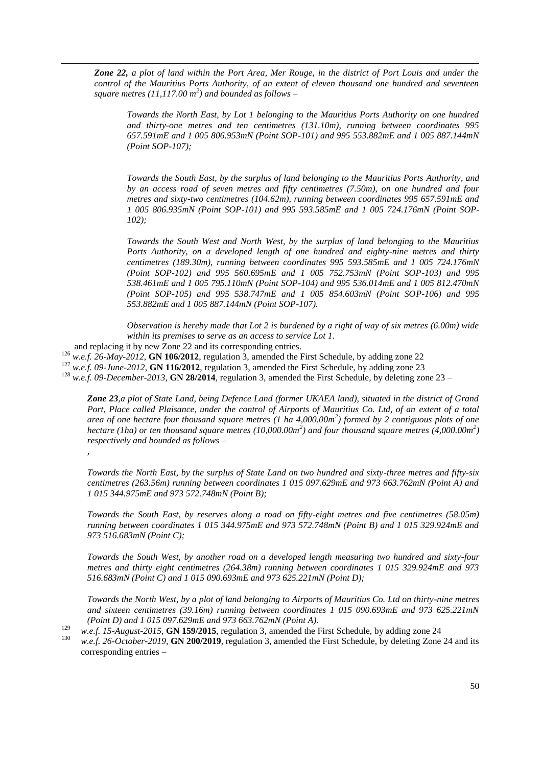*Zone 22, a plot of land within the Port Area, Mer Rouge, in the district of Port Louis and under the control of the Mauritius Ports Authority, of an extent of eleven thousand one hundred and seventeen square metres (11,117.00 m<sup>2</sup> ) and bounded as follows –*

*Towards the North East, by Lot 1 belonging to the Mauritius Ports Authority on one hundred and thirty-one metres and ten centimetres (131.10m), running between coordinates 995 657.591mE and 1 005 806.953mN (Point SOP-101) and 995 553.882mE and 1 005 887.144mN (Point SOP-107);*

*Towards the South East, by the surplus of land belonging to the Mauritius Ports Authority, and by an access road of seven metres and fifty centimetres (7.50m), on one hundred and four metres and sixty-two centimetres (104.62m), running between coordinates 995 657.591mE and 1 005 806.935mN (Point SOP-101) and 995 593.585mE and 1 005 724.176mN (Point SOP-102);*

*Towards the South West and North West, by the surplus of land belonging to the Mauritius Ports Authority, on a developed length of one hundred and eighty-nine metres and thirty centimetres (189.30m), running between coordinates 995 593.585mE and 1 005 724.176mN (Point SOP-102) and 995 560.695mE and 1 005 752.753mN (Point SOP-103) and 995 538.461mE and 1 005 795.110mN (Point SOP-104) and 995 536.014mE and 1 005 812.470mN (Point SOP-105) and 995 538.747mE and 1 005 854.603mN (Point SOP-106) and 995 553.882mE and 1 005 887.144mN (Point SOP-107).*

*Observation is hereby made that Lot 2 is burdened by a right of way of six metres (6.00m) wide within its premises to serve as an access to service Lot 1.*

and replacing it by new Zone 22 and its corresponding entries.

<sup>126</sup> *w.e.f. 26-May-2012*, **GN 106/2012**, regulation 3, amended the First Schedule, by adding zone 22

<sup>127</sup> *w.e.f. 09-June-2012*, **GN 116/2012**, regulation 3, amended the First Schedule, by adding zone 23

<sup>128</sup> *w.e.f. 09-December-2013*, **GN 28/2014**, regulation 3, amended the First Schedule, by deleting zone 23 –

*Zone 23,a plot of State Land, being Defence Land (former UKAEA land), situated in the district of Grand Port, Place called Plaisance, under the control of Airports of Mauritius Co. Ltd, of an extent of a total area of one hectare four thousand square metres (1 ha 4,000.00m<sup>2</sup> ) formed by 2 contiguous plots of one hectare (1ha) or ten thousand square metres (10,000.00m<sup>2</sup> ) and four thousand square metres (4,000.00m<sup>2</sup> ) respectively and bounded as follows –*

*Towards the North East, by the surplus of State Land on two hundred and sixty-three metres and fifty-six centimetres (263.56m) running between coordinates 1 015 097.629mE and 973 663.762mN (Point A) and 1 015 344.975mE and 973 572.748mN (Point B);*

*Towards the South East, by reserves along a road on fifty-eight metres and five centimetres (58.05m) running between coordinates 1 015 344.975mE and 973 572.748mN (Point B) and 1 015 329.924mE and 973 516.683mN (Point C);*

*Towards the South West, by another road on a developed length measuring two hundred and sixty-four metres and thirty eight centimetres (264.38m) running between coordinates 1 015 329.924mE and 973 516.683mN (Point C) and 1 015 090.693mE and 973 625.221mN (Point D);*

*Towards the North West, by a plot of land belonging to Airports of Mauritius Co. Ltd on thirty-nine metres and sixteen centimetres (39.16m) running between coordinates 1 015 090.693mE and 973 625.221mN (Point D) and 1 015 097.629mE and 973 663.762mN (Point A).*

*,*

 $\overline{a}$ 

<sup>129</sup> *w.e.f. 15-August-2015*, **GN 159/2015**, regulation 3, amended the First Schedule, by adding zone 24<br><sup>130</sup>

w.e.f. 26-October-2019, **GN 200/2019**, regulation 3, amended the First Schedule, by deleting Zone 24 and its corresponding entries –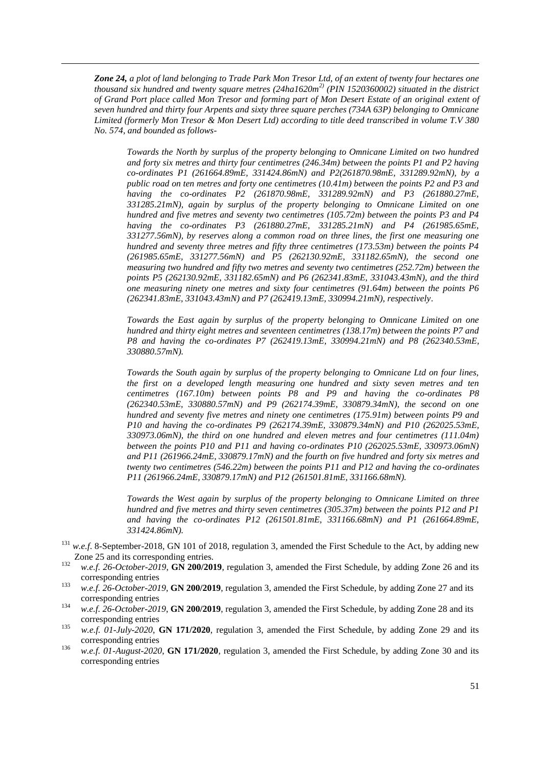*Zone 24, a plot of land belonging to Trade Park Mon Tresor Ltd, of an extent of twenty four hectares one thousand six hundred and twenty square metres (24ha1620m2) (PIN 1520360002) situated in the district of Grand Port place called Mon Tresor and forming part of Mon Desert Estate of an original extent of seven hundred and thirty four Arpents and sixty three square perches (734A 63P) belonging to Omnicane Limited (formerly Mon Tresor & Mon Desert Ltd) according to title deed transcribed in volume T.V 380 No. 574, and bounded as follows-*

 $\overline{a}$ 

*Towards the North by surplus of the property belonging to Omnicane Limited on two hundred and forty six metres and thirty four centimetres (246.34m) between the points P1 and P2 having co-ordinates P1 (261664.89mE, 331424.86mN) and P2(261870.98mE, 331289.92mN), by a public road on ten metres and forty one centimetres (10.41m) between the points P2 and P3 and having the co-ordinates P2 (261870.98mE, 331289.92mN) and P3 (261880.27mE, 331285.21mN), again by surplus of the property belonging to Omnicane Limited on one hundred and five metres and seventy two centimetres (105.72m) between the points P3 and P4 having the co-ordinates P3 (261880.27mE, 331285.21mN) and P4 (261985.65mE, 331277.56mN), by reserves along a common road on three lines, the first one measuring one hundred and seventy three metres and fifty three centimetres (173.53m) between the points P4 (261985.65mE, 331277.56mN) and P5 (262130.92mE, 331182.65mN), the second one measuring two hundred and fifty two metres and seventy two centimetres (252.72m) between the points P5 (262130.92mE, 331182.65mN) and P6 (262341.83mE, 331043.43mN), and the third one measuring ninety one metres and sixty four centimetres (91.64m) between the points P6 (262341.83mE, 331043.43mN) and P7 (262419.13mE, 330994.21mN), respectively.*

*Towards the East again by surplus of the property belonging to Omnicane Limited on one hundred and thirty eight metres and seventeen centimetres (138.17m) between the points P7 and P8 and having the co-ordinates P7 (262419.13mE, 330994.21mN) and P8 (262340.53mE, 330880.57mN).*

*Towards the South again by surplus of the property belonging to Omnicane Ltd on four lines, the first on a developed length measuring one hundred and sixty seven metres and ten centimetres (167.10m) between points P8 and P9 and having the co-ordinates P8 (262340.53mE, 330880.57mN) and P9 (262174.39mE, 330879.34mN), the second on one hundred and seventy five metres and ninety one centimetres (175.91m) between points P9 and P10 and having the co-ordinates P9 (262174.39mE, 330879.34mN) and P10 (262025.53mE, 330973.06mN), the third on one hundred and eleven metres and four centimetres (111.04m) between the points P10 and P11 and having co-ordinates P10 (262025.53mE, 330973.06mN) and P11 (261966.24mE, 330879.17mN) and the fourth on five hundred and forty six metres and twenty two centimetres (546.22m) between the points P11 and P12 and having the co-ordinates P11 (261966.24mE, 330879.17mN) and P12 (261501.81mE, 331166.68mN).*

*Towards the West again by surplus of the property belonging to Omnicane Limited on three hundred and five metres and thirty seven centimetres (305.37m) between the points P12 and P1 and having the co-ordinates P12 (261501.81mE, 331166.68mN) and P1 (261664.89mE, 331424.86mN).* 

- <sup>131</sup> *w.e.f.* 8-September-2018, GN 101 of 2018, regulation 3, amended the First Schedule to the Act, by adding new Zone 25 and its corresponding entries.
- 132 *w.e.f. 26-October-2019*, **GN 200/2019**, regulation 3, amended the First Schedule, by adding Zone 26 and its corresponding entries
- <sup>133</sup> *w.e.f. 26-October-2019*, **GN 200/2019**, regulation 3, amended the First Schedule, by adding Zone 27 and its corresponding entries
- <sup>134</sup> *w.e.f. 26-October-2019*, **GN 200/2019**, regulation 3, amended the First Schedule, by adding Zone 28 and its corresponding entries
- 135 *w.e.f. 01-July-2020*, **GN 171/2020**, regulation 3, amended the First Schedule, by adding Zone 29 and its corresponding entries
- 136 *w.e.f. 01-August-2020*, **GN 171/2020**, regulation 3, amended the First Schedule, by adding Zone 30 and its corresponding entries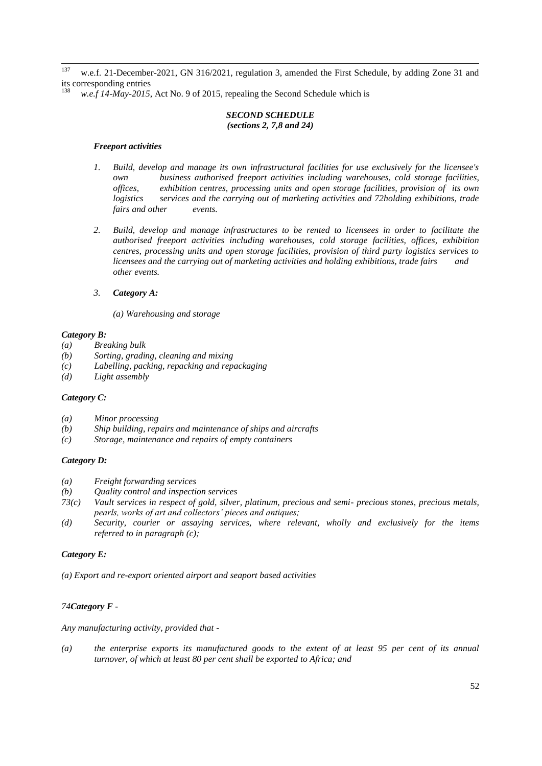137 w.e.f. 21-December-2021, GN 316/2021, regulation 3, amended the First Schedule, by adding Zone 31 and its corresponding entries

w.e.f 14-May-2015, Act No. 9 of 2015, repealing the Second Schedule which is

### *SECOND SCHEDULE (sections 2, 7,8 and 24)*

#### *Freeport activities*

- *1. Build, develop and manage its own infrastructural facilities for use exclusively for the licensee's own business authorised freeport activities including warehouses, cold storage facilities, offices, exhibition centres, processing units and open storage facilities, provision of its own logistics services and the carrying out of marketing activities and 72holding exhibitions, trade fairs and other events.*
- *2. Build, develop and manage infrastructures to be rented to licensees in order to facilitate the authorised freeport activities including warehouses, cold storage facilities, offices, exhibition centres, processing units and open storage facilities, provision of third party logistics services to licensees and the carrying out of marketing activities and holding exhibitions, trade fairs and other events.*
- *3. Category A:* 
	- *(a) Warehousing and storage*

#### *Category B:*

- *(a) Breaking bulk*
- *(b) Sorting, grading, cleaning and mixing*
- *(c) Labelling, packing, repacking and repackaging*
- *(d) Light assembly*

#### *Category C:*

- *(a) Minor processing*
- *(b) Ship building, repairs and maintenance of ships and aircrafts*
- *(c) Storage, maintenance and repairs of empty containers*

#### *Category D:*

- *(a) Freight forwarding services*
- *(b) Quality control and inspection services*
- *73(c) Vault services in respect of gold, silver, platinum, precious and semi- precious stones, precious metals, pearls, works of art and collectors' pieces and antiques;*
- *(d) Security, courier or assaying services, where relevant, wholly and exclusively for the items referred to in paragraph (c);*

### *Category E:*

*(a) Export and re-export oriented airport and seaport based activities* 

# *74Category F -*

*Any manufacturing activity, provided that -*

*(a) the enterprise exports its manufactured goods to the extent of at least 95 per cent of its annual turnover, of which at least 80 per cent shall be exported to Africa; and*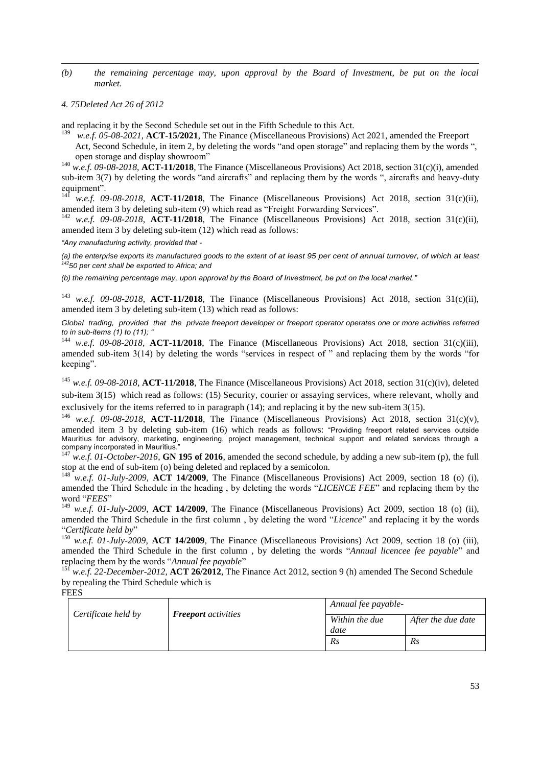*(b) the remaining percentage may, upon approval by the Board of Investment, be put on the local market.* 

#### *4. 75Deleted Act 26 of 2012*

 $\overline{a}$ 

and replacing it by the Second Schedule set out in the Fifth Schedule to this Act.

139 *w.e.f. 05-08-2021*, **ACT-15/2021**, The Finance (Miscellaneous Provisions) Act 2021, amended the Freeport

Act, Second Schedule, in item 2, by deleting the words "and open storage" and replacing them by the words ", open storage and display showroom"

<sup>140</sup> *w.e.f. 09-08-2018*, **ACT-11/2018**, The Finance (Miscellaneous Provisions) Act 2018, section 31(c)(i), amended sub-item  $3(7)$  by deleting the words "and aircrafts" and replacing them by the words ", aircrafts and heavy-duty equipment".

w.e.f. 09-08-2018, **ACT-11/2018**, The Finance (Miscellaneous Provisions) Act 2018, section 31(c)(ii), amended item 3 by deleting sub-item (9) which read as "Freight Forwarding Services".

<sup>142</sup> *w.e.f. 09-08-2018*, **ACT-11/2018**, The Finance (Miscellaneous Provisions) Act 2018, section 31(c)(ii), amended item 3 by deleting sub-item (12) which read as follows:

*"Any manufacturing activity, provided that -*

*(a) the enterprise exports its manufactured goods to the extent of at least 95 per cent of annual turnover, of which at least <sup>142</sup>50 per cent shall be exported to Africa; and* 

*(b) the remaining percentage may, upon approval by the Board of Investment, be put on the local market."* 

<sup>143</sup> *w.e.f.* 09-08-2018, **ACT-11/2018**, The Finance (Miscellaneous Provisions) Act 2018, section 31(c)(ii), amended item 3 by deleting sub-item (13) which read as follows:

*Global trading, provided that the private freeport developer or freeport operator operates one or more activities referred to in sub-items (1) to (11); "*

<sup>144</sup> *w.e.f.* 09-08-2018, **ACT-11/2018**, The Finance (Miscellaneous Provisions) Act 2018, section 31(c)(iii), amended sub-item 3(14) by deleting the words "services in respect of " and replacing them by the words "for keeping".

<sup>145</sup> *w.e.f. 09-08-2018*, **ACT-11/2018**, The Finance (Miscellaneous Provisions) Act 2018, section 31(c)(iv), deleted sub-item 3(15) which read as follows: (15) Security, courier or assaying services, where relevant, wholly and exclusively for the items referred to in paragraph (14); and replacing it by the new sub-item 3(15).

<sup>146</sup> *w.e.f.* 09-08-2018, **ACT-11/2018**, The Finance (Miscellaneous Provisions) Act 2018, section 31(c)(v), amended item 3 by deleting sub-item (16) which reads as follows: "Providing freeport related services outside Mauritius for advisory, marketing, engineering, project management, technical support and related services through a company incorporated in Mauritius." <sup>147</sup> *w.e.f. 01-October-2016*, **GN 195 of 2016**, amended the second schedule, by adding a new sub-item (p), the full

stop at the end of sub-item (o) being deleted and replaced by a semicolon.

<sup>148</sup> *w.e.f. 01-July-2009*, **ACT 14/2009**, The Finance (Miscellaneous Provisions) Act 2009, section 18 (o) (i), amended the Third Schedule in the heading, by deleting the words "*LICENCE FEE*" and replacing them by the word "FEES"

<sup>149</sup> *w.e.f. 01-July-2009*, **ACT 14/2009**, The Finance (Miscellaneous Provisions) Act 2009, section 18 (o) (ii), amended the Third Schedule in the first column, by deleting the word "Licence" and replacing it by the words ―*Certificate held by*‖

<sup>150</sup> *w.e.f. 01-July-2009*, **ACT 14/2009**, The Finance (Miscellaneous Provisions) Act 2009, section 18 (o) (iii), amended the Third Schedule in the first column, by deleting the words "Annual licencee fee payable" and replacing them by the words "Annual fee payable"

<sup>151</sup> *w.e.f.* 22-December-2012, **ACT 26/2012**, The Finance Act 2012, section 9 (h) amended The Second Schedule by repealing the Third Schedule which is

### **FEES**

|  | Certificate held by | <b>Freeport</b> activities | Annual fee payable- |                    |
|--|---------------------|----------------------------|---------------------|--------------------|
|  |                     |                            | Within the due      | After the due date |
|  |                     |                            | date                |                    |
|  |                     |                            | Rs                  | Rs                 |